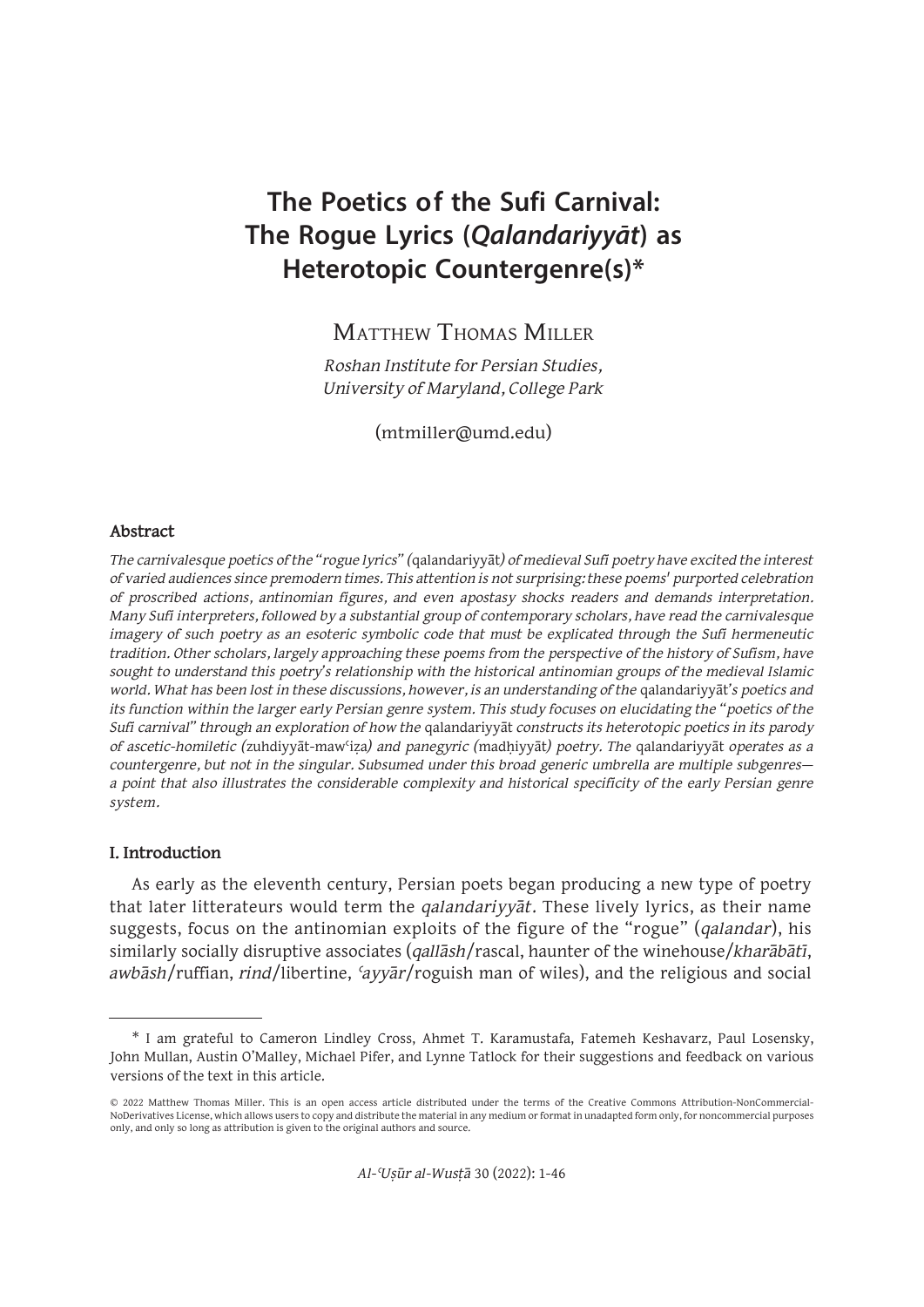# **The Poetics of the Sufi Carnival: The Rogue Lyrics (Qalandariyyāt) as Heterotopic Countergenre(s)\***

Matthew Thomas Miller

*Roshan Institute for Persian Studies, University of Maryland, College Park*

(mtmiller@umd.edu)

#### **Abstract**

*The carnivalesque poetics of the "rogue lyrics" (*qalandariyyāt*) of medieval Sufi poetry have excited the interest of varied audiences since premodern times. This attention is not surprising: these poems' purported celebration of proscribed actions, antinomian figures, and even apostasy shocks readers and demands interpretation. Many Sufi interpreters, followed by a substantial group of contemporary scholars, have read the carnivalesque imagery of such poetry as an esoteric symbolic code that must be explicated through the Sufi hermeneutic tradition. Other scholars, largely approaching these poems from the perspective of the history of Sufism, have sought to understand this poetry's relationship with the historical antinomian groups of the medieval Islamic world. What has been lost in these discussions, however, is an understanding of the* qalandariyyāt*'s poetics and its function within the larger early Persian genre system. This study focuses on elucidating the "poetics of the Sufi carnival" through an exploration of how the* qalandariyyāt *constructs its heterotopic poetics in its parody of ascetic-homiletic (*zuhdiyyāt-mawʿiẓa*) and panegyric (*madḥiyyāt*) poetry. The* qalandariyyāt *operates as a countergenre, but not in the singular. Subsumed under this broad generic umbrella are multiple subgenres a point that also illustrates the considerable complexity and historical specificity of the early Persian genre system.*

#### **I. Introduction**

As early as the eleventh century, Persian poets began producing a new type of poetry that later litterateurs would term the *qalandariyyāt*. These lively lyrics, as their name suggests, focus on the antinomian exploits of the figure of the "rogue" (*qalandar*), his similarly socially disruptive associates (*qallāsh*/rascal, haunter of the winehouse/*kharābātī*, *awbāsh*/ruffian, *rind*/libertine, *ʿayyār*/roguish man of wiles), and the religious and social

<sup>\*</sup> I am grateful to Cameron Lindley Cross, Ahmet T. Karamustafa, Fatemeh Keshavarz, Paul Losensky, John Mullan, Austin O'Malley, Michael Pifer, and Lynne Tatlock for their suggestions and feedback on various versions of the text in this article.

<sup>© 2022</sup> Matthew Thomas Miller. This is an open access article distributed under the terms of the Creative Commons Attribution-NonCommercial-NoDerivatives License, which allows users to copy and distribute the material in any medium or format in unadapted form only, for noncommercial purposes only, and only so long as attribution is given to the original authors and source.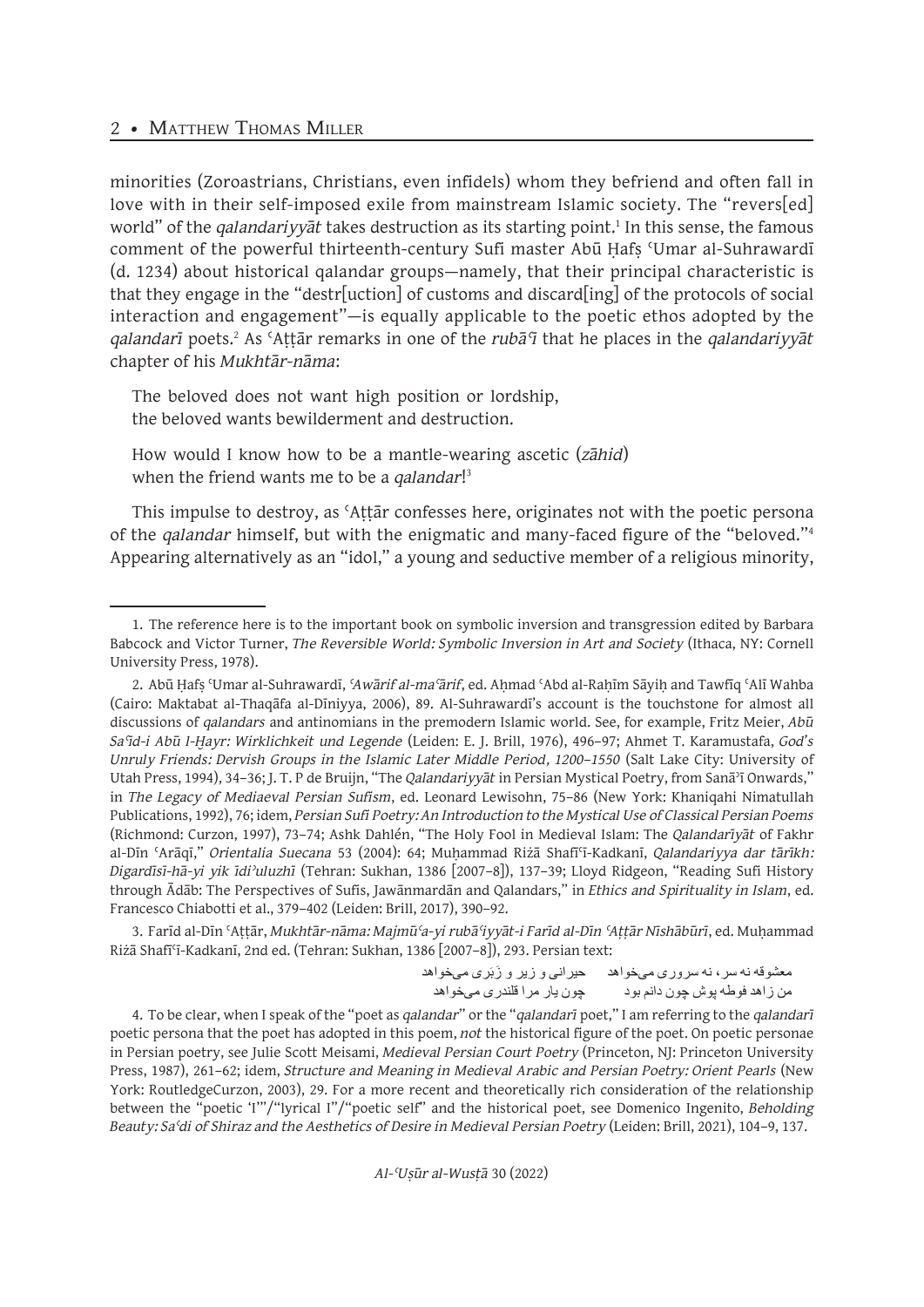minorities (Zoroastrians, Christians, even infidels) whom they befriend and often fall in love with in their self-imposed exile from mainstream Islamic society. The "revers[ed] world" of the *qalandariyyāt* takes destruction as its starting point.<sup>1</sup> In this sense, the famous comment of the powerful thirteenth-century Sufi master Abū Ḥafṣ ʿUmar al-Suhrawardī (d. 1234) about historical qalandar groups—namely, that their principal characteristic is that they engage in the "destr[uction] of customs and discard[ing] of the protocols of social interaction and engagement"—is equally applicable to the poetic ethos adopted by the *qalandarī* poets.2 As ʿAṭṭār remarks in one of the *rubāʿī* that he places in the *qalandariyyāt*  chapter of his *Mukhtār-nāma*:

The beloved does not want high position or lordship, the beloved wants bewilderment and destruction.

How would I know how to be a mantle-wearing ascetic (*zāhid*) when the friend wants me to be a *qalandar*! 3

This impulse to destroy, as ʿAṭṭār confesses here, originates not with the poetic persona of the *qalandar* himself, but with the enigmatic and many-faced figure of the "beloved."<sup>4</sup> Appearing alternatively as an "idol," a young and seductive member of a religious minority,

3. Farīd al-Dīn ʿAṭṭār, *Mukhtār-nāma: Majmūʿa-yi rubāʿiyyāt-i Farīd al-Dīn ʿAṭṭār Nīshābūrī*, ed. Muḥammad Riżā Shafīʿī-Kadkanī, 2nd ed. (Tehran: Sukhan, 1386 [2007–8]), 293. Persian text:

> حیرانی و زیر و زَبَری میخواهد معشوقه نه سر ، نه سروری میخواهد من زاهد فوطه پوش چون دانم بود چون یار مرا قلندری میخواهد

4. To be clear, when I speak of the "poet as *qalandar*" or the "*qalandarī* poet," I am referring to the *qalandarī* poetic persona that the poet has adopted in this poem, *not* the historical figure of the poet. On poetic personae in Persian poetry, see Julie Scott Meisami, *Medieval Persian Court Poetry* (Princeton, NJ: Princeton University Press, 1987), 261–62; idem, *Structure and Meaning in Medieval Arabic and Persian Poetry: Orient Pearls* (New York: RoutledgeCurzon, 2003), 29. For a more recent and theoretically rich consideration of the relationship between the "poetic 'I'"/"lyrical I"/"poetic self" and the historical poet, see Domenico Ingenito, *Beholding Beauty: Saʿdi of Shiraz and the Aesthetics of Desire in Medieval Persian Poetry* (Leiden: Brill, 2021), 104–9, 137.

*Al-ʿUṣūr al-Wusṭā* 30 (2022)

<sup>1.</sup> The reference here is to the important book on symbolic inversion and transgression edited by Barbara Babcock and Victor Turner, *The Reversible World: Symbolic Inversion in Art and Society* (Ithaca, NY: Cornell University Press, 1978).

<sup>2.</sup> Abū Ḥafṣ ʿUmar al-Suhrawardī, *ʿAwārif al-maʿārif*, ed. Aḥmad ʿAbd al-Raḥīm Sāyiḥ and Tawfīq ʿAlī Wahba (Cairo: Maktabat al-Thaqāfa al-Dīniyya, 2006), 89. Al-Suhrawardī's account is the touchstone for almost all discussions of *qalandars* and antinomians in the premodern Islamic world. See, for example, Fritz Meier, *Abū Saʿīd-i Abū l-Ḫayr: Wirklichkeit und Legende* (Leiden: E. J. Brill, 1976), 496–97; Ahmet T. Karamustafa, *God's Unruly Friends: Dervish Groups in the Islamic Later Middle Period, 1200–1550* (Salt Lake City: University of Utah Press, 1994), 34–36; J. T. P de Bruijn, "The *Qalandariyyāt* in Persian Mystical Poetry, from Sanāʾī Onwards," in *The Legacy of Mediaeval Persian Sufism*, ed. Leonard Lewisohn, 75–86 (New York: Khaniqahi Nimatullah Publications, 1992), 76; idem, *Persian Sufi Poetry: An Introduction to the Mystical Use of Classical Persian Poems* (Richmond: Curzon, 1997), 73–74; Ashk Dahlén, "The Holy Fool in Medieval Islam: The *Qalandarīyāt* of Fakhr al-Dīn ʿArāqī," *Orientalia Suecana* 53 (2004): 64; Muḥammad Riżā Shafīʿī-Kadkanī, *Qalandariyya dar tārīkh: Digardīsī-hā-yi yik īdiʾuluzhī* (Tehran: Sukhan, 1386 [2007–8]), 137–39; Lloyd Ridgeon, "Reading Sufi History through Ādāb: The Perspectives of Sufis, Jawānmardān and Qalandars," in *Ethics and Spirituality in Islam*, ed. Francesco Chiabotti et al., 379–402 (Leiden: Brill, 2017), 390–92.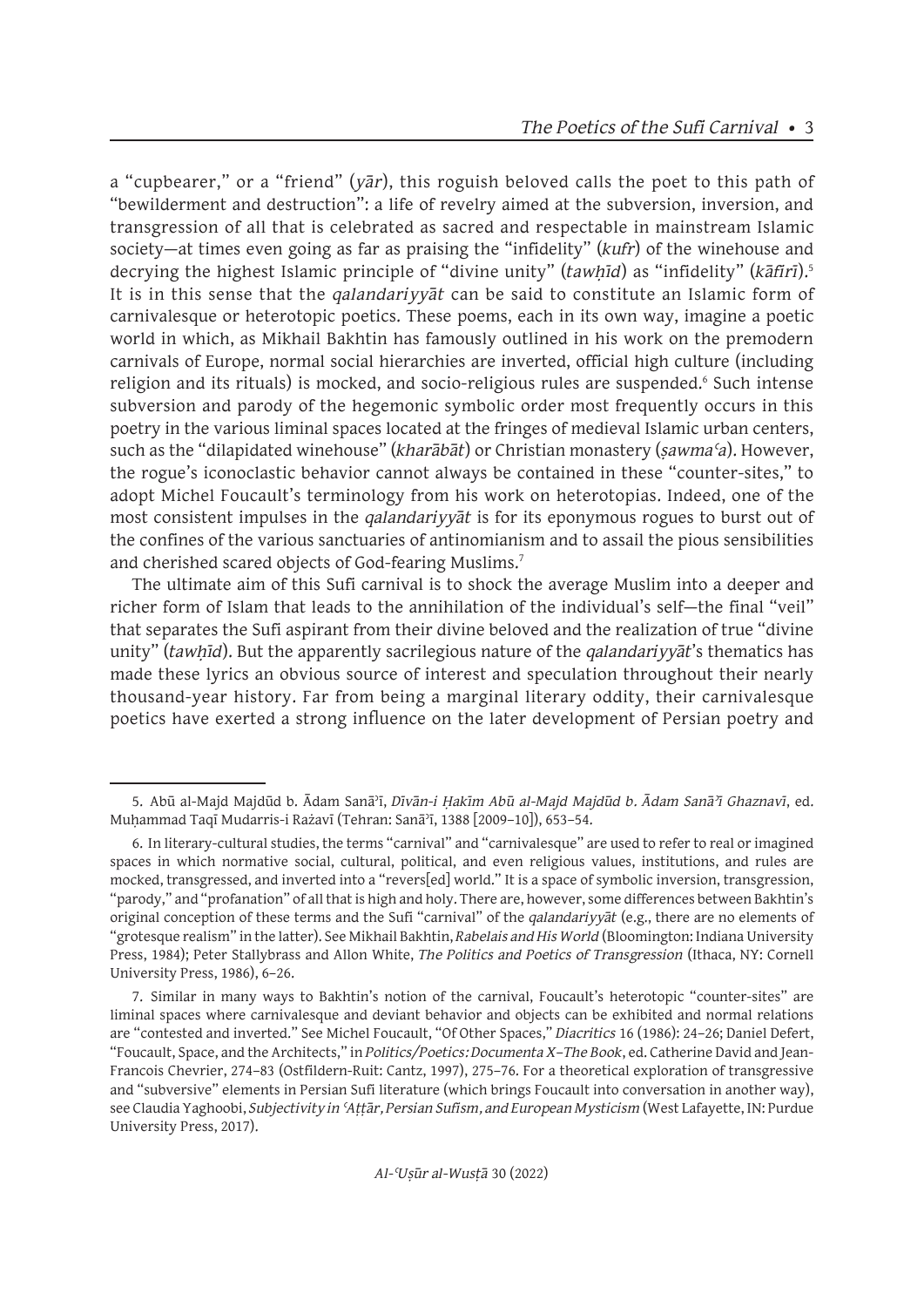a "cupbearer," or a "friend" (*yār*), this roguish beloved calls the poet to this path of "bewilderment and destruction": a life of revelry aimed at the subversion, inversion, and transgression of all that is celebrated as sacred and respectable in mainstream Islamic society—at times even going as far as praising the "infidelity" (*kufr*) of the winehouse and decrying the highest Islamic principle of "divine unity" (*tawhīd*) as "infidelity" (*kāfirī*).<sup>5</sup> It is in this sense that the *qalandariyyāt* can be said to constitute an Islamic form of carnivalesque or heterotopic poetics. These poems, each in its own way, imagine a poetic world in which, as Mikhail Bakhtin has famously outlined in his work on the premodern carnivals of Europe, normal social hierarchies are inverted, official high culture (including religion and its rituals) is mocked, and socio-religious rules are suspended.<sup>6</sup> Such intense subversion and parody of the hegemonic symbolic order most frequently occurs in this poetry in the various liminal spaces located at the fringes of medieval Islamic urban centers, such as the "dilapidated winehouse" (*kharābāt*) or Christian monastery (*ṣawmaʿa*). However, the rogue's iconoclastic behavior cannot always be contained in these "counter-sites," to adopt Michel Foucault's terminology from his work on heterotopias. Indeed, one of the most consistent impulses in the *qalandariyyāt* is for its eponymous rogues to burst out of the confines of the various sanctuaries of antinomianism and to assail the pious sensibilities and cherished scared objects of God-fearing Muslims.7

The ultimate aim of this Sufi carnival is to shock the average Muslim into a deeper and richer form of Islam that leads to the annihilation of the individual's self—the final "veil" that separates the Sufi aspirant from their divine beloved and the realization of true "divine unity" (*tawhid*). But the apparently sacrilegious nature of the *qalandariyyat*'s thematics has made these lyrics an obvious source of interest and speculation throughout their nearly thousand-year history. Far from being a marginal literary oddity, their carnivalesque poetics have exerted a strong influence on the later development of Persian poetry and

<sup>5.</sup> Abū al-Majd Majdūd b. Ādam Sanāʾī, *Dīvān-i Ḥakīm Abū al-Majd Majdūd b. Ādam Sanāʾī Ghaznavī*, ed. Muḥammad Taqī Mudarris-i Rażavī (Tehran: Sanāʾī, 1388 [2009–10]), 653–54.

<sup>6.</sup> In literary-cultural studies, the terms "carnival" and "carnivalesque" are used to refer to real or imagined spaces in which normative social, cultural, political, and even religious values, institutions, and rules are mocked, transgressed, and inverted into a "revers[ed] world." It is a space of symbolic inversion, transgression, "parody," and "profanation" of all that is high and holy. There are, however, some differences between Bakhtin's original conception of these terms and the Sufi "carnival" of the *qalandariyyāt* (e.g., there are no elements of "grotesque realism" in the latter). See Mikhail Bakhtin, *Rabelais and His World* (Bloomington: Indiana University Press, 1984); Peter Stallybrass and Allon White, *The Politics and Poetics of Transgression* (Ithaca, NY: Cornell University Press, 1986), 6–26.

<sup>7.</sup> Similar in many ways to Bakhtin's notion of the carnival, Foucault's heterotopic "counter-sites" are liminal spaces where carnivalesque and deviant behavior and objects can be exhibited and normal relations are "contested and inverted." See Michel Foucault, "Of Other Spaces," *Diacritics* 16 (1986): 24–26; Daniel Defert, "Foucault, Space, and the Architects," in *Politics/Poetics: Documenta X–The Book*, ed. Catherine David and Jean-Francois Chevrier, 274–83 (Ostfildern-Ruit: Cantz, 1997), 275–76. For a theoretical exploration of transgressive and "subversive" elements in Persian Sufi literature (which brings Foucault into conversation in another way), see Claudia Yaghoobi, *Subjectivity in ʿAṭṭār, Persian Sufism, and European Mysticism* (West Lafayette, IN: Purdue University Press, 2017).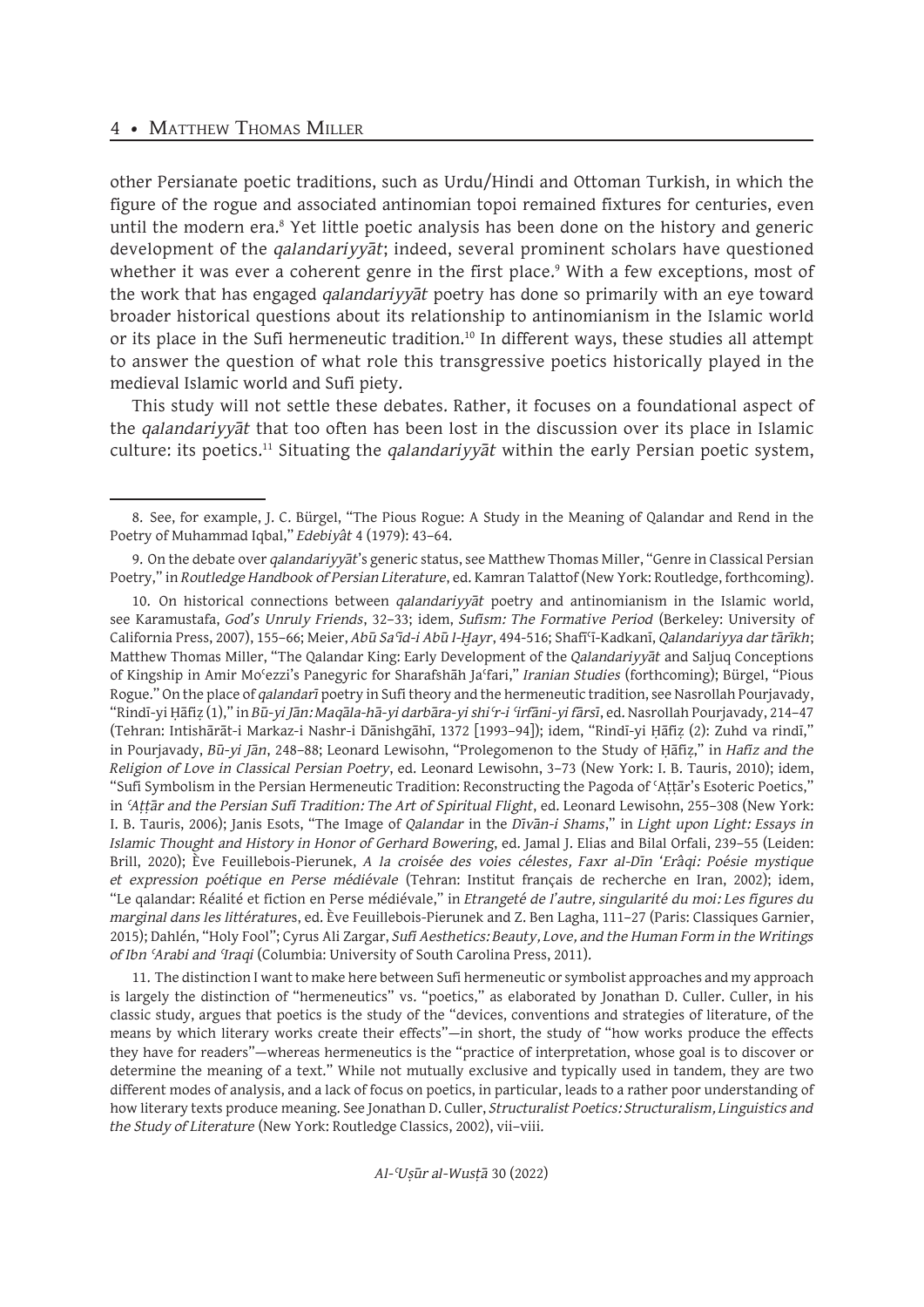## 4 • MATTHEW THOMAS MILLER

other Persianate poetic traditions, such as Urdu/Hindi and Ottoman Turkish, in which the figure of the rogue and associated antinomian topoi remained fixtures for centuries, even until the modern era.<sup>8</sup> Yet little poetic analysis has been done on the history and generic development of the *qalandariyyāt*; indeed, several prominent scholars have questioned whether it was ever a coherent genre in the first place.<sup>9</sup> With a few exceptions, most of the work that has engaged *qalandariyyāt* poetry has done so primarily with an eye toward broader historical questions about its relationship to antinomianism in the Islamic world or its place in the Sufi hermeneutic tradition.<sup>10</sup> In different ways, these studies all attempt to answer the question of what role this transgressive poetics historically played in the medieval Islamic world and Sufi piety.

This study will not settle these debates. Rather, it focuses on a foundational aspect of the *qalandariyyāt* that too often has been lost in the discussion over its place in Islamic culture: its poetics.11 Situating the *qalandariyyāt* within the early Persian poetic system,

11. The distinction I want to make here between Sufi hermeneutic or symbolist approaches and my approach is largely the distinction of "hermeneutics" vs. "poetics," as elaborated by Jonathan D. Culler. Culler, in his classic study, argues that poetics is the study of the "devices, conventions and strategies of literature, of the means by which literary works create their effects"—in short, the study of "how works produce the effects they have for readers"—whereas hermeneutics is the "practice of interpretation, whose goal is to discover or determine the meaning of a text." While not mutually exclusive and typically used in tandem, they are two different modes of analysis, and a lack of focus on poetics, in particular, leads to a rather poor understanding of how literary texts produce meaning. See Jonathan D. Culler, *Structuralist Poetics: Structuralism, Linguistics and the Study of Literature* (New York: Routledge Classics, 2002), vii–viii.

<sup>8.</sup> See, for example, J. C. Bürgel, "The Pious Rogue: A Study in the Meaning of Qalandar and Rend in the Poetry of Muhammad Iqbal," *Edebiyât* 4 (1979): 43–64.

<sup>9.</sup> On the debate over *qalandariyyāt*'s generic status, see Matthew Thomas Miller, "Genre in Classical Persian Poetry," in *Routledge Handbook of Persian Literature*, ed. Kamran Talattof (New York: Routledge, forthcoming).

<sup>10.</sup> On historical connections between *qalandariyyāt* poetry and antinomianism in the Islamic world, see Karamustafa, *God's Unruly Friends*, 32–33; idem, *Sufism: The Formative Period* (Berkeley: University of California Press, 2007), 155–66; Meier, *Abū Saʿīd-i Abū l-Ḫayr*, 494-516; Shafīʿī-Kadkanī, *Qalandariyya dar tārīkh*; Matthew Thomas Miller, "The Qalandar King: Early Development of the *Qalandariyyāt* and Saljuq Conceptions of Kingship in Amir Moʿezzi's Panegyric for Sharafshāh Jaʿfari," *Iranian Studies* (forthcoming); Bürgel, "Pious Rogue." On the place of *qalandarī* poetry in Sufi theory and the hermeneutic tradition, see Nasrollah Pourjavady, "Rindī-yi Ḥāfiẓ (1)," in *Bū-yi Jān: Maqāla-hā-yi darbāra-yi shiʿr-i ʿirfāni-yi fārsī*, ed. Nasrollah Pourjavady, 214–47 (Tehran: Intishārāt-i Markaz-i Nashr-i Dānishgāhī, 1372 [1993–94]); idem, "Rindī-yi Ḥāfiẓ (2): Zuhd va rindī," in Pourjavady, *Bū-yi Jān*, 248–88; Leonard Lewisohn, "Prolegomenon to the Study of Ḥāfiẓ," in *Hafiz and the Religion of Love in Classical Persian Poetry*, ed. Leonard Lewisohn, 3–73 (New York: I. B. Tauris, 2010); idem, "Sufi Symbolism in the Persian Hermeneutic Tradition: Reconstructing the Pagoda of ʿAṭṭār's Esoteric Poetics," in *ʿAṭṭār and the Persian Sufi Tradition: The Art of Spiritual Flight*, ed. Leonard Lewisohn, 255–308 (New York: I. B. Tauris, 2006); Janis Esots, "The Image of *Qalandar* in the *Dīvān-i Shams*," in *Light upon Light: Essays in Islamic Thought and History in Honor of Gerhard Bowering*, ed. Jamal J. Elias and Bilal Orfali, 239–55 (Leiden: Brill, 2020); Ève Feuillebois-Pierunek, *A la croisée des voies célestes, Faxr al-Dīn 'Erâqi: Poésie mystique et expression poétique en Perse médiévale* (Tehran: Institut français de recherche en Iran, 2002); idem, "Le qalandar: Réalité et fiction en Perse médiévale," in *Etrangeté de l'autre, singularité du moi: Les figures du marginal dans les littérature*s, ed. Ève Feuillebois-Pierunek and Z. Ben Lagha, 111–27 (Paris: Classiques Garnier, 2015); Dahlén, "Holy Fool"; Cyrus Ali Zargar, *Sufi Aesthetics: Beauty, Love, and the Human Form in the Writings of Ibn ʿArabi and ʿIraqi* (Columbia: University of South Carolina Press, 2011).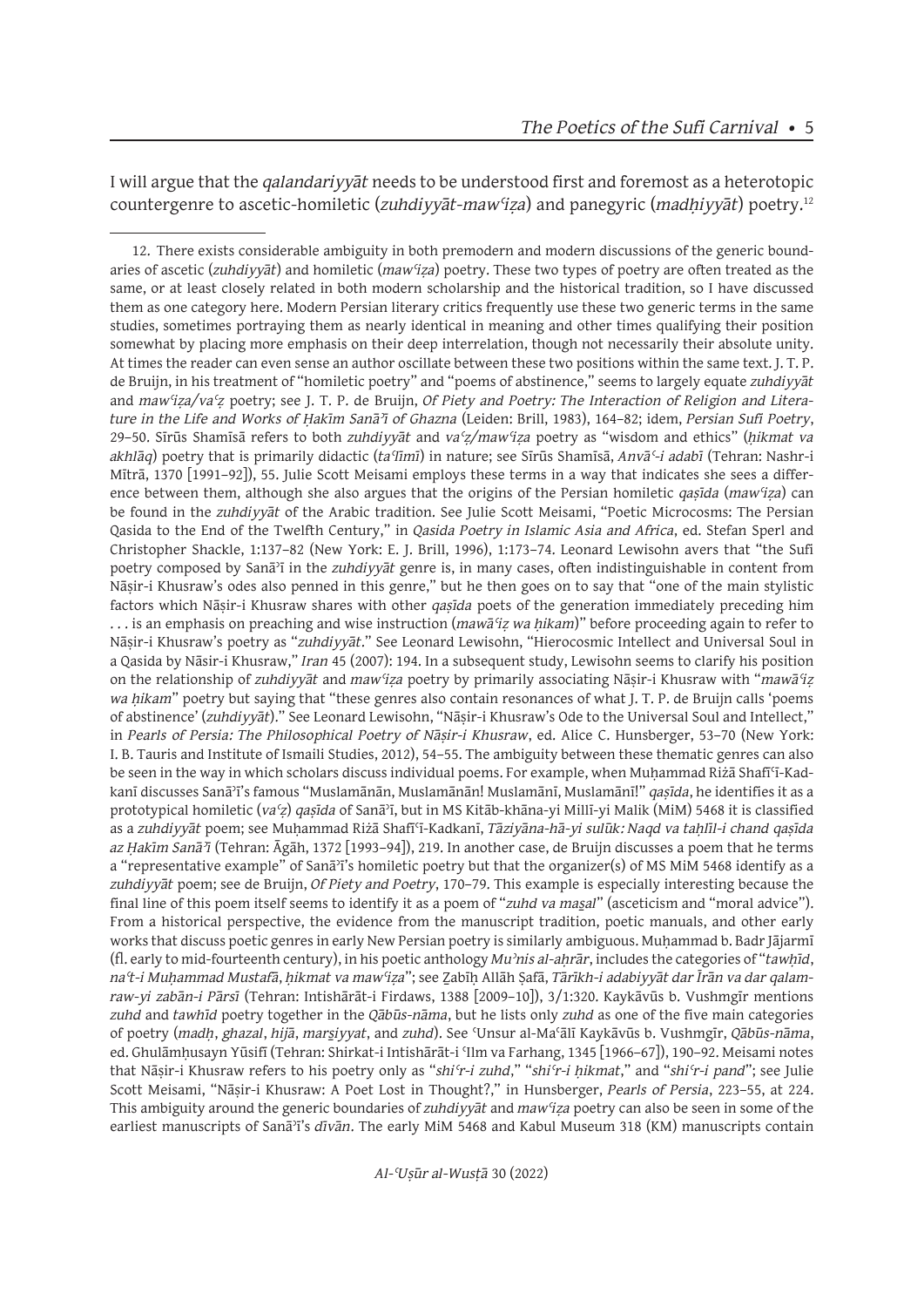I will argue that the *qalandariyyāt* needs to be understood first and foremost as a heterotopic countergenre to ascetic-homiletic (*zuhdiyyāt-maw<sup>c</sup>iza*) and panegyric (*madhiyyāt*) poetry.<sup>12</sup>

<sup>12.</sup> There exists considerable ambiguity in both premodern and modern discussions of the generic boundaries of ascetic (*zuhdiyyāt*) and homiletic (*mawʿiẓa*) poetry. These two types of poetry are often treated as the same, or at least closely related in both modern scholarship and the historical tradition, so I have discussed them as one category here. Modern Persian literary critics frequently use these two generic terms in the same studies, sometimes portraying them as nearly identical in meaning and other times qualifying their position somewhat by placing more emphasis on their deep interrelation, though not necessarily their absolute unity. At times the reader can even sense an author oscillate between these two positions within the same text. J. T. P. de Bruijn, in his treatment of "homiletic poetry" and "poems of abstinence," seems to largely equate *zuhdiyyāt*  and *mawʿiẓa/vaʿẓ* poetry; see J. T. P. de Bruijn, *Of Piety and Poetry: The Interaction of Religion and Literature in the Life and Works of Ḥakīm Sanāʾī of Ghazna* (Leiden: Brill, 1983), 164–82; idem, *Persian Sufi Poetry*, 29–50. Sīrūs Shamīsā refers to both *zuhdiyyāt* and *vaʿẓ/mawʿiẓa* poetry as "wisdom and ethics" (*ḥikmat va akhlāq*) poetry that is primarily didactic (*taʿlīmī*) in nature; see Sīrūs Shamīsā, *Anvāʿ-i adabī* (Tehran: Nashr-i Mītrā, 1370 [1991–92]), 55. Julie Scott Meisami employs these terms in a way that indicates she sees a difference between them, although she also argues that the origins of the Persian homiletic *qaṣīda* (*mawʿiẓa*) can be found in the *zuhdiyyāt* of the Arabic tradition. See Julie Scott Meisami, "Poetic Microcosms: The Persian Qasida to the End of the Twelfth Century," in *Qasida Poetry in Islamic Asia and Africa*, ed. Stefan Sperl and Christopher Shackle, 1:137–82 (New York: E. J. Brill, 1996), 1:173–74. Leonard Lewisohn avers that "the Sufi poetry composed by Sanāʾī in the *zuhdiyyāt* genre is, in many cases, often indistinguishable in content from Nāṣir-i Khusraw's odes also penned in this genre," but he then goes on to say that "one of the main stylistic factors which Nāṣir-i Khusraw shares with other *qaṣīda* poets of the generation immediately preceding him . . . is an emphasis on preaching and wise instruction (*mawāʿiẓ wa ḥikam*)" before proceeding again to refer to Nāṣir-i Khusraw's poetry as "*zuhdiyyāt*." See Leonard Lewisohn, "Hierocosmic Intellect and Universal Soul in a Qasida by Nāsir-i Khusraw," *Iran* 45 (2007): 194. In a subsequent study, Lewisohn seems to clarify his position on the relationship of *zuhdiyyāt* and *mawʿiẓa* poetry by primarily associating Nāṣir-i Khusraw with "*mawāʿiẓ wa ḥikam*" poetry but saying that "these genres also contain resonances of what J. T. P. de Bruijn calls 'poems of abstinence' (*zuhdiyyāt*)." See Leonard Lewisohn, "Nāṣir-i Khusraw's Ode to the Universal Soul and Intellect," in *Pearls of Persia: The Philosophical Poetry of Nāṣir-i Khusraw*, ed. Alice C. Hunsberger, 53–70 (New York: I. B. Tauris and Institute of Ismaili Studies, 2012), 54–55. The ambiguity between these thematic genres can also be seen in the way in which scholars discuss individual poems. For example, when Muḥammad Riżā Shafīʿī-Kadkanī discusses Sanāʾī's famous "Muslamānān, Muslamānān! Muslamānī, Muslamānī!" *qaṣīda*, he identifies it as a prototypical homiletic (*vaʿẓ*) *qaṣīda* of Sanāʾī, but in MS Kitāb-khāna-yi Millī-yi Malik (MiM) 5468 it is classified as a *zuhdiyyāt* poem; see Muḥammad Riżā Shafīʿī-Kadkanī, *Tāziyāna-hā-yi sulūk: Naqd va taḥlīl-i chand qaṣīda az Ḥakīm Sanāʾī* (Tehran: Āgāh, 1372 [1993–94]), 219. In another case, de Bruijn discusses a poem that he terms a "representative example" of Sanāʾī's homiletic poetry but that the organizer(s) of MS MiM 5468 identify as a *zuhdiyyāt* poem; see de Bruijn, *Of Piety and Poetry*, 170–79. This example is especially interesting because the final line of this poem itself seems to identify it as a poem of "*zuhd va mas̱al*" (asceticism and "moral advice"). From a historical perspective, the evidence from the manuscript tradition, poetic manuals, and other early works that discuss poetic genres in early New Persian poetry is similarly ambiguous. Muhammad b. Badr Jājarmī (fl. early to mid-fourteenth century), in his poetic anthology *Muʾnis al-aḥrār*, includes the categories of "*tawḥīd*, *naʿt-i Muḥammad Mustafā*, *ḥikmat va mawʿiẓa*"; see Ẕabīḥ Allāh Ṣafā, *Tārīkh-i adabiyyāt dar Īrān va dar qalamraw-yi zabān-i Pārsī* (Tehran: Intishārāt-i Firdaws, 1388 [2009–10]), 3/1:320. Kaykāvūs b. Vushmgīr mentions *zuhd* and *tawhīd* poetry together in the *Qābūs-nāma*, but he lists only *zuhd* as one of the five main categories of poetry (*madḥ*, *ghazal*, *hijā*, *mars̱iyyat*, and *zuhd*). See ʿUnsur al-Maʿālī Kaykāvūs b. Vushmgīr, *Qābūs-nāma*, ed. Ghulāmḥusayn Yūsifī (Tehran: Shirkat-i Intishārāt-i ʿIlm va Farhang, 1345 [1966–67]), 190–92. Meisami notes that Nāṣir-i Khusraw refers to his poetry only as "*shiʿr-i zuhd*," "*shiʿr-i ḥikmat*," and "*shiʿr-i pand*"; see Julie Scott Meisami, "Nāṣir-i Khusraw: A Poet Lost in Thought?," in Hunsberger, *Pearls of Persia*, 223–55, at 224. This ambiguity around the generic boundaries of *zuhdiyyāt* and *mawʿiẓa* poetry can also be seen in some of the earliest manuscripts of Sanāʾī's *dīvān*. The early MiM 5468 and Kabul Museum 318 (KM) manuscripts contain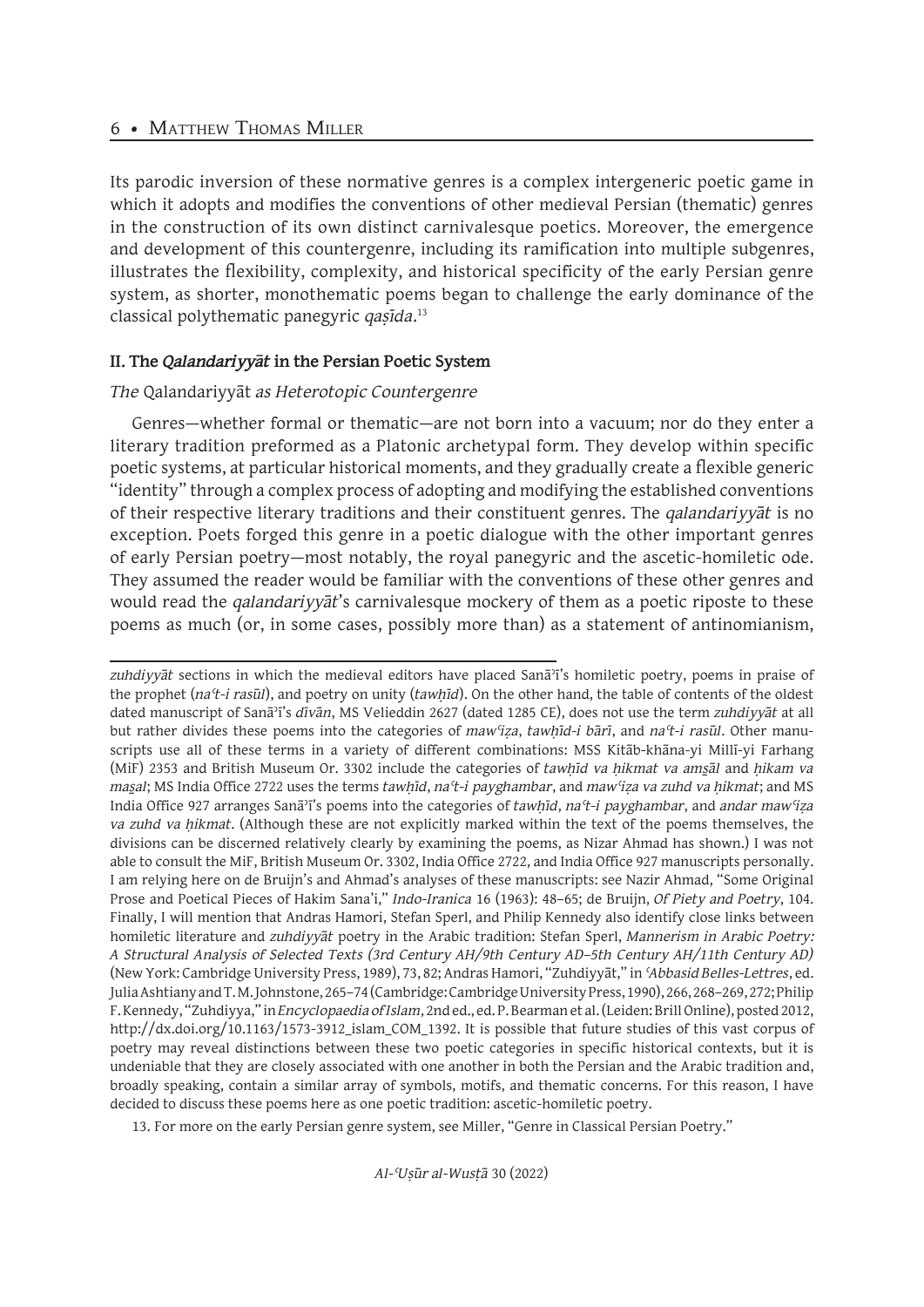#### 6 • Matthew Thomas Miller

Its parodic inversion of these normative genres is a complex intergeneric poetic game in which it adopts and modifies the conventions of other medieval Persian (thematic) genres in the construction of its own distinct carnivalesque poetics. Moreover, the emergence and development of this countergenre, including its ramification into multiple subgenres, illustrates the flexibility, complexity, and historical specificity of the early Persian genre system, as shorter, monothematic poems began to challenge the early dominance of the classical polythematic panegyric *qaṣīda*. 13

## **II. The** *Qalandariyyāt* **in the Persian Poetic System**

## *The* Qalandariyyāt *as Heterotopic Countergenre*

Genres—whether formal or thematic—are not born into a vacuum; nor do they enter a literary tradition preformed as a Platonic archetypal form. They develop within specific poetic systems, at particular historical moments, and they gradually create a flexible generic "identity" through a complex process of adopting and modifying the established conventions of their respective literary traditions and their constituent genres. The *qalandariyyāt* is no exception. Poets forged this genre in a poetic dialogue with the other important genres of early Persian poetry—most notably, the royal panegyric and the ascetic-homiletic ode. They assumed the reader would be familiar with the conventions of these other genres and would read the *qalandariyyāt*'s carnivalesque mockery of them as a poetic riposte to these poems as much (or, in some cases, possibly more than) as a statement of antinomianism,

13. For more on the early Persian genre system, see Miller, "Genre in Classical Persian Poetry."

*zuhdiyyāt* sections in which the medieval editors have placed Sanāʾī's homiletic poetry, poems in praise of the prophet (*na<sup>t</sup>-i rasūl*), and poetry on unity (*tawhīd*). On the other hand, the table of contents of the oldest dated manuscript of Sanāʾī's *dīvān*, MS Velieddin 2627 (dated 1285 CE), does not use the term *zuhdiyyāt* at all but rather divides these poems into the categories of *mawʿiẓa*, *tawḥīd-i bārī*, and *naʿt-i rasūl*. Other manuscripts use all of these terms in a variety of different combinations: MSS Kitāb-khāna-yi Millī-yi Farhang (MiF) 2353 and British Museum Or. 3302 include the categories of *tawḥīd va ḥikmat va ams̱āl* and *ḥikam va mas̱al*; MS India Office 2722 uses the terms *tawḥīd*, *naʿt-i payghambar*, and *mawʿiẓa va zuhd va ḥikmat*; and MS India Office 927 arranges Sanāʾī's poems into the categories of *tawḥīd*, *naʿt-i payghambar*, and *andar mawʿiẓa va zuhd va ḥikmat*. (Although these are not explicitly marked within the text of the poems themselves, the divisions can be discerned relatively clearly by examining the poems, as Nizar Ahmad has shown.) I was not able to consult the MiF, British Museum Or. 3302, India Office 2722, and India Office 927 manuscripts personally. I am relying here on de Bruijn's and Ahmad's analyses of these manuscripts: see Nazir Ahmad, "Some Original Prose and Poetical Pieces of Hakim Sana'i," *Indo-Iranica* 16 (1963): 48–65; de Bruijn, *Of Piety and Poetry*, 104. Finally, I will mention that Andras Hamori, Stefan Sperl, and Philip Kennedy also identify close links between homiletic literature and *zuhdiyyāt* poetry in the Arabic tradition: Stefan Sperl, *Mannerism in Arabic Poetry: A Structural Analysis of Selected Texts (3rd Century AH/9th Century AD–5th Century AH/11th Century AD)* (New York: Cambridge University Press, 1989), 73, 82; Andras Hamori, "Zuhdiyyāt," in *ʿAbbasid Belles-Lettres*, ed. Julia Ashtiany and T. M. Johnstone, 265–74 (Cambridge: Cambridge University Press, 1990), 266, 268–269, 272; Philip F. Kennedy, "Zuhdiyya," in *Encyclopaedia of Islam*, 2nd ed., ed. P. Bearman et al. (Leiden: Brill Online), posted 2012, http://dx.doi.org/10.1163/1573-3912\_islam\_COM\_1392. It is possible that future studies of this vast corpus of poetry may reveal distinctions between these two poetic categories in specific historical contexts, but it is undeniable that they are closely associated with one another in both the Persian and the Arabic tradition and, broadly speaking, contain a similar array of symbols, motifs, and thematic concerns. For this reason, I have decided to discuss these poems here as one poetic tradition: ascetic-homiletic poetry.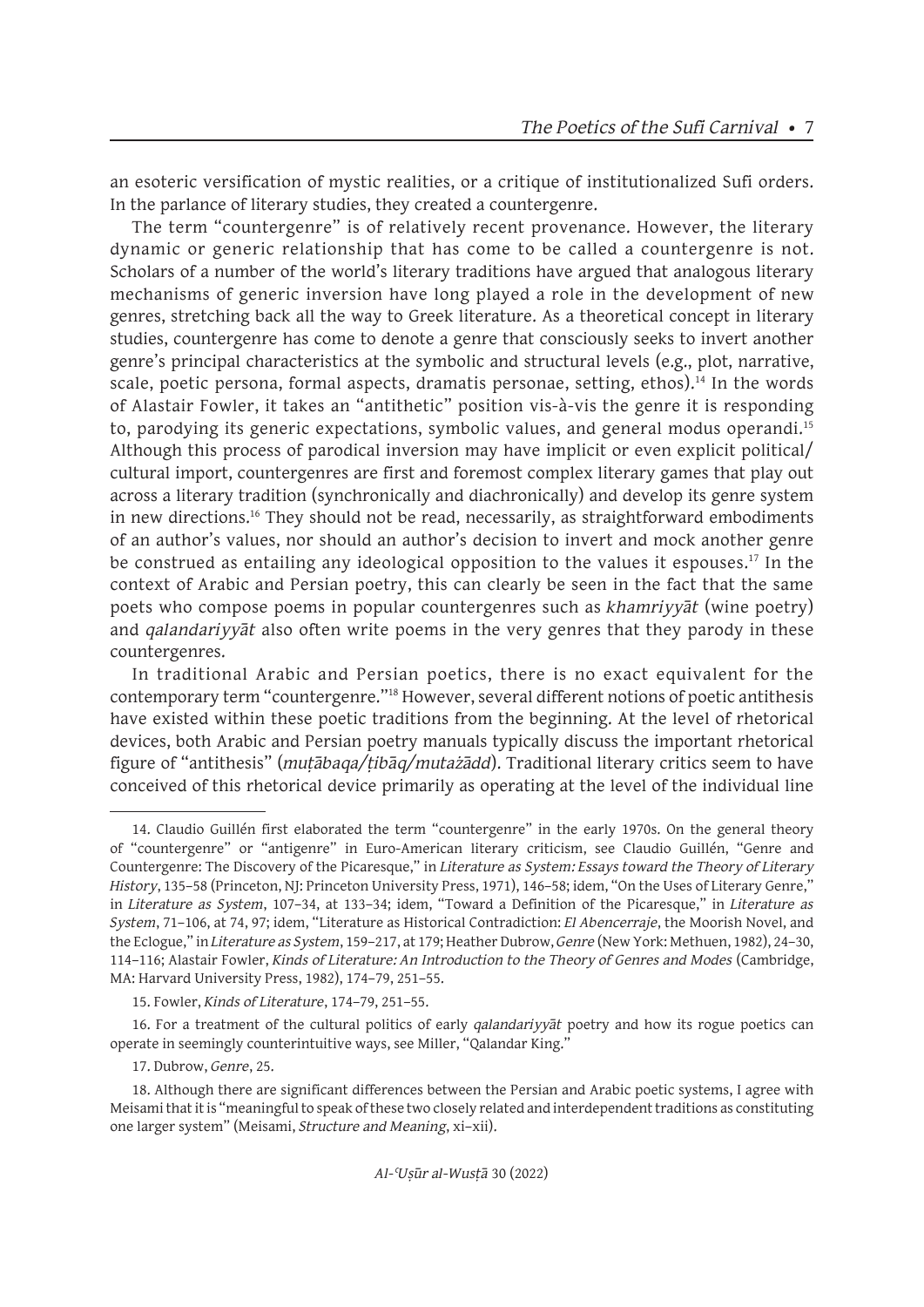an esoteric versification of mystic realities, or a critique of institutionalized Sufi orders. In the parlance of literary studies, they created a countergenre.

The term "countergenre" is of relatively recent provenance. However, the literary dynamic or generic relationship that has come to be called a countergenre is not. Scholars of a number of the world's literary traditions have argued that analogous literary mechanisms of generic inversion have long played a role in the development of new genres, stretching back all the way to Greek literature. As a theoretical concept in literary studies, countergenre has come to denote a genre that consciously seeks to invert another genre's principal characteristics at the symbolic and structural levels (e.g., plot, narrative, scale, poetic persona, formal aspects, dramatis personae, setting, ethos).<sup>14</sup> In the words of Alastair Fowler, it takes an "antithetic" position vis-à-vis the genre it is responding to, parodying its generic expectations, symbolic values, and general modus operandi.<sup>15</sup> Although this process of parodical inversion may have implicit or even explicit political/ cultural import, countergenres are first and foremost complex literary games that play out across a literary tradition (synchronically and diachronically) and develop its genre system in new directions.<sup>16</sup> They should not be read, necessarily, as straightforward embodiments of an author's values, nor should an author's decision to invert and mock another genre be construed as entailing any ideological opposition to the values it espouses.<sup>17</sup> In the context of Arabic and Persian poetry, this can clearly be seen in the fact that the same poets who compose poems in popular countergenres such as *khamriyyāt* (wine poetry) and *qalandariyyāt* also often write poems in the very genres that they parody in these countergenres.

In traditional Arabic and Persian poetics, there is no exact equivalent for the contemporary term "countergenre."18 However, several different notions of poetic antithesis have existed within these poetic traditions from the beginning. At the level of rhetorical devices, both Arabic and Persian poetry manuals typically discuss the important rhetorical figure of "antithesis" (*muṭābaqa/ṭibāq/mutażādd*). Traditional literary critics seem to have conceived of this rhetorical device primarily as operating at the level of the individual line

16. For a treatment of the cultural politics of early *qalandariyyāt* poetry and how its rogue poetics can operate in seemingly counterintuitive ways, see Miller, "Qalandar King."

17. Dubrow, *Genre*, 25.

<sup>14.</sup> Claudio Guillén first elaborated the term "countergenre" in the early 1970s. On the general theory of "countergenre" or "antigenre" in Euro-American literary criticism, see Claudio Guillén, "Genre and Countergenre: The Discovery of the Picaresque," in *Literature as System: Essays toward the Theory of Literary History*, 135–58 (Princeton, NJ: Princeton University Press, 1971), 146–58; idem, "On the Uses of Literary Genre," in *Literature as System*, 107–34, at 133–34; idem, "Toward a Definition of the Picaresque," in *Literature as System*, 71–106, at 74, 97; idem, "Literature as Historical Contradiction: *El Abencerraje*, the Moorish Novel, and the Eclogue," in *Literature as System*, 159–217, at 179; Heather Dubrow, *Genre* (New York: Methuen, 1982), 24–30, 114–116; Alastair Fowler, *Kinds of Literature: An Introduction to the Theory of Genres and Modes* (Cambridge, MA: Harvard University Press, 1982), 174–79, 251–55.

<sup>15.</sup> Fowler, *Kinds of Literature*, 174–79, 251–55.

<sup>18.</sup> Although there are significant differences between the Persian and Arabic poetic systems, I agree with Meisami that it is "meaningful to speak of these two closely related and interdependent traditions as constituting one larger system" (Meisami, *Structure and Meaning*, xi–xii).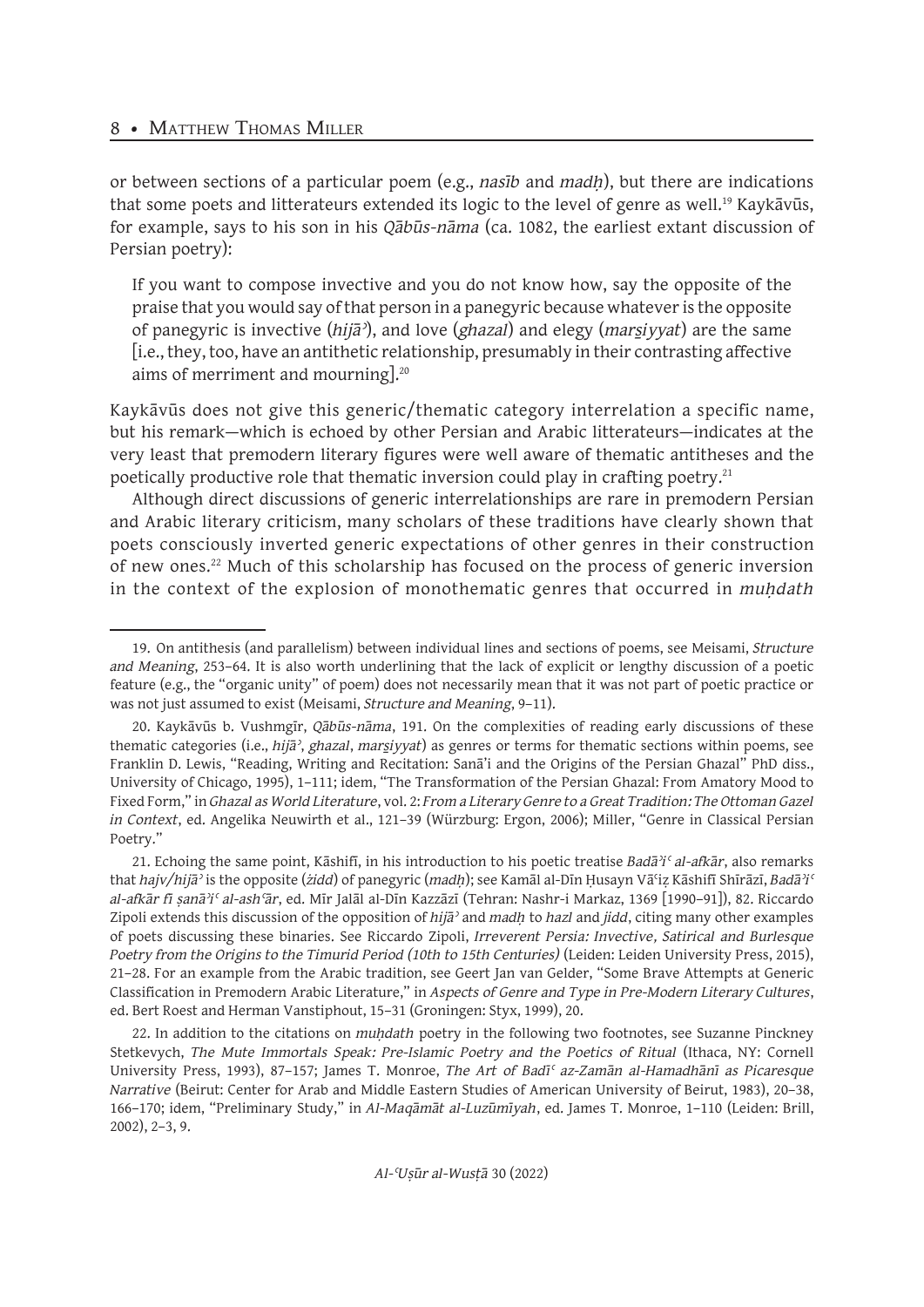or between sections of a particular poem (e.g., *nasīb* and *madḥ*), but there are indications that some poets and litterateurs extended its logic to the level of genre as well.<sup>19</sup> Kaykāvūs, for example, says to his son in his *Qābūs-nāma* (ca. 1082, the earliest extant discussion of Persian poetry):

If you want to compose invective and you do not know how, say the opposite of the praise that you would say of that person in a panegyric because whatever is the opposite of panegyric is invective (*hijāʾ*), and love (*ghazal*) and elegy (*mars̱iyyat*) are the same [i.e., they, too, have an antithetic relationship, presumably in their contrasting affective aims of merriment and mourning].20

Kaykāvūs does not give this generic/thematic category interrelation a specific name, but his remark—which is echoed by other Persian and Arabic litterateurs—indicates at the very least that premodern literary figures were well aware of thematic antitheses and the poetically productive role that thematic inversion could play in crafting poetry.<sup>21</sup>

Although direct discussions of generic interrelationships are rare in premodern Persian and Arabic literary criticism, many scholars of these traditions have clearly shown that poets consciously inverted generic expectations of other genres in their construction of new ones.22 Much of this scholarship has focused on the process of generic inversion in the context of the explosion of monothematic genres that occurred in *muhdath* 

21. Echoing the same point, Kāshifī, in his introduction to his poetic treatise *Badāʾiʿ al-afkār*, also remarks that *hajv/hijāʾ* is the opposite (*żidd*) of panegyric (*madḥ*); see Kamāl al-Dīn Ḥusayn Vāʿiẓ Kāshifī Shīrāzī, *Badāʾiʿ al-afkār fī ṣanāʾiʿ al-ashʿār*, ed. Mīr Jalāl al-Dīn Kazzāzī (Tehran: Nashr-i Markaz, 1369 [1990–91]), 82. Riccardo Zipoli extends this discussion of the opposition of *hijāʾ* and *madḥ* to *hazl* and *jidd*, citing many other examples of poets discussing these binaries. See Riccardo Zipoli, *Irreverent Persia: Invective, Satirical and Burlesque Poetry from the Origins to the Timurid Period (10th to 15th Centuries)* (Leiden: Leiden University Press, 2015), 21–28. For an example from the Arabic tradition, see Geert Jan van Gelder, "Some Brave Attempts at Generic Classification in Premodern Arabic Literature," in *Aspects of Genre and Type in Pre-Modern Literary Cultures*, ed. Bert Roest and Herman Vanstiphout, 15–31 (Groningen: Styx, 1999), 20.

22. In addition to the citations on *muḥdath* poetry in the following two footnotes, see Suzanne Pinckney Stetkevych, *The Mute Immortals Speak: Pre-Islamic Poetry and the Poetics of Ritual* (Ithaca, NY: Cornell University Press, 1993), 87–157; James T. Monroe, *The Art of Badīʿ az-Zamān al-Hamadhānī as Picaresque Narrative* (Beirut: Center for Arab and Middle Eastern Studies of American University of Beirut, 1983), 20–38, 166–170; idem, "Preliminary Study," in *Al-Maqāmāt al-Luzūmīyah*, ed. James T. Monroe, 1–110 (Leiden: Brill, 2002), 2–3, 9.

<sup>19.</sup> On antithesis (and parallelism) between individual lines and sections of poems, see Meisami, *Structure and Meaning*, 253–64. It is also worth underlining that the lack of explicit or lengthy discussion of a poetic feature (e.g., the "organic unity" of poem) does not necessarily mean that it was not part of poetic practice or was not just assumed to exist (Meisami, *Structure and Meaning*, 9–11).

<sup>20.</sup> Kaykāvūs b. Vushmgīr, *Qābūs-nāma*, 191. On the complexities of reading early discussions of these thematic categories (i.e., *hijāʾ*, *ghazal*, *mars̱iyyat*) as genres or terms for thematic sections within poems, see Franklin D. Lewis, "Reading, Writing and Recitation: Sanā'i and the Origins of the Persian Ghazal" PhD diss., University of Chicago, 1995), 1–111; idem, "The Transformation of the Persian Ghazal: From Amatory Mood to Fixed Form," in *Ghazal as World Literature*, vol. 2: *From a Literary Genre to a Great Tradition: The Ottoman Gazel in Context*, ed. Angelika Neuwirth et al., 121–39 (Würzburg: Ergon, 2006); Miller, "Genre in Classical Persian Poetry."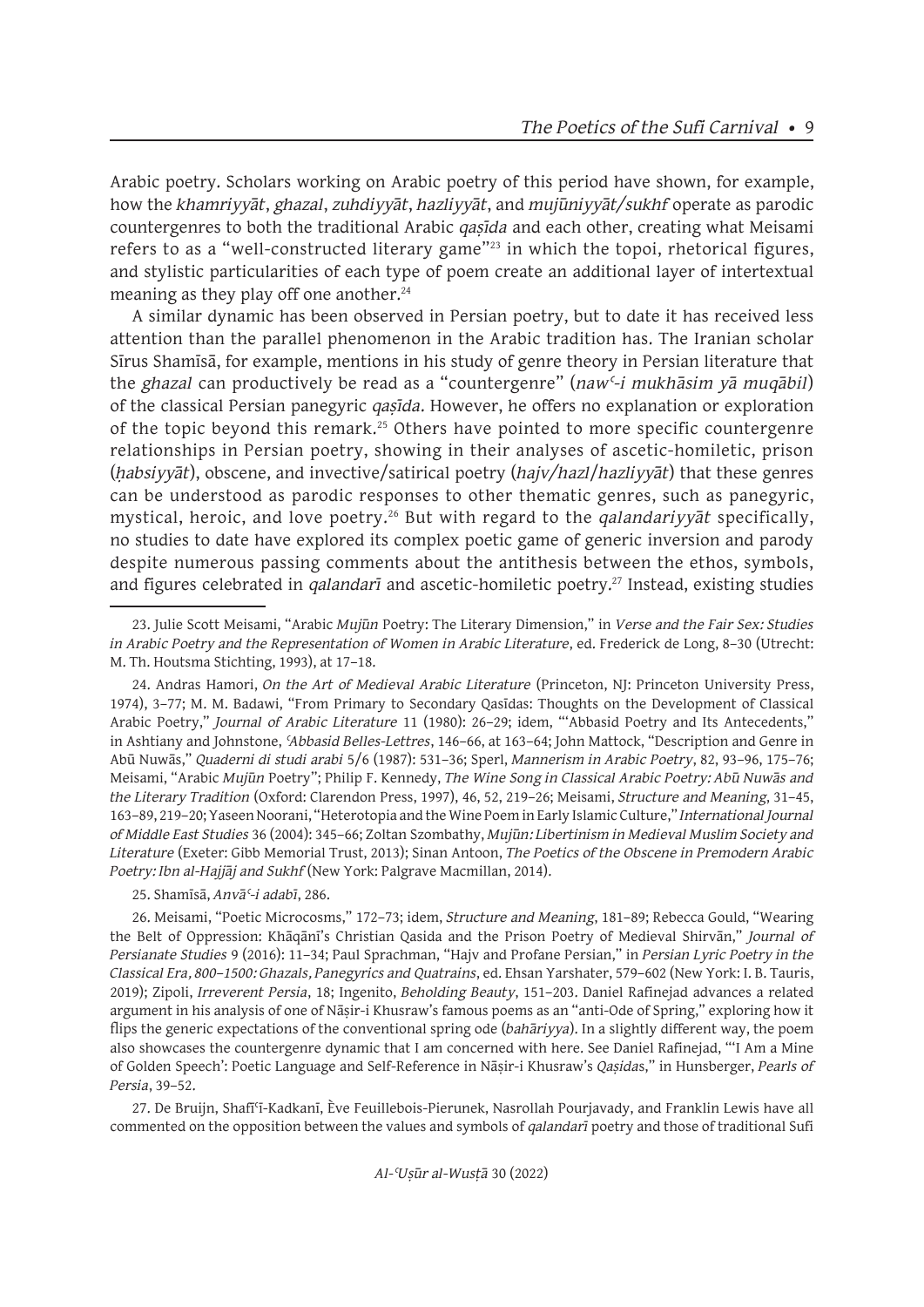Arabic poetry. Scholars working on Arabic poetry of this period have shown, for example, how the *khamriyyāt*, *ghazal*, *zuhdiyyāt*, *hazliyyāt*, and *mujūniyyāt/sukhf* operate as parodic countergenres to both the traditional Arabic *qaṣīda* and each other, creating what Meisami refers to as a "well-constructed literary game"<sup>23</sup> in which the topoi, rhetorical figures, and stylistic particularities of each type of poem create an additional layer of intertextual meaning as they play off one another.<sup>24</sup>

A similar dynamic has been observed in Persian poetry, but to date it has received less attention than the parallel phenomenon in the Arabic tradition has. The Iranian scholar Sīrus Shamīsā, for example, mentions in his study of genre theory in Persian literature that the *ghazal* can productively be read as a "countergenre" (*nawʿ-i mukhāsim yā muqābil*) of the classical Persian panegyric *qaṣīda*. However, he offers no explanation or exploration of the topic beyond this remark.<sup>25</sup> Others have pointed to more specific countergenre relationships in Persian poetry, showing in their analyses of ascetic-homiletic, prison (*ḥabsiyyāt*), obscene, and invective/satirical poetry (*hajv/hazl*/*hazliyyāt*) that these genres can be understood as parodic responses to other thematic genres, such as panegyric, mystical, heroic, and love poetry.26 But with regard to the *qalandariyyāt* specifically, no studies to date have explored its complex poetic game of generic inversion and parody despite numerous passing comments about the antithesis between the ethos, symbols, and figures celebrated in *qalandarī* and ascetic-homiletic poetry.<sup>27</sup> Instead, existing studies

25. Shamīsā, *Anvāʿ-i adabī*, 286.

26. Meisami, "Poetic Microcosms," 172–73; idem, *Structure and Meaning*, 181–89; Rebecca Gould, "Wearing the Belt of Oppression: Khāqānī's Christian Qasida and the Prison Poetry of Medieval Shirvān," *Journal of Persianate Studies* 9 (2016): 11–34; Paul Sprachman, "Hajv and Profane Persian," in *Persian Lyric Poetry in the Classical Era, 800–1500: Ghazals, Panegyrics and Quatrains*, ed. Ehsan Yarshater, 579–602 (New York: I. B. Tauris, 2019); Zipoli, *Irreverent Persia*, 18; Ingenito, *Beholding Beauty*, 151–203. Daniel Rafinejad advances a related argument in his analysis of one of Nāṣir-i Khusraw's famous poems as an "anti-Ode of Spring," exploring how it flips the generic expectations of the conventional spring ode (*bahāriyya*). In a slightly different way, the poem also showcases the countergenre dynamic that I am concerned with here. See Daniel Rafinejad, "'I Am a Mine of Golden Speech': Poetic Language and Self-Reference in Nāṣir-i Khusraw's *Qaṣida*s," in Hunsberger, *Pearls of Persia*, 39–52.

27. De Bruijn, Shafīʿī-Kadkanī, Ève Feuillebois-Pierunek, Nasrollah Pourjavady, and Franklin Lewis have all commented on the opposition between the values and symbols of *qalandarī* poetry and those of traditional Sufi

<sup>23.</sup> Julie Scott Meisami, "Arabic *Mujūn* Poetry: The Literary Dimension," in *Verse and the Fair Sex: Studies in Arabic Poetry and the Representation of Women in Arabic Literature*, ed. Frederick de Long, 8-30 (Utrecht: M. Th. Houtsma Stichting, 1993), at 17–18.

<sup>24.</sup> Andras Hamori, *On the Art of Medieval Arabic Literature* (Princeton, NJ: Princeton University Press, 1974), 3–77; M. M. Badawi, "From Primary to Secondary Qasīdas: Thoughts on the Development of Classical Arabic Poetry," *Journal of Arabic Literature* 11 (1980): 26–29; idem, "'Abbasid Poetry and Its Antecedents," in Ashtiany and Johnstone, *ʿAbbasid Belles-Lettres*, 146–66, at 163–64; John Mattock, "Description and Genre in Abū Nuwās," *Quaderni di studi arabi* 5/6 (1987): 531–36; Sperl, *Mannerism in Arabic Poetry*, 82, 93–96, 175–76; Meisami, "Arabic *Mujūn* Poetry"; Philip F. Kennedy, *The Wine Song in Classical Arabic Poetry: Abū Nuwās and the Literary Tradition* (Oxford: Clarendon Press, 1997), 46, 52, 219–26; Meisami, *Structure and Meaning*, 31–45, 163–89, 219–20; Yaseen Noorani, "Heterotopia and the Wine Poem in Early Islamic Culture," *International Journal of Middle East Studies* 36 (2004): 345–66; Zoltan Szombathy, *Mujūn: Libertinism in Medieval Muslim Society and Literature* (Exeter: Gibb Memorial Trust, 2013); Sinan Antoon, *The Poetics of the Obscene in Premodern Arabic Poetry: Ibn al-Hajjāj and Sukhf* (New York: Palgrave Macmillan, 2014).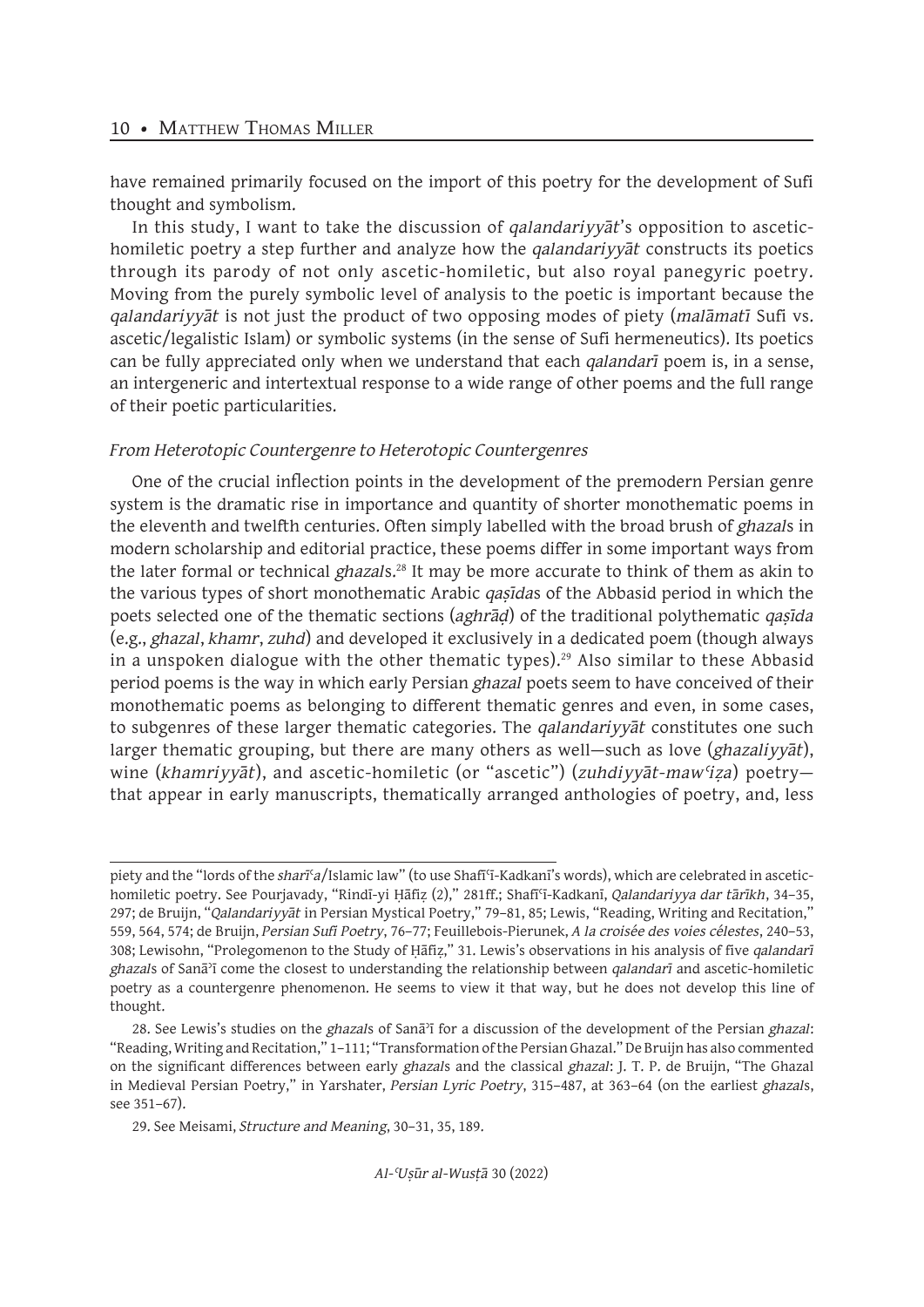have remained primarily focused on the import of this poetry for the development of Sufi thought and symbolism.

In this study, I want to take the discussion of *qalandariyyāt*'s opposition to ascetichomiletic poetry a step further and analyze how the *qalandariyyāt* constructs its poetics through its parody of not only ascetic-homiletic, but also royal panegyric poetry. Moving from the purely symbolic level of analysis to the poetic is important because the *qalandariyyāt* is not just the product of two opposing modes of piety (*malāmatī* Sufi vs. ascetic/legalistic Islam) or symbolic systems (in the sense of Sufi hermeneutics). Its poetics can be fully appreciated only when we understand that each *qalandarī* poem is, in a sense, an intergeneric and intertextual response to a wide range of other poems and the full range of their poetic particularities.

#### *From Heterotopic Countergenre to Heterotopic Countergenres*

One of the crucial inflection points in the development of the premodern Persian genre system is the dramatic rise in importance and quantity of shorter monothematic poems in the eleventh and twelfth centuries. Often simply labelled with the broad brush of *ghazal*s in modern scholarship and editorial practice, these poems differ in some important ways from the later formal or technical *ghazal*s.<sup>28</sup> It may be more accurate to think of them as akin to the various types of short monothematic Arabic *qaṣīda*s of the Abbasid period in which the poets selected one of the thematic sections (*aghrāḍ*) of the traditional polythematic *qaṣīda*  (e.g., *ghazal*, *khamr*, *zuhd*) and developed it exclusively in a dedicated poem (though always in a unspoken dialogue with the other thematic types).<sup>29</sup> Also similar to these Abbasid period poems is the way in which early Persian *ghazal* poets seem to have conceived of their monothematic poems as belonging to different thematic genres and even, in some cases, to subgenres of these larger thematic categories. The *qalandariyyāt* constitutes one such larger thematic grouping, but there are many others as well—such as love (*ghazaliyyāt*), wine (*khamriyyāt*), and ascetic-homiletic (or "ascetic") (*zuhdiyyāt-mawʿiẓa*) poetry that appear in early manuscripts, thematically arranged anthologies of poetry, and, less

piety and the "lords of the *sharī*ʿ*a*/Islamic law" (to use Shafīʿī-Kadkanī's words), which are celebrated in ascetichomiletic poetry. See Pourjavady, "Rindī-yi Ḥāfiẓ (2)," 281ff.; Shafīʿī-Kadkanī, *Qalandariyya dar tārīkh*, 34–35, 297; de Bruijn, "*Qalandariyyāt* in Persian Mystical Poetry," 79–81, 85; Lewis, "Reading, Writing and Recitation," 559, 564, 574; de Bruijn, *Persian Sufi Poetry*, 76–77; Feuillebois-Pierunek, *A la croisée des voies célestes*, 240–53, 308; Lewisohn, "Prolegomenon to the Study of Ḥāfiẓ," 31. Lewis's observations in his analysis of five *qalandarī ghazal*s of Sanāʾī come the closest to understanding the relationship between *qalandarī* and ascetic-homiletic poetry as a countergenre phenomenon. He seems to view it that way, but he does not develop this line of thought.

<sup>28.</sup> See Lewis's studies on the *ghazal*s of Sanāʾī for a discussion of the development of the Persian *ghazal*: "Reading, Writing and Recitation," 1–111; "Transformation of the Persian Ghazal." De Bruijn has also commented on the significant differences between early *ghazal*s and the classical *ghazal*: J. T. P. de Bruijn, "The Ghazal in Medieval Persian Poetry," in Yarshater, *Persian Lyric Poetry*, 315–487, at 363–64 (on the earliest *ghazal*s, see 351–67).

<sup>29.</sup> See Meisami, *Structure and Meaning*, 30–31, 35, 189.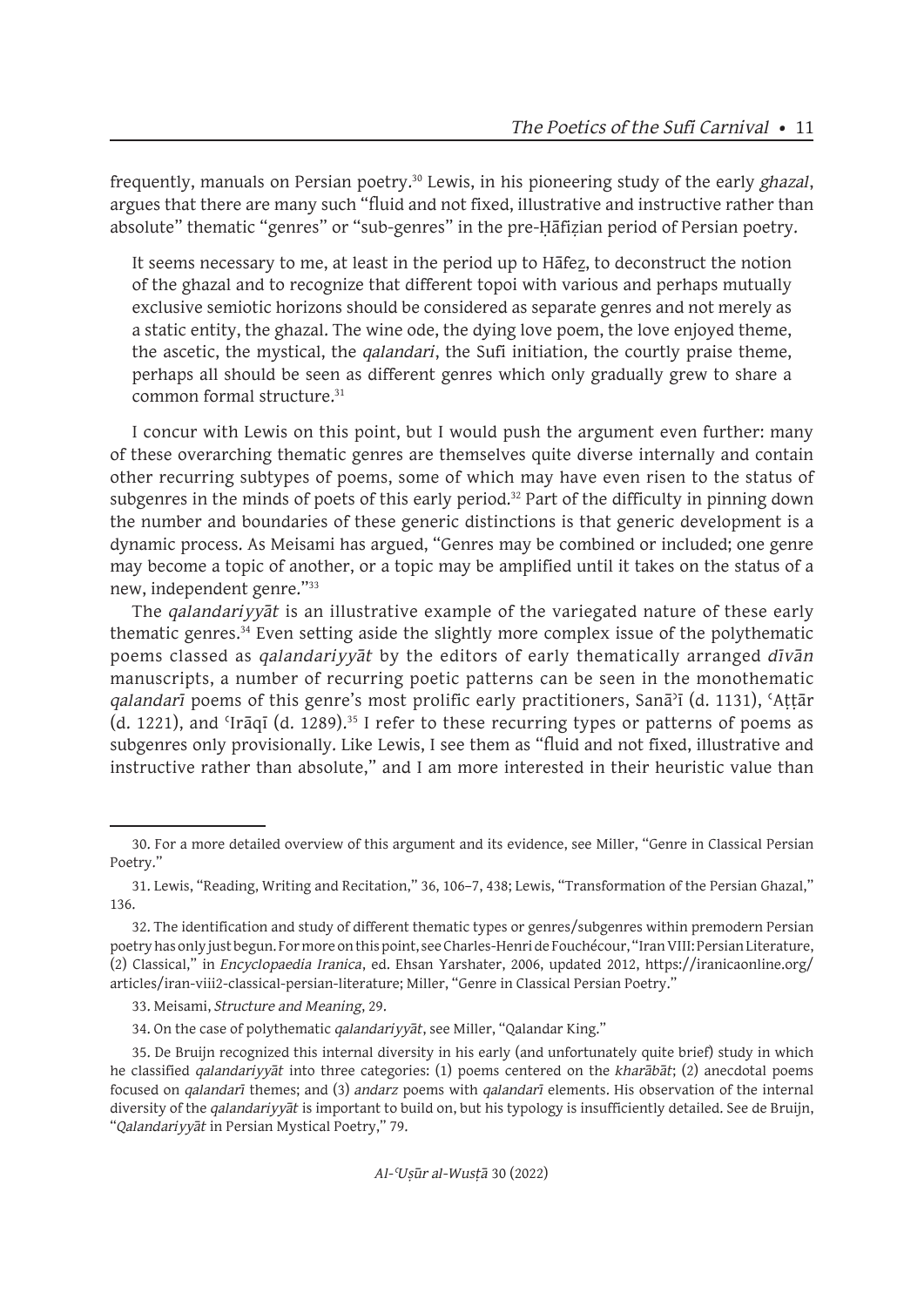frequently, manuals on Persian poetry.30 Lewis, in his pioneering study of the early *ghazal*, argues that there are many such "fluid and not fixed, illustrative and instructive rather than absolute" thematic "genres" or "sub-genres" in the pre-Ḥāfiẓian period of Persian poetry.

It seems necessary to me, at least in the period up to Hafez, to deconstruct the notion of the ghazal and to recognize that different topoi with various and perhaps mutually exclusive semiotic horizons should be considered as separate genres and not merely as a static entity, the ghazal. The wine ode, the dying love poem, the love enjoyed theme, the ascetic, the mystical, the *qalandari*, the Sufi initiation, the courtly praise theme, perhaps all should be seen as different genres which only gradually grew to share a common formal structure.<sup>31</sup>

I concur with Lewis on this point, but I would push the argument even further: many of these overarching thematic genres are themselves quite diverse internally and contain other recurring subtypes of poems, some of which may have even risen to the status of subgenres in the minds of poets of this early period.<sup>32</sup> Part of the difficulty in pinning down the number and boundaries of these generic distinctions is that generic development is a dynamic process. As Meisami has argued, "Genres may be combined or included; one genre may become a topic of another, or a topic may be amplified until it takes on the status of a new, independent genre."33

The *qalandariyyāt* is an illustrative example of the variegated nature of these early thematic genres.34 Even setting aside the slightly more complex issue of the polythematic poems classed as *qalandariyyāt* by the editors of early thematically arranged *dīvān*  manuscripts, a number of recurring poetic patterns can be seen in the monothematic *qalandarī* poems of this genre's most prolific early practitioners, Sanāʾī (d. 1131), ʿAṭṭār  $(d. 1221)$ , and 'Irāqī  $(d. 1289)$ .<sup>35</sup> I refer to these recurring types or patterns of poems as subgenres only provisionally. Like Lewis, I see them as "fluid and not fixed, illustrative and instructive rather than absolute," and I am more interested in their heuristic value than

<sup>30.</sup> For a more detailed overview of this argument and its evidence, see Miller, "Genre in Classical Persian Poetry."

<sup>31.</sup> Lewis, "Reading, Writing and Recitation," 36, 106–7, 438; Lewis, "Transformation of the Persian Ghazal," 136.

<sup>32.</sup> The identification and study of different thematic types or genres/subgenres within premodern Persian poetry has only just begun. For more on this point, see Charles-Henri de Fouchécour, "Iran VIII: Persian Literature, (2) Classical," in *Encyclopaedia Iranica*, ed. Ehsan Yarshater, 2006, updated 2012, https://iranicaonline.org/ articles/iran-viii2-classical-persian-literature; Miller, "Genre in Classical Persian Poetry."

<sup>33.</sup> Meisami, *Structure and Meaning*, 29.

<sup>34.</sup> On the case of polythematic *qalandariyyāt*, see Miller, "Qalandar King."

<sup>35.</sup> De Bruijn recognized this internal diversity in his early (and unfortunately quite brief) study in which he classified *qalandariyyāt* into three categories: (1) poems centered on the *kharābāt*; (2) anecdotal poems focused on *qalandarī* themes; and (3) *andarz* poems with *qalandarī* elements. His observation of the internal diversity of the *qalandariyyāt* is important to build on, but his typology is insufficiently detailed. See de Bruijn, "*Qalandariyyāt* in Persian Mystical Poetry," 79.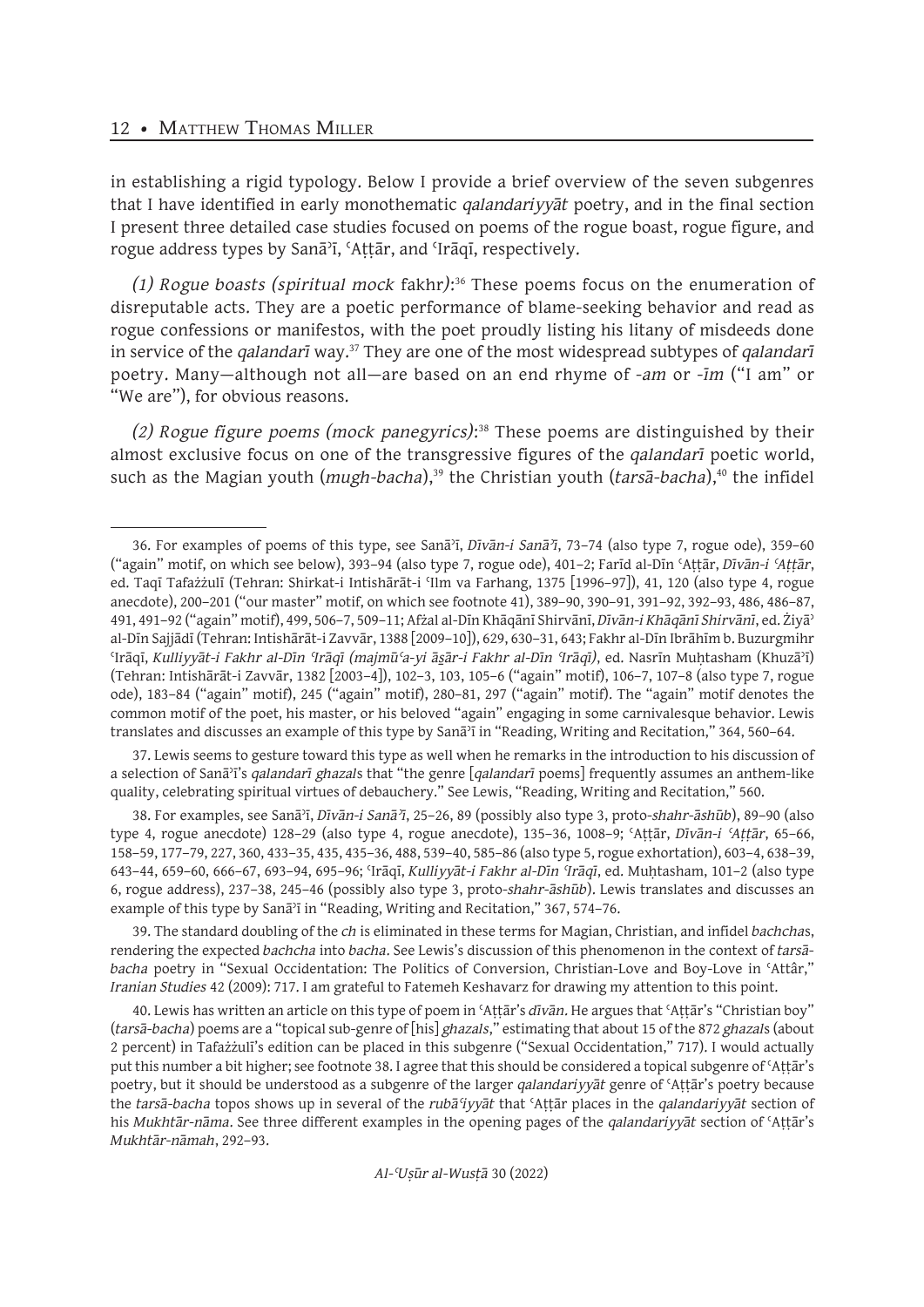in establishing a rigid typology. Below I provide a brief overview of the seven subgenres that I have identified in early monothematic *qalandariyyāt* poetry, and in the final section I present three detailed case studies focused on poems of the rogue boast, rogue figure, and rogue address types by Sanāʾī, ʿAṭṭār, and ʿIrāqī, respectively.

*(1) Rogue boasts (spiritual mock* fakhr*)*: 36 These poems focus on the enumeration of disreputable acts. They are a poetic performance of blame-seeking behavior and read as rogue confessions or manifestos, with the poet proudly listing his litany of misdeeds done in service of the *qalandarī* way.<sup>37</sup> They are one of the most widespread subtypes of *qalandarī* poetry. Many—although not all—are based on an end rhyme of *-am* or *-īm* ("I am" or "We are"), for obvious reasons.

*(2) Rogue figure poems (mock panegyrics)*: <sup>38</sup> These poems are distinguished by their almost exclusive focus on one of the transgressive figures of the *qalandarī* poetic world, such as the Magian youth (*mugh-bacha*),<sup>39</sup> the Christian youth (*tarsa-bacha*),<sup>40</sup> the infidel

37. Lewis seems to gesture toward this type as well when he remarks in the introduction to his discussion of a selection of Sanāʾī's *qalandarī ghazal*s that "the genre [*qalandarī* poems] frequently assumes an anthem-like quality, celebrating spiritual virtues of debauchery." See Lewis, "Reading, Writing and Recitation," 560.

38. For examples, see Sanāʾī, *Dīvān-i Sanāʾī*, 25–26, 89 (possibly also type 3, proto-*shahr-āshūb*), 89–90 (also type 4, rogue anecdote) 128–29 (also type 4, rogue anecdote), 135–36, 1008–9; ʿAṭṭār, *Dīvān-i ʿAṭṭār*, 65–66, 158–59, 177–79, 227, 360, 433–35, 435, 435–36, 488, 539–40, 585–86 (also type 5, rogue exhortation), 603–4, 638–39, 643–44, 659–60, 666–67, 693–94, 695–96; ʿIrāqī, *Kulliyyāt-i Fakhr al-Dīn ʿIrāqī*, ed. Muḥtasham, 101–2 (also type 6, rogue address), 237–38, 245–46 (possibly also type 3, proto-*shahr-āshūb*). Lewis translates and discusses an example of this type by Sanāʾī in "Reading, Writing and Recitation," 367, 574–76.

39. The standard doubling of the *ch* is eliminated in these terms for Magian, Christian, and infidel *bachcha*s, rendering the expected *bachcha* into *bacha*. See Lewis's discussion of this phenomenon in the context of *tarsābacha* poetry in "Sexual Occidentation: The Politics of Conversion, Christian-Love and Boy-Love in ʿAttâr," *Iranian Studies* 42 (2009): 717. I am grateful to Fatemeh Keshavarz for drawing my attention to this point.

40. Lewis has written an article on this type of poem in ʿAṭṭār's *dīvān.* He argues that ʿAṭṭār's "Christian boy" (*tarsā-bacha*) poems are a "topical sub-genre of [his] *ghazals*," estimating that about 15 of the 872 *ghazal*s (about 2 percent) in Tafażżulī's edition can be placed in this subgenre ("Sexual Occidentation," 717). I would actually put this number a bit higher; see footnote 38. I agree that this should be considered a topical subgenre of ʿAṭṭār's poetry, but it should be understood as a subgenre of the larger *qalandariyyāt* genre of ʿAṭṭār's poetry because the *tarsā-bacha* topos shows up in several of the *rubāʿiyyāt* that ʿAṭṭār places in the *qalandariyyāt* section of his *Mukhtār-nāma*. See three different examples in the opening pages of the *qalandariyyāt* section of ʿAṭṭār's *Mukhtār-nāmah*, 292–93.

<sup>36.</sup> For examples of poems of this type, see Sanāʾī, *Dīvān-i Sanāʾī*, 73–74 (also type 7, rogue ode), 359–60 ("again" motif, on which see below), 393–94 (also type 7, rogue ode), 401–2; Farīd al-Dīn ʿAṭṭār, *Dīvān-i ʿAṭṭār*, ed. Taqī Tafażżulī (Tehran: Shirkat-i Intishārāt-i ʿIlm va Farhang, 1375 [1996–97]), 41, 120 (also type 4, rogue anecdote), 200–201 ("our master" motif, on which see footnote 41), 389–90, 390–91, 391–92, 392–93, 486, 486–87, 491, 491–92 ("again" motif), 499, 506–7, 509–11; Afżal al-Dīn Khāqānī Shirvānī, *Dīvān-i Khāqānī Shirvānī*, ed. Żiyāʾ al-Dīn Sajjādī (Tehran: Intishārāt-i Zavvār, 1388 [2009–10]), 629, 630–31, 643; Fakhr al-Dīn Ibrāhīm b. Buzurgmihr ʿIrāqī, *Kulliyyāt-i Fakhr al-Dīn ʿIrāqī (majmūʿa-yi ās̱ār-i Fakhr al-Dīn ʿIrāqī)*, ed. Nasrīn Muḥtasham (Khuzāʾī) (Tehran: Intishārāt-i Zavvār, 1382 [2003–4]), 102–3, 103, 105–6 ("again" motif), 106–7, 107–8 (also type 7, rogue ode), 183–84 ("again" motif), 245 ("again" motif), 280–81, 297 ("again" motif). The "again" motif denotes the common motif of the poet, his master, or his beloved "again" engaging in some carnivalesque behavior. Lewis translates and discusses an example of this type by Sanāʾī in "Reading, Writing and Recitation," 364, 560–64.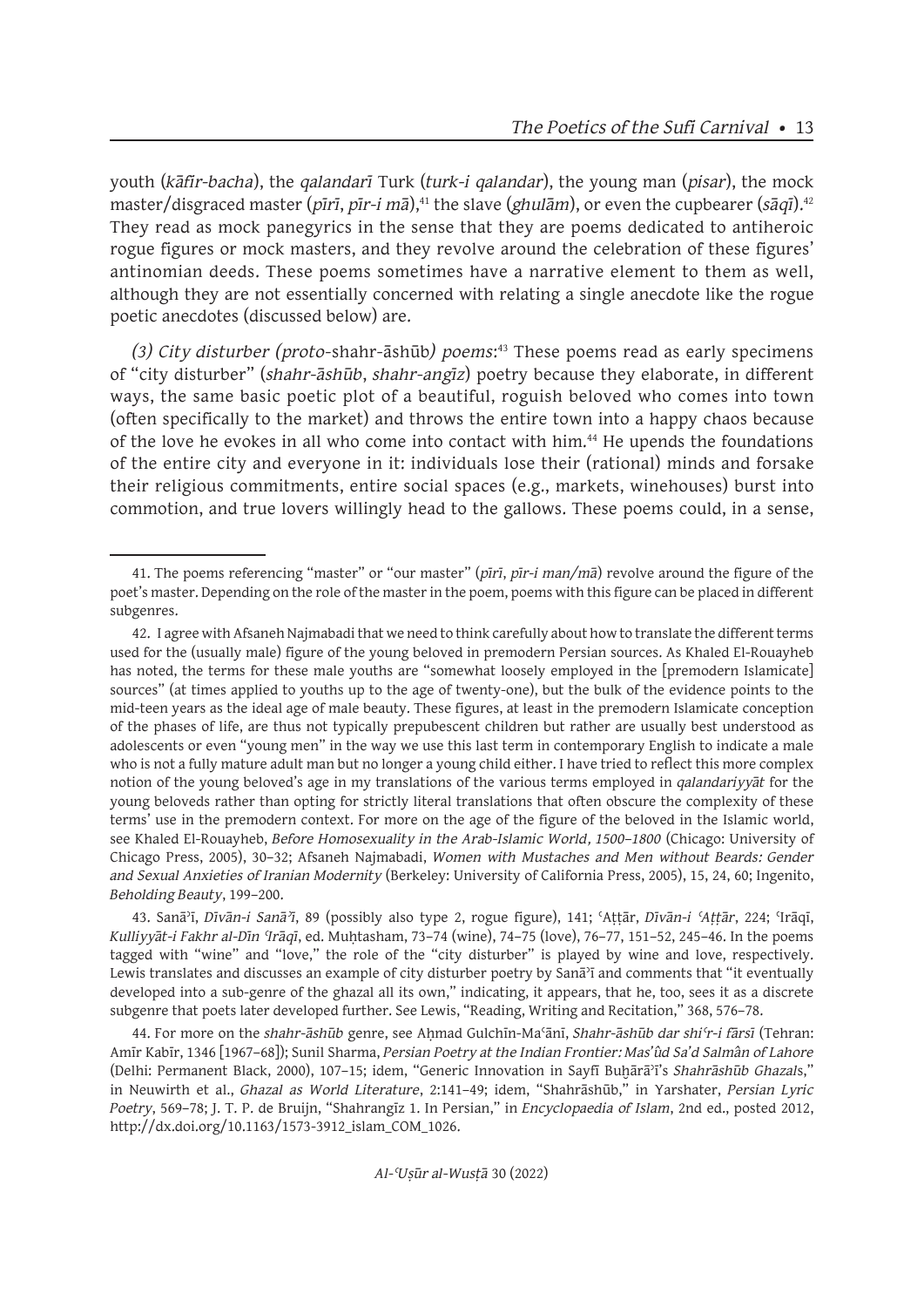youth (*kāfir-bacha*), the *qalandarī* Turk (*turk-i qalandar*), the young man (*pisar*), the mock master/disgraced master (*pīrī*, *pīr-i mā*),<sup>41</sup> the slave (*ghulām*), or even the cupbearer (*sāqī*).<sup>42</sup> They read as mock panegyrics in the sense that they are poems dedicated to antiheroic rogue figures or mock masters, and they revolve around the celebration of these figures' antinomian deeds. These poems sometimes have a narrative element to them as well, although they are not essentially concerned with relating a single anecdote like the rogue poetic anecdotes (discussed below) are.

*(3) City disturber (proto-*shahr-āshūb*) poems*: <sup>43</sup> These poems read as early specimens of "city disturber" (*shahr-āshūb*, *shahr-angīz*) poetry because they elaborate, in different ways, the same basic poetic plot of a beautiful, roguish beloved who comes into town (often specifically to the market) and throws the entire town into a happy chaos because of the love he evokes in all who come into contact with him.<sup>44</sup> He upends the foundations of the entire city and everyone in it: individuals lose their (rational) minds and forsake their religious commitments, entire social spaces (e.g., markets, winehouses) burst into commotion, and true lovers willingly head to the gallows. These poems could, in a sense,

43. Sanāʾī, *Dīvān-i Sanāʾī*, 89 (possibly also type 2, rogue figure), 141; ʿAṭṭār, *Dīvān-i ʿAṭṭār*, 224; ʿIrāqī, *Kulliyyāt-i Fakhr al-Dīn ʿIrāqī*, ed. Muḥtasham, 73–74 (wine), 74–75 (love), 76–77, 151–52, 245–46. In the poems tagged with "wine" and "love," the role of the "city disturber" is played by wine and love, respectively. Lewis translates and discusses an example of city disturber poetry by Sanāʾī and comments that "it eventually developed into a sub-genre of the ghazal all its own," indicating, it appears, that he, too, sees it as a discrete subgenre that poets later developed further. See Lewis, "Reading, Writing and Recitation," 368, 576–78.

44. For more on the *shahr-āshūb* genre, see Aḥmad Gulchīn-Maʿānī, *Shahr-āshūb dar shiʿr-i fārsī* (Tehran: Amīr Kabīr, 1346 [1967–68]); Sunil Sharma, *Persian Poetry at the Indian Frontier: Mas'ûd Sa'd Salmân of Lahore* (Delhi: Permanent Black, 2000), 107–15; idem, "Generic Innovation in Sayfī Buḫārāʾī's *Shahrāshūb Ghazal*s," in Neuwirth et al., *Ghazal as World Literature*, 2:141–49; idem, "Shahrāshūb," in Yarshater, *Persian Lyric Poetry*, 569–78; J. T. P. de Bruijn, "Shahrangīz 1. In Persian," in *Encyclopaedia of Islam*, 2nd ed., posted 2012, http://dx.doi.org/10.1163/1573-3912\_islam\_COM\_1026.

<sup>41.</sup> The poems referencing "master" or "our master" (*pīrī*, *pīr-i man/mā*) revolve around the figure of the poet's master. Depending on the role of the master in the poem, poems with this figure can be placed in different subgenres.

<sup>42.</sup> I agree with Afsaneh Najmabadi that we need to think carefully about how to translate the different terms used for the (usually male) figure of the young beloved in premodern Persian sources. As Khaled El-Rouayheb has noted, the terms for these male youths are "somewhat loosely employed in the [premodern Islamicate] sources" (at times applied to youths up to the age of twenty-one), but the bulk of the evidence points to the mid-teen years as the ideal age of male beauty. These figures, at least in the premodern Islamicate conception of the phases of life, are thus not typically prepubescent children but rather are usually best understood as adolescents or even "young men" in the way we use this last term in contemporary English to indicate a male who is not a fully mature adult man but no longer a young child either. I have tried to reflect this more complex notion of the young beloved's age in my translations of the various terms employed in *qalandariyyāt* for the young beloveds rather than opting for strictly literal translations that often obscure the complexity of these terms' use in the premodern context. For more on the age of the figure of the beloved in the Islamic world, see Khaled El-Rouayheb, *Before Homosexuality in the Arab-Islamic World, 1500–1800* (Chicago: University of Chicago Press, 2005), 30–32; Afsaneh Najmabadi, *Women with Mustaches and Men without Beards: Gender and Sexual Anxieties of Iranian Modernity* (Berkeley: University of California Press, 2005), 15, 24, 60; Ingenito, *Beholding Beauty*, 199–200.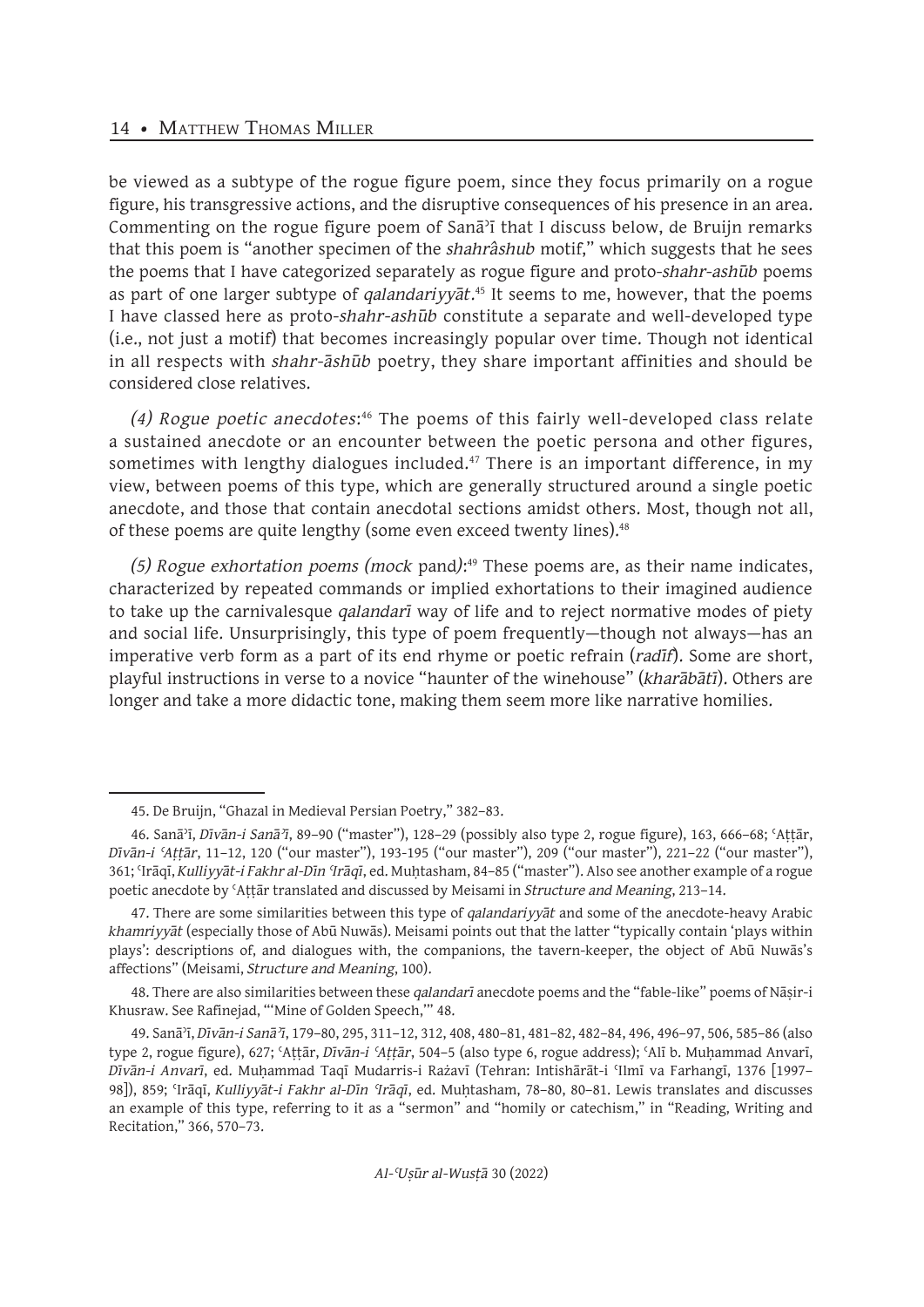be viewed as a subtype of the rogue figure poem, since they focus primarily on a rogue figure, his transgressive actions, and the disruptive consequences of his presence in an area. Commenting on the rogue figure poem of Sanāʾī that I discuss below, de Bruijn remarks that this poem is "another specimen of the *shahrâshub* motif," which suggests that he sees the poems that I have categorized separately as rogue figure and proto-*shahr-ashūb* poems as part of one larger subtype of *qalandariyyāt*. <sup>45</sup> It seems to me, however, that the poems I have classed here as proto-*shahr-ashūb* constitute a separate and well-developed type (i.e., not just a motif) that becomes increasingly popular over time. Though not identical in all respects with *shahr-āshūb* poetry, they share important affinities and should be considered close relatives.

(4) R*ogue poetic anecdotes*:<sup>46</sup> The poems of this fairly well-developed class relate a sustained anecdote or an encounter between the poetic persona and other figures, sometimes with lengthy dialogues included. $47$  There is an important difference, in my view, between poems of this type, which are generally structured around a single poetic anecdote, and those that contain anecdotal sections amidst others. Most, though not all, of these poems are quite lengthy (some even exceed twenty lines).<sup>48</sup>

*(5) Rogue exhortation poems (mock* pand*)*: <sup>49</sup> These poems are, as their name indicates, characterized by repeated commands or implied exhortations to their imagined audience to take up the carnivalesque *qalandarī* way of life and to reject normative modes of piety and social life. Unsurprisingly, this type of poem frequently—though not always—has an imperative verb form as a part of its end rhyme or poetic refrain (*radīf*). Some are short, playful instructions in verse to a novice "haunter of the winehouse" (*kharābātī*). Others are longer and take a more didactic tone, making them seem more like narrative homilies.

<sup>45.</sup> De Bruijn, "Ghazal in Medieval Persian Poetry," 382–83.

<sup>46.</sup> Sanāʾī, *Dīvān-i Sanāʾī*, 89–90 ("master"), 128–29 (possibly also type 2, rogue figure), 163, 666–68; ʿAṭṭār, *Dīvān-i ʿAṭṭār*, 11–12, 120 ("our master"), 193-195 ("our master"), 209 ("our master"), 221–22 ("our master"), 361; ʿIrāqī, *Kulliyyāt-i Fakhr al-Dīn ʿIrāqī*, ed. Muḥtasham, 84–85 ("master"). Also see another example of a rogue poetic anecdote by ʿAṭṭār translated and discussed by Meisami in *Structure and Meaning*, 213–14.

<sup>47.</sup> There are some similarities between this type of *qalandariyyāt* and some of the anecdote-heavy Arabic *khamriyyāt* (especially those of Abū Nuwās). Meisami points out that the latter "typically contain 'plays within plays': descriptions of, and dialogues with, the companions, the tavern-keeper, the object of Abū Nuwās's affections" (Meisami, *Structure and Meaning*, 100).

<sup>48.</sup> There are also similarities between these *qalandarī* anecdote poems and the "fable-like" poems of Nāṣir-i Khusraw. See Rafinejad, "'Mine of Golden Speech,'" 48.

<sup>49.</sup> Sanāʾī, *Dīvān-i Sanāʾī*, 179–80, 295, 311–12, 312, 408, 480–81, 481–82, 482–84, 496, 496–97, 506, 585–86 (also type 2, rogue figure), 627; ʿAṭṭār, *Dīvān-i ʿAṭṭār*, 504–5 (also type 6, rogue address); ʿAlī b. Muḥammad Anvarī, *Dīvān-i Anvarī*, ed. Muḥammad Taqī Mudarris-i Rażavī (Tehran: Intishārāt-i ʿIlmī va Farhangī, 1376 [1997– 98]), 859; ʿIrāqī, *Kulliyyāt-i Fakhr al-Dīn ʿIrāqī*, ed. Muḥtasham, 78–80, 80–81. Lewis translates and discusses an example of this type, referring to it as a "sermon" and "homily or catechism," in "Reading, Writing and Recitation," 366, 570–73.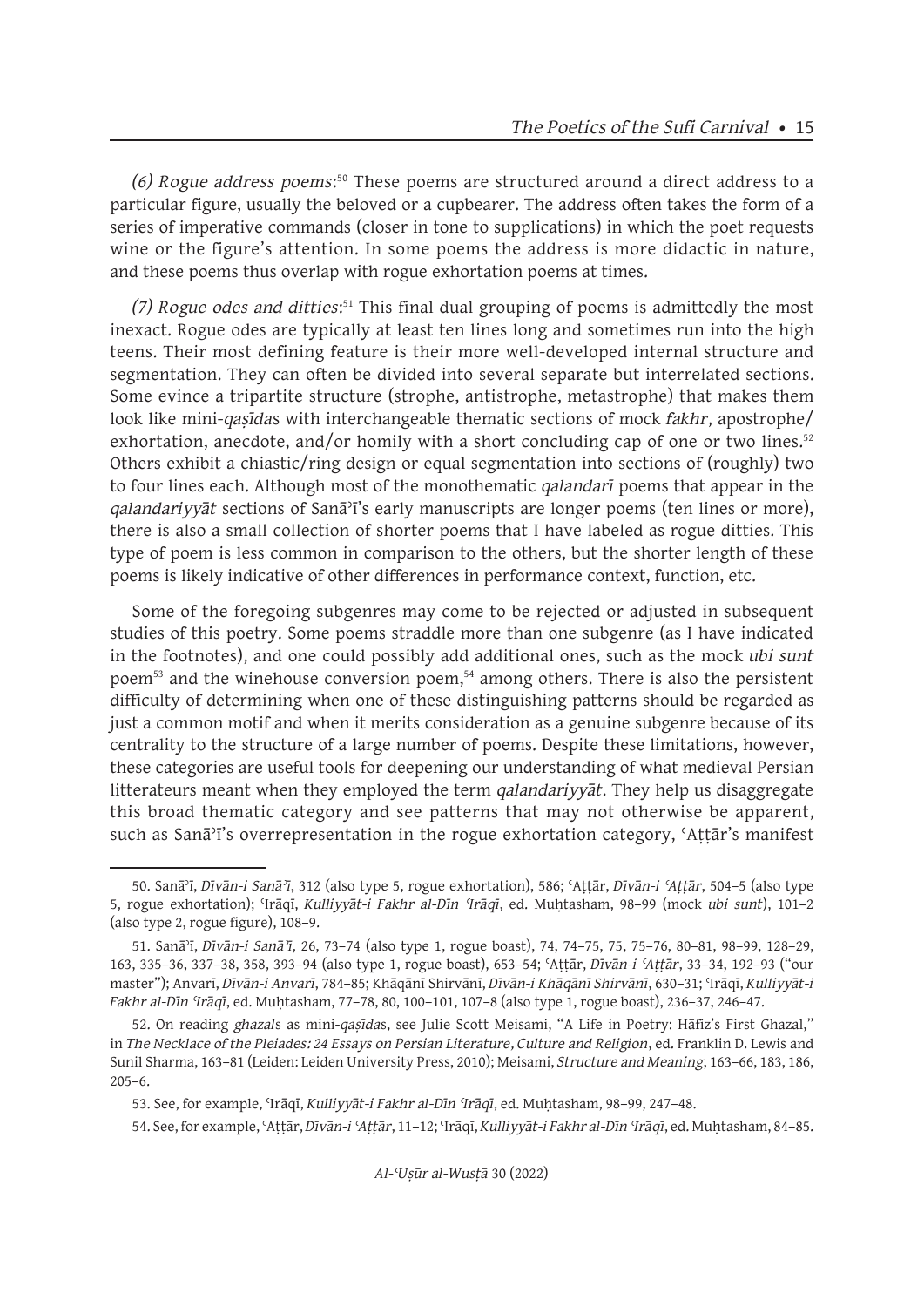*(6) Rogue address poems*: <sup>50</sup> These poems are structured around a direct address to a particular figure, usually the beloved or a cupbearer. The address often takes the form of a series of imperative commands (closer in tone to supplications) in which the poet requests wine or the figure's attention. In some poems the address is more didactic in nature, and these poems thus overlap with rogue exhortation poems at times.

*(7) Rogue odes and ditties*: <sup>51</sup> This final dual grouping of poems is admittedly the most inexact. Rogue odes are typically at least ten lines long and sometimes run into the high teens. Their most defining feature is their more well-developed internal structure and segmentation. They can often be divided into several separate but interrelated sections. Some evince a tripartite structure (strophe, antistrophe, metastrophe) that makes them look like mini-*qaṣīda*s with interchangeable thematic sections of mock *fakhr*, apostrophe/ exhortation, anecdote, and/or homily with a short concluding cap of one or two lines. $52$ Others exhibit a chiastic/ring design or equal segmentation into sections of (roughly) two to four lines each. Although most of the monothematic *qalandarī* poems that appear in the *qalandariyyāt* sections of Sanāʾī's early manuscripts are longer poems (ten lines or more), there is also a small collection of shorter poems that I have labeled as rogue ditties. This type of poem is less common in comparison to the others, but the shorter length of these poems is likely indicative of other differences in performance context, function, etc.

Some of the foregoing subgenres may come to be rejected or adjusted in subsequent studies of this poetry. Some poems straddle more than one subgenre (as I have indicated in the footnotes), and one could possibly add additional ones, such as the mock *ubi sunt*  poem<sup>53</sup> and the winehouse conversion poem,<sup>54</sup> among others. There is also the persistent difficulty of determining when one of these distinguishing patterns should be regarded as just a common motif and when it merits consideration as a genuine subgenre because of its centrality to the structure of a large number of poems. Despite these limitations, however, these categories are useful tools for deepening our understanding of what medieval Persian litterateurs meant when they employed the term *qalandariyyāt*. They help us disaggregate this broad thematic category and see patterns that may not otherwise be apparent, such as Sanāʾī's overrepresentation in the rogue exhortation category, ʿAṭṭār's manifest

53. See, for example, ʿIrāqī, *Kulliyyāt-i Fakhr al-Dīn ʿIrāqī*, ed. Muḥtasham, 98–99, 247–48.

<sup>50.</sup> Sanāʾī, *Dīvān-i Sanāʾī*, 312 (also type 5, rogue exhortation), 586; ʿAṭṭār, *Dīvān-i ʿAṭṭār*, 504–5 (also type 5, rogue exhortation); ʿIrāqī, *Kulliyyāt-i Fakhr al-Dīn ʿIrāqī*, ed. Muḥtasham, 98–99 (mock *ubi sunt*), 101–2 (also type 2, rogue figure), 108–9.

<sup>51.</sup> Sanāʾī, *Dīvān-i Sanāʾī*, 26, 73–74 (also type 1, rogue boast), 74, 74–75, 75, 75–76, 80–81, 98–99, 128–29, 163, 335–36, 337–38, 358, 393–94 (also type 1, rogue boast), 653–54; ʿAṭṭār, *Dīvān-i ʿAṭṭār*, 33–34, 192–93 ("our master"); Anvarī, *Dīvān-i Anvarī*, 784–85; Khāqānī Shirvānī, *Dīvān-i Khāqānī Shirvānī*, 630–31; ʿIrāqī, *Kulliyyāt-i Fakhr al-Dīn ʿIrāqī*, ed. Muḥtasham, 77–78, 80, 100–101, 107–8 (also type 1, rogue boast), 236–37, 246–47.

<sup>52.</sup> On reading *ghazal*s as mini-*qaṣīda*s, see Julie Scott Meisami, "A Life in Poetry: Hāfiz's First Ghazal," in *The Necklace of the Pleiades: 24 Essays on Persian Literature, Culture and Religion*, ed. Franklin D. Lewis and Sunil Sharma, 163–81 (Leiden: Leiden University Press, 2010); Meisami, *Structure and Meaning*, 163–66, 183, 186,  $205-6.$ 

<sup>54.</sup> See, for example, ʿAṭṭār, *Dīvān-i ʿAṭṭār*, 11–12; ʿIrāqī, *Kulliyyāt-i Fakhr al-Dīn ʿIrāqī*, ed. Muḥtasham, 84–85.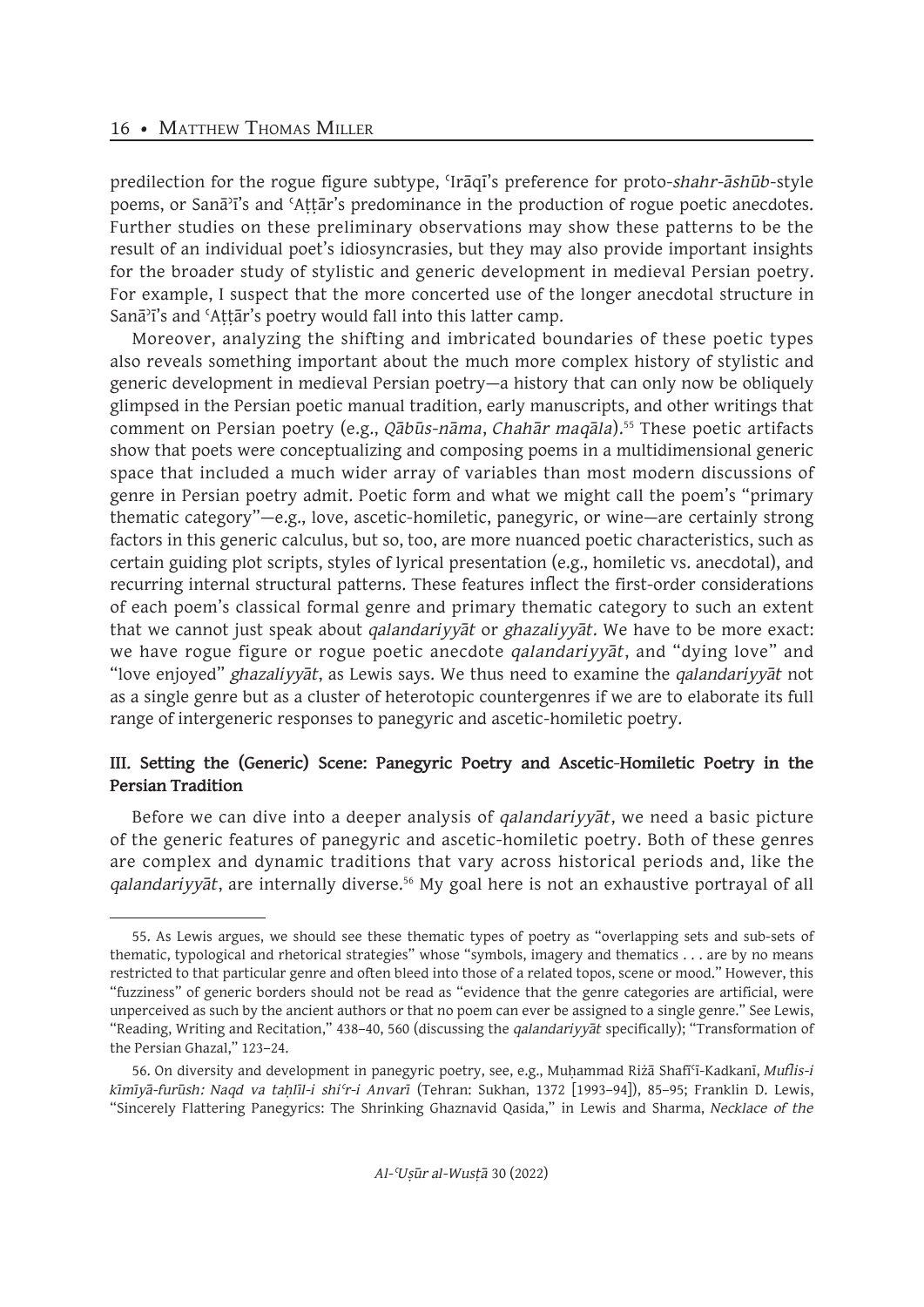predilection for the rogue figure subtype, ʿIrāqī's preference for proto-*shahr-āshūb*-style poems, or Sanāʾī's and ʿAṭṭār's predominance in the production of rogue poetic anecdotes. Further studies on these preliminary observations may show these patterns to be the result of an individual poet's idiosyncrasies, but they may also provide important insights for the broader study of stylistic and generic development in medieval Persian poetry. For example, I suspect that the more concerted use of the longer anecdotal structure in Sanā<sup> $3$ </sup>i's and 'Attār's poetry would fall into this latter camp.

Moreover, analyzing the shifting and imbricated boundaries of these poetic types also reveals something important about the much more complex history of stylistic and generic development in medieval Persian poetry—a history that can only now be obliquely glimpsed in the Persian poetic manual tradition, early manuscripts, and other writings that comment on Persian poetry (e.g., *Qābūs-nāma*, *Chahār maqāla*).<sup>55</sup> These poetic artifacts show that poets were conceptualizing and composing poems in a multidimensional generic space that included a much wider array of variables than most modern discussions of genre in Persian poetry admit. Poetic form and what we might call the poem's "primary thematic category"—e.g., love, ascetic-homiletic, panegyric, or wine—are certainly strong factors in this generic calculus, but so, too, are more nuanced poetic characteristics, such as certain guiding plot scripts, styles of lyrical presentation (e.g., homiletic vs. anecdotal), and recurring internal structural patterns. These features inflect the first-order considerations of each poem's classical formal genre and primary thematic category to such an extent that we cannot just speak about *qalandariyyāt* or *ghazaliyyāt*. We have to be more exact: we have rogue figure or rogue poetic anecdote *qalandariyyāt*, and "dying love" and "love enjoyed" *ghazaliyyāt*, as Lewis says. We thus need to examine the *qalandariyyāt* not as a single genre but as a cluster of heterotopic countergenres if we are to elaborate its full range of intergeneric responses to panegyric and ascetic-homiletic poetry.

## **III. Setting the (Generic) Scene: Panegyric Poetry and Ascetic-Homiletic Poetry in the Persian Tradition**

Before we can dive into a deeper analysis of *qalandariyyāt*, we need a basic picture of the generic features of panegyric and ascetic-homiletic poetry. Both of these genres are complex and dynamic traditions that vary across historical periods and, like the *qalandariyyāt*, are internally diverse.<sup>56</sup> My goal here is not an exhaustive portrayal of all

<sup>55.</sup> As Lewis argues, we should see these thematic types of poetry as "overlapping sets and sub-sets of thematic, typological and rhetorical strategies" whose "symbols, imagery and thematics . . . are by no means restricted to that particular genre and often bleed into those of a related topos, scene or mood." However, this "fuzziness" of generic borders should not be read as "evidence that the genre categories are artificial, were unperceived as such by the ancient authors or that no poem can ever be assigned to a single genre." See Lewis, "Reading, Writing and Recitation," 438–40, 560 (discussing the *qalandariyyāt* specifically); "Transformation of the Persian Ghazal," 123–24.

<sup>56.</sup> On diversity and development in panegyric poetry, see, e.g., Muḥammad Riżā Shafīʿī-Kadkanī, *Muflis-i kīmīyā-furūsh: Naqd va taḥlīl-i shiʿr-i Anvarī* (Tehran: Sukhan, 1372 [1993–94]), 85–95; Franklin D. Lewis, "Sincerely Flattering Panegyrics: The Shrinking Ghaznavid Qasida," in Lewis and Sharma, *Necklace of the*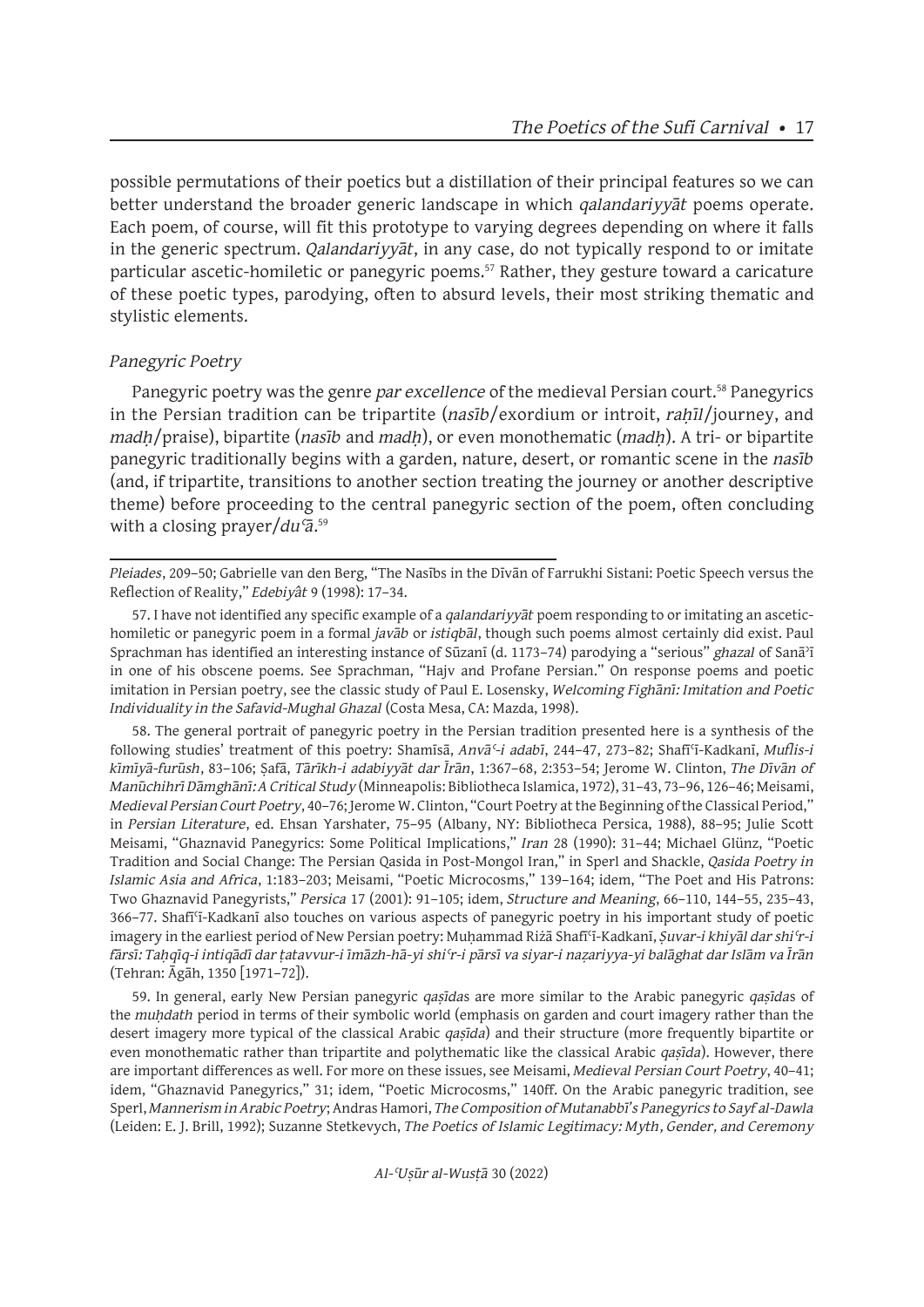possible permutations of their poetics but a distillation of their principal features so we can better understand the broader generic landscape in which *qalandariyyāt* poems operate. Each poem, of course, will fit this prototype to varying degrees depending on where it falls in the generic spectrum. *Qalandariyyāt*, in any case, do not typically respond to or imitate particular ascetic-homiletic or panegyric poems.<sup>57</sup> Rather, they gesture toward a caricature of these poetic types, parodying, often to absurd levels, their most striking thematic and stylistic elements.

## *Panegyric Poetry*

Panegyric poetry was the genre *par excellence* of the medieval Persian court.<sup>58</sup> Panegyrics in the Persian tradition can be tripartite (*nasīb*/exordium or introit, *rahīl*/journey, and *madḥ*/praise), bipartite (*nasīb* and *madḥ*), or even monothematic (*madḥ*). A tri- or bipartite panegyric traditionally begins with a garden, nature, desert, or romantic scene in the *nasīb* (and, if tripartite, transitions to another section treating the journey or another descriptive theme) before proceeding to the central panegyric section of the poem, often concluding with a closing prayer/*duʿā*. 59

58. The general portrait of panegyric poetry in the Persian tradition presented here is a synthesis of the following studies' treatment of this poetry: Shamīsā, *Anvāʿ-i adabī*, 244–47, 273–82; Shafīʿī-Kadkanī, *Muflis-i kīmīyā-furūsh*, 83–106; Ṣafā, *Tārīkh-i adabiyyāt dar Īrān*, 1:367–68, 2:353–54; Jerome W. Clinton, *The Dīvān of Manūchihrī Dāmghānī: A Critical Study* (Minneapolis: Bibliotheca Islamica, 1972), 31–43, 73–96, 126–46; Meisami, *Medieval Persian Court Poetry*, 40–76; Jerome W. Clinton, "Court Poetry at the Beginning of the Classical Period," in *Persian Literature*, ed. Ehsan Yarshater, 75–95 (Albany, NY: Bibliotheca Persica, 1988), 88–95; Julie Scott Meisami, "Ghaznavid Panegyrics: Some Political Implications," *Iran* 28 (1990): 31–44; Michael Glünz, "Poetic Tradition and Social Change: The Persian Qasida in Post-Mongol Iran," in Sperl and Shackle, *Qasida Poetry in Islamic Asia and Africa*, 1:183–203; Meisami, "Poetic Microcosms," 139–164; idem, "The Poet and His Patrons: Two Ghaznavid Panegyrists," *Persica* 17 (2001): 91–105; idem, *Structure and Meaning*, 66–110, 144–55, 235–43, 366–77. Shafīʿī-Kadkanī also touches on various aspects of panegyric poetry in his important study of poetic imagery in the earliest period of New Persian poetry: Muḥammad Riżā Shafīʿī-Kadkanī, *Ṣuvar-i khiyāl dar shiʿr-i fārsī: Taḥqīq-i intiqādī dar ṭatavvur-i īmāzh-hā-yi shiʿr-i pārsī va siyar-i naẓariyya-yi balāghat dar Islām va Īrān* (Tehran: Āgāh, 1350 [1971–72]).

59. In general, early New Persian panegyric *qaṣīda*s are more similar to the Arabic panegyric *qaṣīda*s of the *muḥdath* period in terms of their symbolic world (emphasis on garden and court imagery rather than the desert imagery more typical of the classical Arabic *qaṣīda*) and their structure (more frequently bipartite or even monothematic rather than tripartite and polythematic like the classical Arabic *qaṣīda*). However, there are important differences as well. For more on these issues, see Meisami, *Medieval Persian Court Poetry*, 40–41; idem, "Ghaznavid Panegyrics," 31; idem, "Poetic Microcosms," 140ff. On the Arabic panegyric tradition, see Sperl, *Mannerism in Arabic Poetry*; Andras Hamori, *The Composition of Mutanabbī's Panegyrics to Sayf al-Dawla* (Leiden: E. J. Brill, 1992); Suzanne Stetkevych, *The Poetics of Islamic Legitimacy: Myth, Gender, and Ceremony* 

*Pleiades*, 209–50; Gabrielle van den Berg, "The Nasībs in the Dīvān of Farrukhi Sistani: Poetic Speech versus the Reflection of Reality," *Edebiyât* 9 (1998): 17–34.

<sup>57.</sup> I have not identified any specific example of a *qalandariyyāt* poem responding to or imitating an ascetichomiletic or panegyric poem in a formal *javāb* or *istiqbāl*, though such poems almost certainly did exist. Paul Sprachman has identified an interesting instance of Sūzanī (d. 1173–74) parodying a "serious" *ghazal* of Sanāʾī in one of his obscene poems. See Sprachman, "Hajv and Profane Persian." On response poems and poetic imitation in Persian poetry, see the classic study of Paul E. Losensky, *Welcoming Fighānī: Imitation and Poetic Individuality in the Safavid-Mughal Ghazal* (Costa Mesa, CA: Mazda, 1998).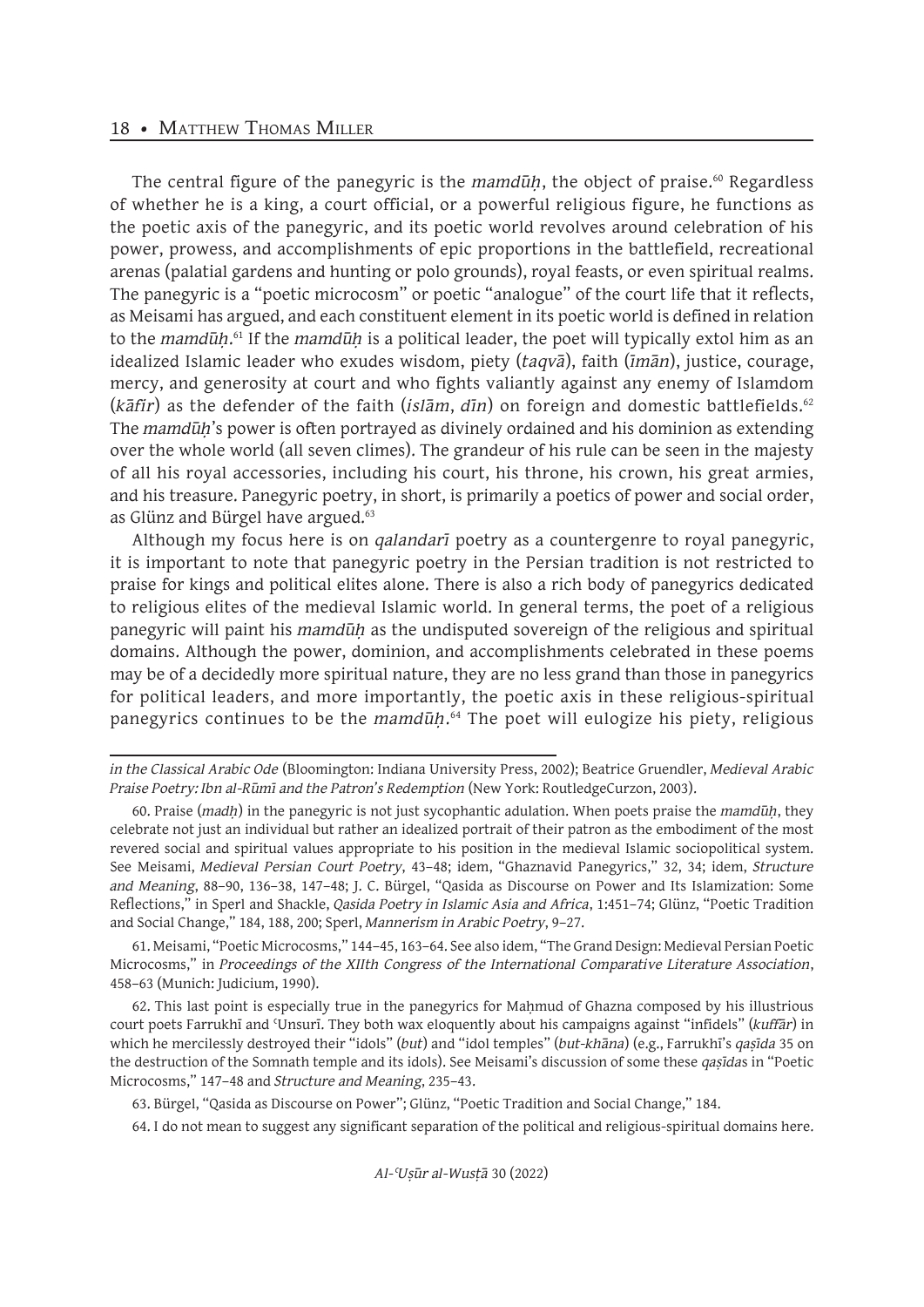#### 18 • MATTHEW THOMAS MILLER

The central figure of the panegyric is the *mamdūh*, the object of praise.<sup>60</sup> Regardless of whether he is a king, a court official, or a powerful religious figure, he functions as the poetic axis of the panegyric, and its poetic world revolves around celebration of his power, prowess, and accomplishments of epic proportions in the battlefield, recreational arenas (palatial gardens and hunting or polo grounds), royal feasts, or even spiritual realms. The panegyric is a "poetic microcosm" or poetic "analogue" of the court life that it reflects, as Meisami has argued, and each constituent element in its poetic world is defined in relation to the *mamdūḥ*. 61 If the *mamdūḥ* is a political leader, the poet will typically extol him as an idealized Islamic leader who exudes wisdom, piety (*taqvā*), faith (*īmān*), justice, courage, mercy, and generosity at court and who fights valiantly against any enemy of Islamdom (*kāfir*) as the defender of the faith (*islām*, *dīn*) on foreign and domestic battlefields.<sup>62</sup> The *mamdūḥ*'s power is often portrayed as divinely ordained and his dominion as extending over the whole world (all seven climes). The grandeur of his rule can be seen in the majesty of all his royal accessories, including his court, his throne, his crown, his great armies, and his treasure. Panegyric poetry, in short, is primarily a poetics of power and social order, as Glünz and Bürgel have argued.<sup>63</sup>

Although my focus here is on *qalandarī* poetry as a countergenre to royal panegyric, it is important to note that panegyric poetry in the Persian tradition is not restricted to praise for kings and political elites alone. There is also a rich body of panegyrics dedicated to religious elites of the medieval Islamic world. In general terms, the poet of a religious panegyric will paint his *mamdūḥ* as the undisputed sovereign of the religious and spiritual domains. Although the power, dominion, and accomplishments celebrated in these poems may be of a decidedly more spiritual nature, they are no less grand than those in panegyrics for political leaders, and more importantly, the poetic axis in these religious-spiritual panegyrics continues to be the *mamdūḥ*. 64 The poet will eulogize his piety, religious

61. Meisami, "Poetic Microcosms," 144–45, 163–64. See also idem, "The Grand Design: Medieval Persian Poetic Microcosms," in *Proceedings of the XIIth Congress of the International Comparative Literature Association*, 458–63 (Munich: Judicium, 1990).

62. This last point is especially true in the panegyrics for Mahmud of Ghazna composed by his illustrious court poets Farrukhī and ʿUnsurī. They both wax eloquently about his campaigns against "infidels" (*kuffār*) in which he mercilessly destroyed their "idols" (*but*) and "idol temples" (*but-khāna*) (e.g., Farrukhī's *qaṣīda* 35 on the destruction of the Somnath temple and its idols). See Meisami's discussion of some these *qaṣīda*s in "Poetic Microcosms," 147–48 and *Structure and Meaning*, 235–43.

63. Bürgel, "Qasida as Discourse on Power"; Glünz, "Poetic Tradition and Social Change," 184.

64. I do not mean to suggest any significant separation of the political and religious-spiritual domains here.

*in the Classical Arabic Ode* (Bloomington: Indiana University Press, 2002); Beatrice Gruendler, *Medieval Arabic Praise Poetry: Ibn al-Rūmī and the Patron's Redemption* (New York: RoutledgeCurzon, 2003).

<sup>60.</sup> Praise (*madḥ*) in the panegyric is not just sycophantic adulation. When poets praise the *mamdūḥ*, they celebrate not just an individual but rather an idealized portrait of their patron as the embodiment of the most revered social and spiritual values appropriate to his position in the medieval Islamic sociopolitical system. See Meisami, *Medieval Persian Court Poetry*, 43–48; idem, "Ghaznavid Panegyrics," 32, 34; idem, *Structure and Meaning*, 88–90, 136–38, 147–48; J. C. Bürgel, "Qasida as Discourse on Power and Its Islamization: Some Reflections," in Sperl and Shackle, *Qasida Poetry in Islamic Asia and Africa*, 1:451–74; Glünz, "Poetic Tradition and Social Change," 184, 188, 200; Sperl, *Mannerism in Arabic Poetry*, 9–27.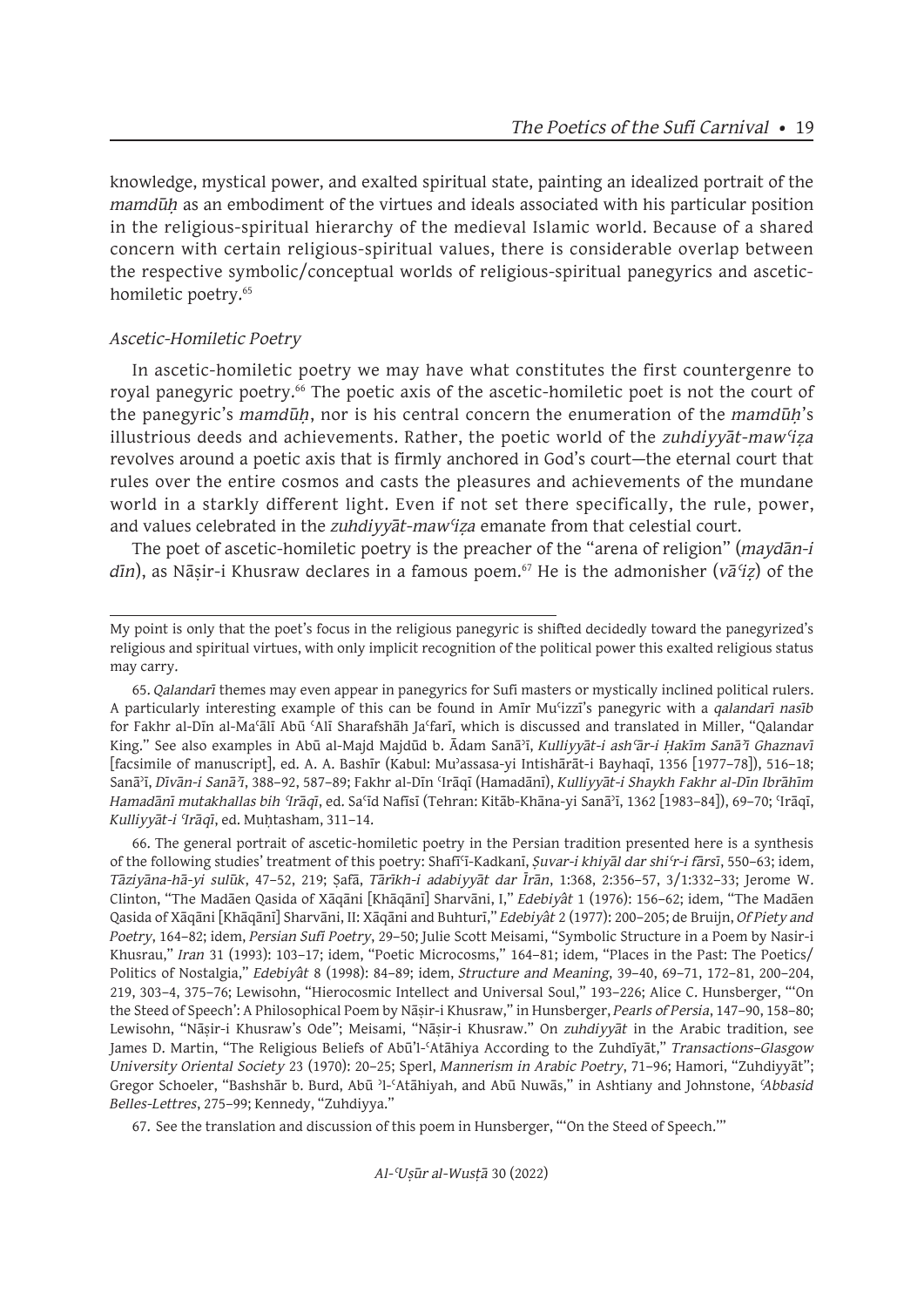knowledge, mystical power, and exalted spiritual state, painting an idealized portrait of the *mamdūḥ* as an embodiment of the virtues and ideals associated with his particular position in the religious-spiritual hierarchy of the medieval Islamic world. Because of a shared concern with certain religious-spiritual values, there is considerable overlap between the respective symbolic/conceptual worlds of religious-spiritual panegyrics and ascetichomiletic poetry.<sup>65</sup>

## *Ascetic-Homiletic Poetry*

In ascetic-homiletic poetry we may have what constitutes the first countergenre to royal panegyric poetry.<sup>66</sup> The poetic axis of the ascetic-homiletic poet is not the court of the panegyric's *mamdūḥ*, nor is his central concern the enumeration of the *mamdūḥ*'s illustrious deeds and achievements. Rather, the poetic world of the *zuhdiyyāt*-*mawʿiẓa* revolves around a poetic axis that is firmly anchored in God's court—the eternal court that rules over the entire cosmos and casts the pleasures and achievements of the mundane world in a starkly different light. Even if not set there specifically, the rule, power, and values celebrated in the *zuhdiyyāt*-*mawʿiẓa* emanate from that celestial court.

The poet of ascetic-homiletic poetry is the preacher of the "arena of religion" (*maydān-i dīn*), as Nāṣir-i Khusraw declares in a famous poem.67 He is the admonisher (*vāʿiẓ*) of the

65. *Qalandarī* themes may even appear in panegyrics for Sufi masters or mystically inclined political rulers. A particularly interesting example of this can be found in Amīr Muʿizzī's panegyric with a *qalandarī nasīb*  for Fakhr al-Dīn al-Maʿālī Abū ʿAlī Sharafshāh Jaʿfarī, which is discussed and translated in Miller, "Qalandar King." See also examples in Abū al-Majd Majdūd b. Ādam Sanāʾī, *Kulliyyāt-i ashʿār-i Ḥakīm Sanāʾī Ghaznavī*  [facsimile of manuscript], ed. A. A. Bashīr (Kabul: Muʾassasa-yi Intishārāt-i Bayhaqī, 1356 [1977–78]), 516–18; Sanāʾī, *Dīvān-i Sanāʾī*, 388–92, 587–89; Fakhr al-Dīn ʿIrāqī (Hamadānī), *Kulliyyāt-i Shaykh Fakhr al-Dīn Ibrāhīm Hamadānī mutakhallas bih ʿIrāqī*, ed. Saʿīd Nafīsī (Tehran: Kitāb-Khāna-yi Sanāʾī, 1362 [1983–84]), 69–70; ʿIrāqī, *Kulliyyāt-i ʿIrāqī*, ed. Muḥtasham, 311–14.

66. The general portrait of ascetic-homiletic poetry in the Persian tradition presented here is a synthesis of the following studies' treatment of this poetry: Shafīʿī-Kadkanī, *Ṣuvar-i khiyāl dar shiʿr-i fārsī*, 550–63; idem, *Tāziyāna-hā-yi sulūk*, 47–52, 219; Ṣafā, *Tārīkh-i adabiyyāt dar Īrān*, 1:368, 2:356–57, 3/1:332–33; Jerome W. Clinton, "The Madāen Qasida of Xāqāni [Khāqānī] Sharvāni, I," *Edebiyât* 1 (1976): 156–62; idem, "The Madāen Qasida of Xāqāni [Khāqānī] Sharvāni, II: Xāqāni and Buhturī," *Edebiyât* 2 (1977): 200–205; de Bruijn, *Of Piety and Poetry*, 164–82; idem, *Persian Sufi Poetry*, 29–50; Julie Scott Meisami, "Symbolic Structure in a Poem by Nasir-i Khusrau," *Iran* 31 (1993): 103–17; idem, "Poetic Microcosms," 164–81; idem, "Places in the Past: The Poetics/ Politics of Nostalgia," *Edebiyât* 8 (1998): 84–89; idem, *Structure and Meaning*, 39–40, 69–71, 172–81, 200–204, 219, 303–4, 375–76; Lewisohn, "Hierocosmic Intellect and Universal Soul," 193–226; Alice C. Hunsberger, "'On the Steed of Speech': A Philosophical Poem by Nāṣir-i Khusraw," in Hunsberger, *Pearls of Persia*, 147–90, 158–80; Lewisohn, "Nāṣir-i Khusraw's Ode"; Meisami, "Nāṣir-i Khusraw." On *zuhdiyyāt* in the Arabic tradition, see James D. Martin, "The Religious Beliefs of Abū'l-ʿAtāhiya According to the Zuhdīyāt," *Transactions–Glasgow University Oriental Society* 23 (1970): 20–25; Sperl, *Mannerism in Arabic Poetry*, 71–96; Hamori, "Zuhdiyyāt"; Gregor Schoeler, "Bashshār b. Burd, Abū ʾl-ʿAtāhiyah, and Abū Nuwās," in Ashtiany and Johnstone, *ʿAbbasid Belles-Lettres*, 275–99; Kennedy, "Zuhdiyya."

67. See the translation and discussion of this poem in Hunsberger, "'On the Steed of Speech.'"

My point is only that the poet's focus in the religious panegyric is shifted decidedly toward the panegyrized's religious and spiritual virtues, with only implicit recognition of the political power this exalted religious status may carry.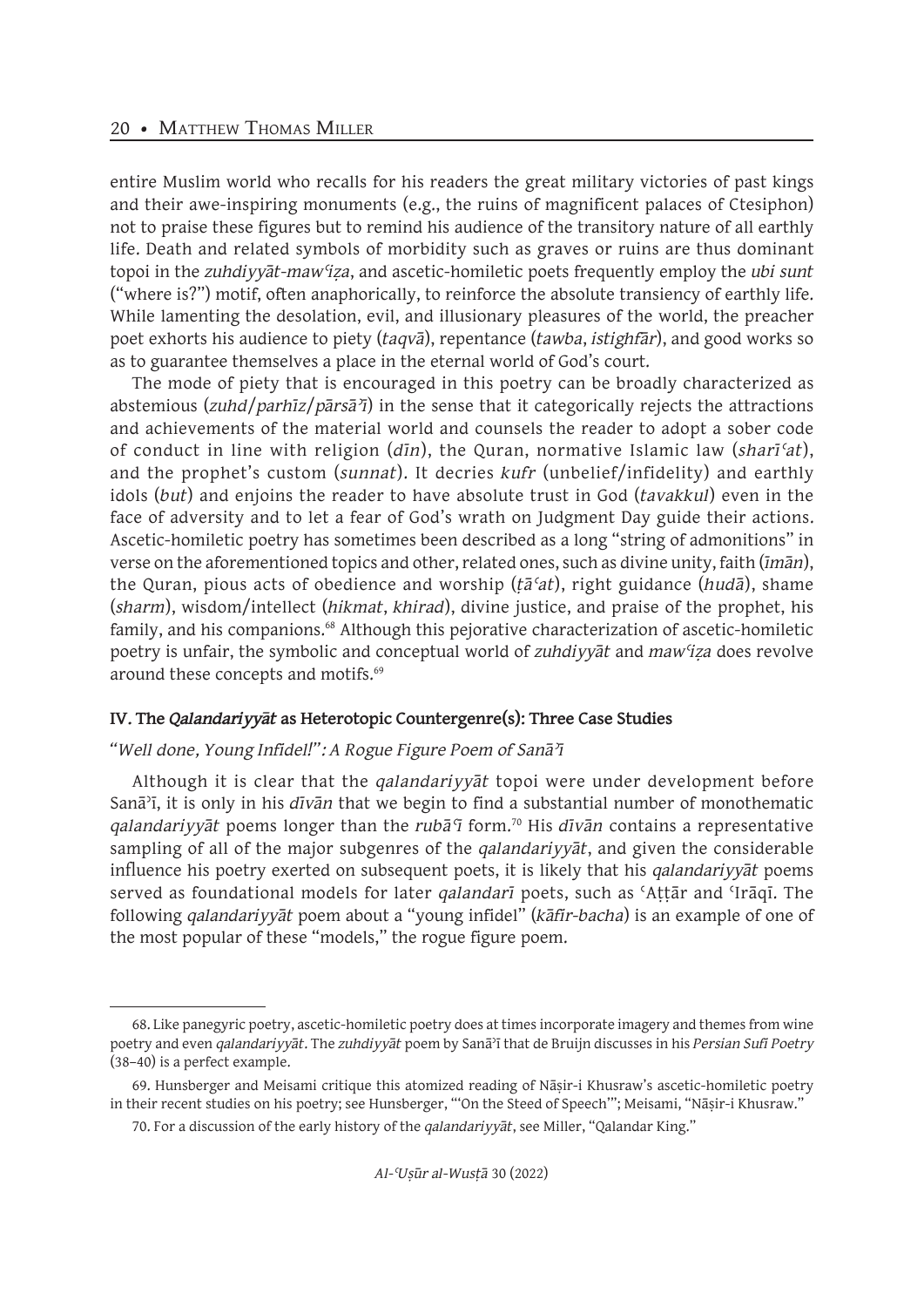entire Muslim world who recalls for his readers the great military victories of past kings and their awe-inspiring monuments (e.g., the ruins of magnificent palaces of Ctesiphon) not to praise these figures but to remind his audience of the transitory nature of all earthly life. Death and related symbols of morbidity such as graves or ruins are thus dominant topoi in the *zuhdiyyāt*-*mawʿiẓa*, and ascetic-homiletic poets frequently employ the *ubi sunt*  ("where is?") motif, often anaphorically, to reinforce the absolute transiency of earthly life. While lamenting the desolation, evil, and illusionary pleasures of the world, the preacher poet exhorts his audience to piety (*taqvā*), repentance (*tawba*, *istighfār*), and good works so as to guarantee themselves a place in the eternal world of God's court.

The mode of piety that is encouraged in this poetry can be broadly characterized as abstemious (*zuhd*/*parhīz*/*pārsāʾī*) in the sense that it categorically rejects the attractions and achievements of the material world and counsels the reader to adopt a sober code of conduct in line with religion (*dīn*), the Quran, normative Islamic law (*sharīʿat*), and the prophet's custom (*sunnat*). It decries *kufr* (unbelief/infidelity) and earthly idols (*but*) and enjoins the reader to have absolute trust in God (*tavakkul*) even in the face of adversity and to let a fear of God's wrath on Judgment Day guide their actions. Ascetic-homiletic poetry has sometimes been described as a long "string of admonitions" in verse on the aforementioned topics and other, related ones, such as divine unity, faith (*īmān*), the Quran, pious acts of obedience and worship (*ṭāʿat*), right guidance (*hudā*), shame (*sharm*), wisdom/intellect (*hikmat*, *khirad*), divine justice, and praise of the prophet, his family, and his companions.<sup>68</sup> Although this pejorative characterization of ascetic-homiletic poetry is unfair, the symbolic and conceptual world of *zuhdiyyāt* and *mawʿiẓa* does revolve around these concepts and motifs.<sup>69</sup>

#### **IV. The** *Qalandariyyāt* **as Heterotopic Countergenre(s): Three Case Studies**

#### *"Well done, Young Infidel!": A Rogue Figure Poem of Sanāʾī*

Although it is clear that the *qalandariyyāt* topoi were under development before Sanāʾī, it is only in his *dīvān* that we begin to find a substantial number of monothematic *qalandariyyāt* poems longer than the *rubāʿī* form.<sup>70</sup> His *dīvān* contains a representative sampling of all of the major subgenres of the *qalandariyyāt*, and given the considerable influence his poetry exerted on subsequent poets, it is likely that his *qalandariyyāt* poems served as foundational models for later *qalandarī* poets, such as ʿAṭṭār and ʿIrāqī. The following *qalandariyyāt* poem about a "young infidel" (*kāfir-bacha*) is an example of one of the most popular of these "models," the rogue figure poem.

<sup>68.</sup> Like panegyric poetry, ascetic-homiletic poetry does at times incorporate imagery and themes from wine poetry and even *qalandariyyāt*. The *zuhdiyyāt* poem by Sanāʾī that de Bruijn discusses in his *Persian Sufi Poetry*  (38–40) is a perfect example.

<sup>69.</sup> Hunsberger and Meisami critique this atomized reading of Nāṣir-i Khusraw's ascetic-homiletic poetry in their recent studies on his poetry; see Hunsberger, "'On the Steed of Speech'"; Meisami, "Nāṣir-i Khusraw."

<sup>70.</sup> For a discussion of the early history of the *qalandariyyāt*, see Miller, "Qalandar King."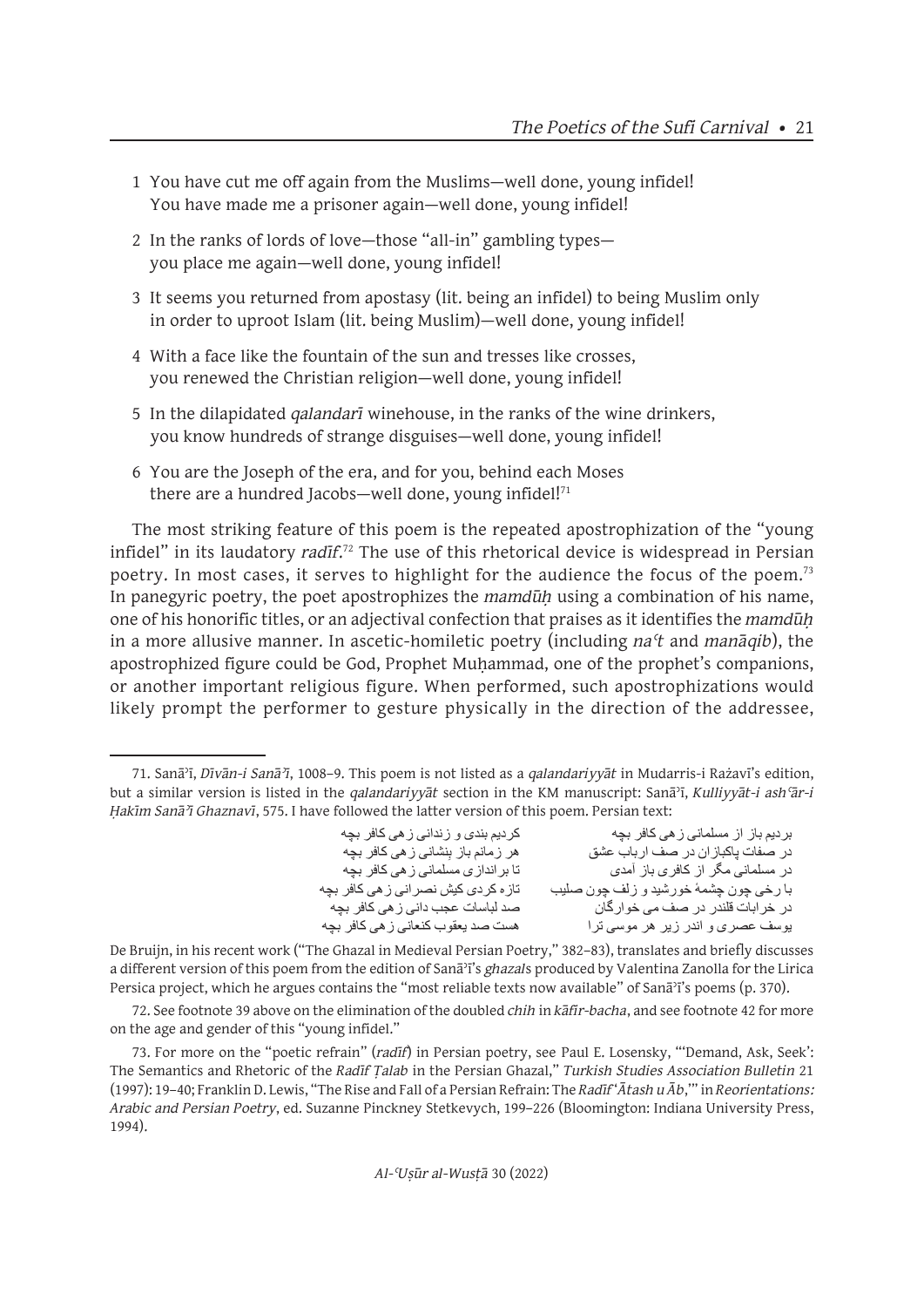- 1 You have cut me off again from the Muslims—well done, young infidel! You have made me a prisoner again—well done, young infidel!
- 2 In the ranks of lords of love—those "all-in" gambling types you place me again—well done, young infidel!
- 3 It seems you returned from apostasy (lit. being an infidel) to being Muslim only in order to uproot Islam (lit. being Muslim)—well done, young infidel!
- 4 With a face like the fountain of the sun and tresses like crosses, you renewed the Christian religion—well done, young infidel!
- 5 In the dilapidated *qalandarī* winehouse, in the ranks of the wine drinkers, you know hundreds of strange disguises—well done, young infidel!
- 6 You are the Joseph of the era, and for you, behind each Moses there are a hundred Jacobs—well done, young infidel $!$ <sup>71</sup>

The most striking feature of this poem is the repeated apostrophization of the "young infidel" in its laudatory *radīf*. <sup>72</sup> The use of this rhetorical device is widespread in Persian poetry. In most cases, it serves to highlight for the audience the focus of the poem.<sup>73</sup> In panegyric poetry, the poet apostrophizes the *mamdūḥ* using a combination of his name, one of his honorific titles, or an adjectival confection that praises as it identifies the *mamdūḥ*  in a more allusive manner. In ascetic-homiletic poetry (including *naʿt* and *manāqib*), the apostrophized figure could be God, Prophet Muḥammad, one of the prophet's companions, or another important religious figure. When performed, such apostrophizations would likely prompt the performer to gesture physically in the direction of the addressee,

بردیم باز از مسلمانی زهی کافر بچه کردیم بندی و زندانی زهی کافر بچه ِ هر زمانم باز بِنشانی زهی کافر بچه<br>تا بر انداز ی مسلمانی زهی کافر بچه در صفات پاکباز ان در صف ارباب عشق در مسلمانی مگر از کافری باز آمدی با رخی چون چشمهٔ خورشید و زلف چون صلیب تازه کردی کیش نصر انی زهی کافر بچه<br>در خرابات قلندر در صف می خوارگان در خرابات قلندر در صف می خوارگان صد لباسات عجب دانی زهی کافر بچه یوسف عصری و اندر زیر هر موسی ترا

De Bruijn, in his recent work ("The Ghazal in Medieval Persian Poetry," 382–83), translates and briefly discusses a different version of this poem from the edition of Sanāʾī's *ghazal*s produced by Valentina Zanolla for the Lirica Persica project, which he argues contains the "most reliable texts now available" of Sanāʾī's poems (p. 370).

72. See footnote 39 above on the elimination of the doubled *chih* in *kāfir-bacha*, and see footnote 42 for more on the age and gender of this "young infidel."

73. For more on the "poetic refrain" (*radīf*) in Persian poetry, see Paul E. Losensky, "'Demand, Ask, Seek': The Semantics and Rhetoric of the *Radīf Ṭalab* in the Persian Ghazal," *Turkish Studies Association Bulletin* 21 (1997): 19–40; Franklin D. Lewis, "The Rise and Fall of a Persian Refrain: The *Radīf* '*Ātash u Āb*,'" in *Reorientations: Arabic and Persian Poetry*, ed. Suzanne Pinckney Stetkevych, 199–226 (Bloomington: Indiana University Press, 1994).

<sup>71.</sup> Sanāʾī, *Dīvān-i Sanāʾī*, 1008–9. This poem is not listed as a *qalandariyyāt* in Mudarris-i Rażavī's edition, but a similar version is listed in the *qalandariyyāt* section in the KM manuscript: Sanāʾī, *Kulliyyāt-i ashʿār-i Ḥakīm Sanāʾī Ghaznavī*, 575. I have followed the latter version of this poem. Persian text: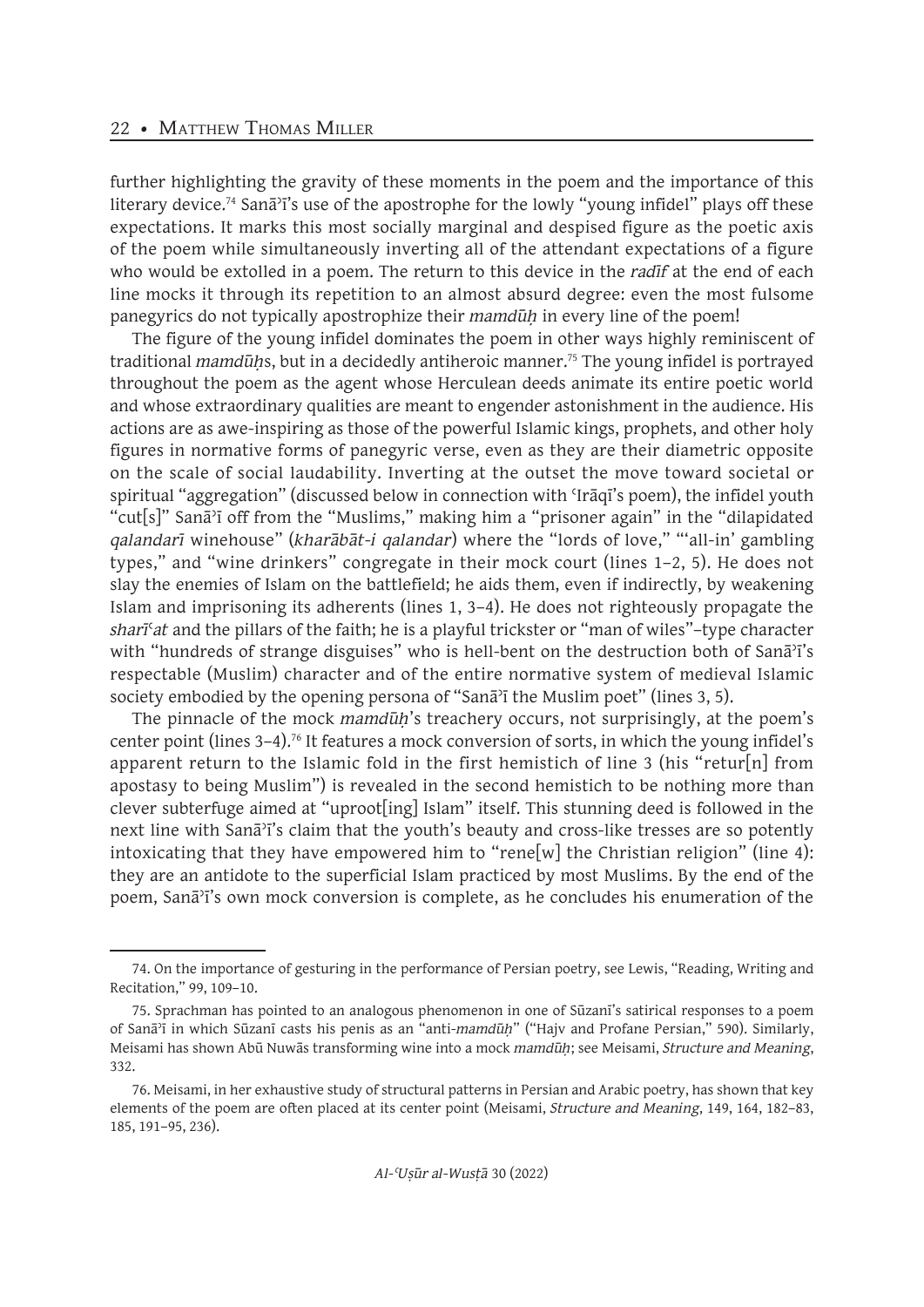further highlighting the gravity of these moments in the poem and the importance of this literary device.<sup>74</sup> Sana<sup>5</sup><sup>1</sup>'s use of the apostrophe for the lowly "young infidel" plays off these expectations. It marks this most socially marginal and despised figure as the poetic axis of the poem while simultaneously inverting all of the attendant expectations of a figure who would be extolled in a poem. The return to this device in the *radīf* at the end of each line mocks it through its repetition to an almost absurd degree: even the most fulsome panegyrics do not typically apostrophize their *mamdūḥ* in every line of the poem!

The figure of the young infidel dominates the poem in other ways highly reminiscent of traditional *mamdūhs*, but in a decidedly antiheroic manner.<sup>75</sup> The young infidel is portrayed throughout the poem as the agent whose Herculean deeds animate its entire poetic world and whose extraordinary qualities are meant to engender astonishment in the audience. His actions are as awe-inspiring as those of the powerful Islamic kings, prophets, and other holy figures in normative forms of panegyric verse, even as they are their diametric opposite on the scale of social laudability. Inverting at the outset the move toward societal or spiritual "aggregation" (discussed below in connection with 'Iraqi's poem), the infidel youth "cut[s]" Sanāʾī off from the "Muslims," making him a "prisoner again" in the "dilapidated *qalandarī* winehouse" (*kharābāt-i qalandar*) where the "lords of love," "'all-in' gambling types," and "wine drinkers" congregate in their mock court (lines 1–2, 5). He does not slay the enemies of Islam on the battlefield; he aids them, even if indirectly, by weakening Islam and imprisoning its adherents (lines 1, 3–4). He does not righteously propagate the *sharī*ʿ*at* and the pillars of the faith; he is a playful trickster or "man of wiles"–type character with "hundreds of strange disguises" who is hell-bent on the destruction both of Sanāʾī's respectable (Muslim) character and of the entire normative system of medieval Islamic society embodied by the opening persona of "Sana<sup>3</sup><sub>1</sub> the Muslim poet" (lines 3, 5).

The pinnacle of the mock *mamdūḥ*'s treachery occurs, not surprisingly, at the poem's center point (lines 3–4).<sup>76</sup> It features a mock conversion of sorts, in which the young infidel's apparent return to the Islamic fold in the first hemistich of line 3 (his "retur[n] from apostasy to being Muslim") is revealed in the second hemistich to be nothing more than clever subterfuge aimed at "uproot[ing] Islam" itself. This stunning deed is followed in the next line with Sanāʾī's claim that the youth's beauty and cross-like tresses are so potently intoxicating that they have empowered him to "rene[w] the Christian religion" (line 4): they are an antidote to the superficial Islam practiced by most Muslims. By the end of the poem, Sanāʾī's own mock conversion is complete, as he concludes his enumeration of the

<sup>74.</sup> On the importance of gesturing in the performance of Persian poetry, see Lewis, "Reading, Writing and Recitation," 99, 109–10.

<sup>75.</sup> Sprachman has pointed to an analogous phenomenon in one of Sūzanī's satirical responses to a poem of Sanāʾī in which Sūzanī casts his penis as an "anti-*mamdūḥ*" ("Hajv and Profane Persian," 590). Similarly, Meisami has shown Abū Nuwās transforming wine into a mock *mamdūḥ*; see Meisami, *Structure and Meaning*, 332.

<sup>76.</sup> Meisami, in her exhaustive study of structural patterns in Persian and Arabic poetry, has shown that key elements of the poem are often placed at its center point (Meisami, *Structure and Meaning*, 149, 164, 182–83, 185, 191–95, 236).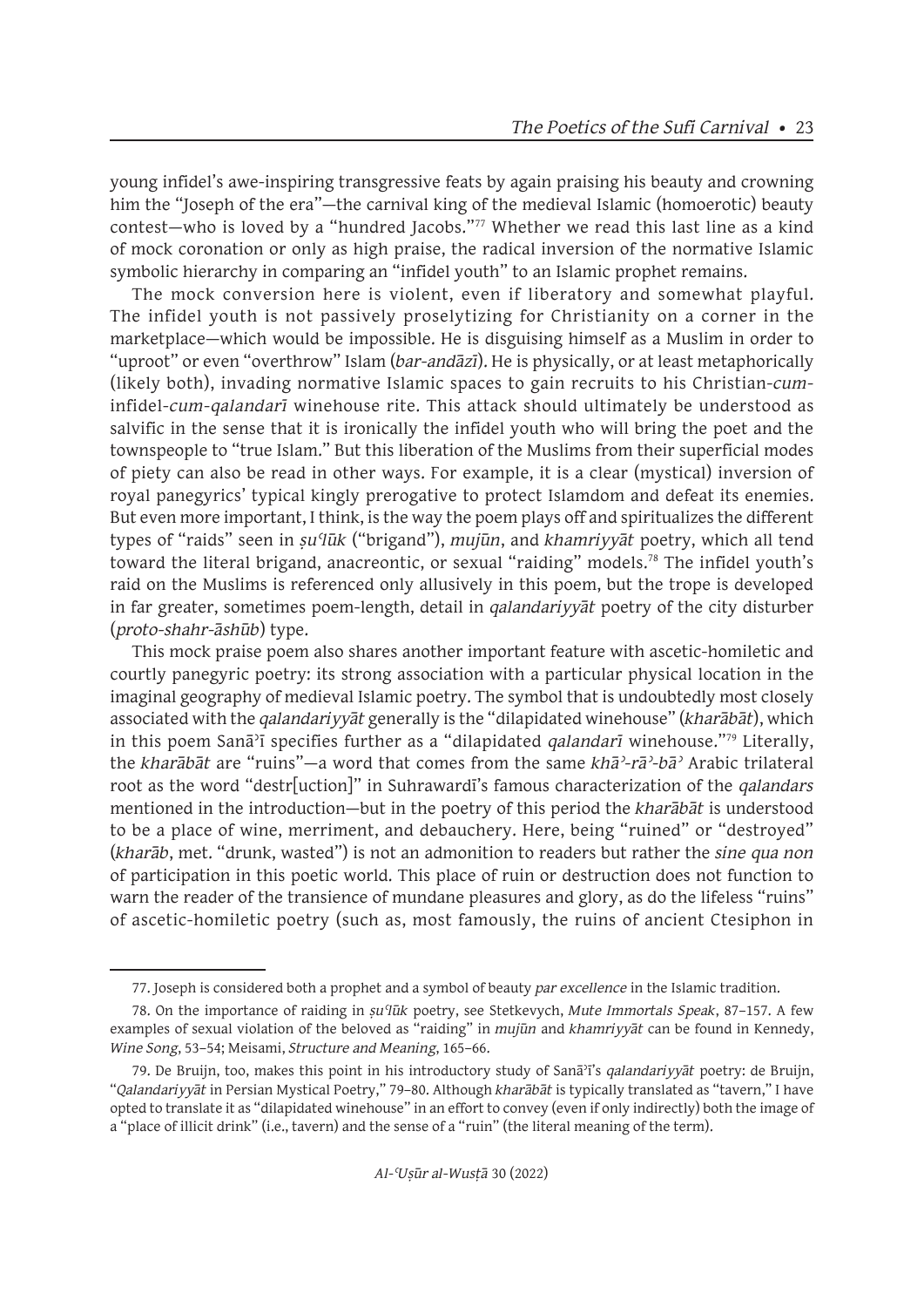young infidel's awe-inspiring transgressive feats by again praising his beauty and crowning him the "Joseph of the era"—the carnival king of the medieval Islamic (homoerotic) beauty contest—who is loved by a "hundred Jacobs."77 Whether we read this last line as a kind of mock coronation or only as high praise, the radical inversion of the normative Islamic symbolic hierarchy in comparing an "infidel youth" to an Islamic prophet remains.

The mock conversion here is violent, even if liberatory and somewhat playful. The infidel youth is not passively proselytizing for Christianity on a corner in the marketplace—which would be impossible. He is disguising himself as a Muslim in order to "uproot" or even "overthrow" Islam (*bar-andāzī*). He is physically, or at least metaphorically (likely both), invading normative Islamic spaces to gain recruits to his Christian-*cum*infidel-*cum*-*qalandarī* winehouse rite. This attack should ultimately be understood as salvific in the sense that it is ironically the infidel youth who will bring the poet and the townspeople to "true Islam." But this liberation of the Muslims from their superficial modes of piety can also be read in other ways. For example, it is a clear (mystical) inversion of royal panegyrics' typical kingly prerogative to protect Islamdom and defeat its enemies. But even more important, I think, is the way the poem plays off and spiritualizes the different types of "raids" seen in *ṣuʿlūk* ("brigand"), *mujūn*, and *khamriyyāt* poetry, which all tend toward the literal brigand, anacreontic, or sexual "raiding" models.<sup>78</sup> The infidel youth's raid on the Muslims is referenced only allusively in this poem, but the trope is developed in far greater, sometimes poem-length, detail in *qalandariyyāt* poetry of the city disturber (*proto-shahr-āshūb*) type.

This mock praise poem also shares another important feature with ascetic-homiletic and courtly panegyric poetry: its strong association with a particular physical location in the imaginal geography of medieval Islamic poetry. The symbol that is undoubtedly most closely associated with the *qalandariyyāt* generally is the "dilapidated winehouse" (*kharābāt*), which in this poem Sanāʾī specifies further as a "dilapidated *qalandarī* winehouse."<sup>79</sup> Literally, the *kharābāt* are "ruins"—a word that comes from the same *khāʾ-rāʾ-bāʾ* Arabic trilateral root as the word "destr[uction]" in Suhrawardī's famous characterization of the *qalandars* mentioned in the introduction—but in the poetry of this period the *kharābāt* is understood to be a place of wine, merriment, and debauchery. Here, being "ruined" or "destroyed" (*kharāb*, met. "drunk, wasted") is not an admonition to readers but rather the *sine qua non*  of participation in this poetic world. This place of ruin or destruction does not function to warn the reader of the transience of mundane pleasures and glory, as do the lifeless "ruins" of ascetic-homiletic poetry (such as, most famously, the ruins of ancient Ctesiphon in

<sup>77.</sup> Joseph is considered both a prophet and a symbol of beauty *par excellence* in the Islamic tradition.

<sup>78.</sup> On the importance of raiding in *ṣuʿlūk* poetry, see Stetkevych, *Mute Immortals Speak*, 87–157. A few examples of sexual violation of the beloved as "raiding" in *mujūn* and *khamriyyāt* can be found in Kennedy, *Wine Song*, 53–54; Meisami, *Structure and Meaning*, 165–66.

<sup>79.</sup> De Bruijn, too, makes this point in his introductory study of Sanāʾī's *qalandariyyāt* poetry: de Bruijn, "*Qalandariyyāt* in Persian Mystical Poetry," 79–80. Although *kharābāt* is typically translated as "tavern," I have opted to translate it as "dilapidated winehouse" in an effort to convey (even if only indirectly) both the image of a "place of illicit drink" (i.e., tavern) and the sense of a "ruin" (the literal meaning of the term).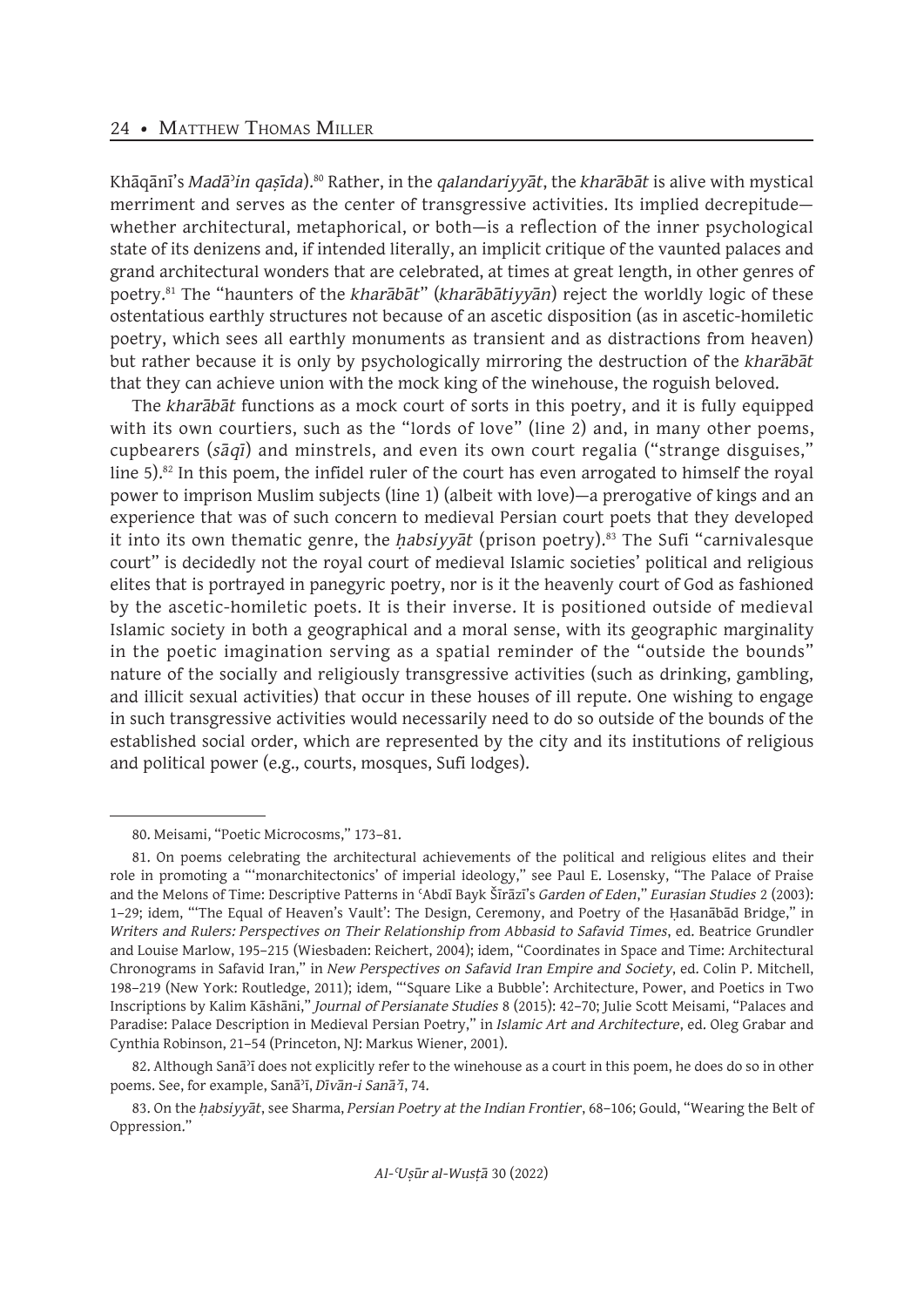Khāqānī's *Madā*ʾ*in qaṣīda*).80 Rather, in the *qalandariyyāt*, the *kharābāt* is alive with mystical merriment and serves as the center of transgressive activities. Its implied decrepitude whether architectural, metaphorical, or both—is a reflection of the inner psychological state of its denizens and, if intended literally, an implicit critique of the vaunted palaces and grand architectural wonders that are celebrated, at times at great length, in other genres of poetry.<sup>81</sup> The "haunters of the *kharābāt*" (*kharābātiyyān*) reject the worldly logic of these ostentatious earthly structures not because of an ascetic disposition (as in ascetic-homiletic poetry, which sees all earthly monuments as transient and as distractions from heaven) but rather because it is only by psychologically mirroring the destruction of the *kharābāt* that they can achieve union with the mock king of the winehouse, the roguish beloved.

The *kharābāt* functions as a mock court of sorts in this poetry, and it is fully equipped with its own courtiers, such as the "lords of love" (line 2) and, in many other poems, cupbearers (*sāqī*) and minstrels, and even its own court regalia ("strange disguises," line 5).<sup>82</sup> In this poem, the infidel ruler of the court has even arrogated to himself the royal power to imprison Muslim subjects (line 1) (albeit with love)—a prerogative of kings and an experience that was of such concern to medieval Persian court poets that they developed it into its own thematic genre, the *habsiyyat* (prison poetry).<sup>83</sup> The Sufi "carnivalesque court" is decidedly not the royal court of medieval Islamic societies' political and religious elites that is portrayed in panegyric poetry, nor is it the heavenly court of God as fashioned by the ascetic-homiletic poets. It is their inverse. It is positioned outside of medieval Islamic society in both a geographical and a moral sense, with its geographic marginality in the poetic imagination serving as a spatial reminder of the "outside the bounds" nature of the socially and religiously transgressive activities (such as drinking, gambling, and illicit sexual activities) that occur in these houses of ill repute. One wishing to engage in such transgressive activities would necessarily need to do so outside of the bounds of the established social order, which are represented by the city and its institutions of religious and political power (e.g., courts, mosques, Sufi lodges).

82. Although Sanāʾī does not explicitly refer to the winehouse as a court in this poem, he does do so in other poems. See, for example, Sanāʾī, *Dīvān-i Sanāʾī*, 74.

<sup>80.</sup> Meisami, "Poetic Microcosms," 173–81.

<sup>81.</sup> On poems celebrating the architectural achievements of the political and religious elites and their role in promoting a "'monarchitectonics' of imperial ideology," see Paul E. Losensky, "The Palace of Praise and the Melons of Time: Descriptive Patterns in ʿAbdī Bayk Šīrāzī's *Garden of Eden*," *Eurasian Studies* 2 (2003): 1–29; idem, "'The Equal of Heaven's Vault': The Design, Ceremony, and Poetry of the Ḥasanābād Bridge," in *Writers and Rulers: Perspectives on Their Relationship from Abbasid to Safavid Times*, ed. Beatrice Grundler and Louise Marlow, 195–215 (Wiesbaden: Reichert, 2004); idem, "Coordinates in Space and Time: Architectural Chronograms in Safavid Iran," in *New Perspectives on Safavid Iran Empire and Society*, ed. Colin P. Mitchell, 198–219 (New York: Routledge, 2011); idem, "'Square Like a Bubble': Architecture, Power, and Poetics in Two Inscriptions by Kalim Kāshāni," *Journal of Persianate Studies* 8 (2015): 42–70; Julie Scott Meisami, "Palaces and Paradise: Palace Description in Medieval Persian Poetry," in *Islamic Art and Architecture*, ed. Oleg Grabar and Cynthia Robinson, 21–54 (Princeton, NJ: Markus Wiener, 2001).

<sup>83.</sup> On the *ḥabsiyyāt*, see Sharma, *Persian Poetry at the Indian Frontier*, 68–106; Gould, "Wearing the Belt of Oppression."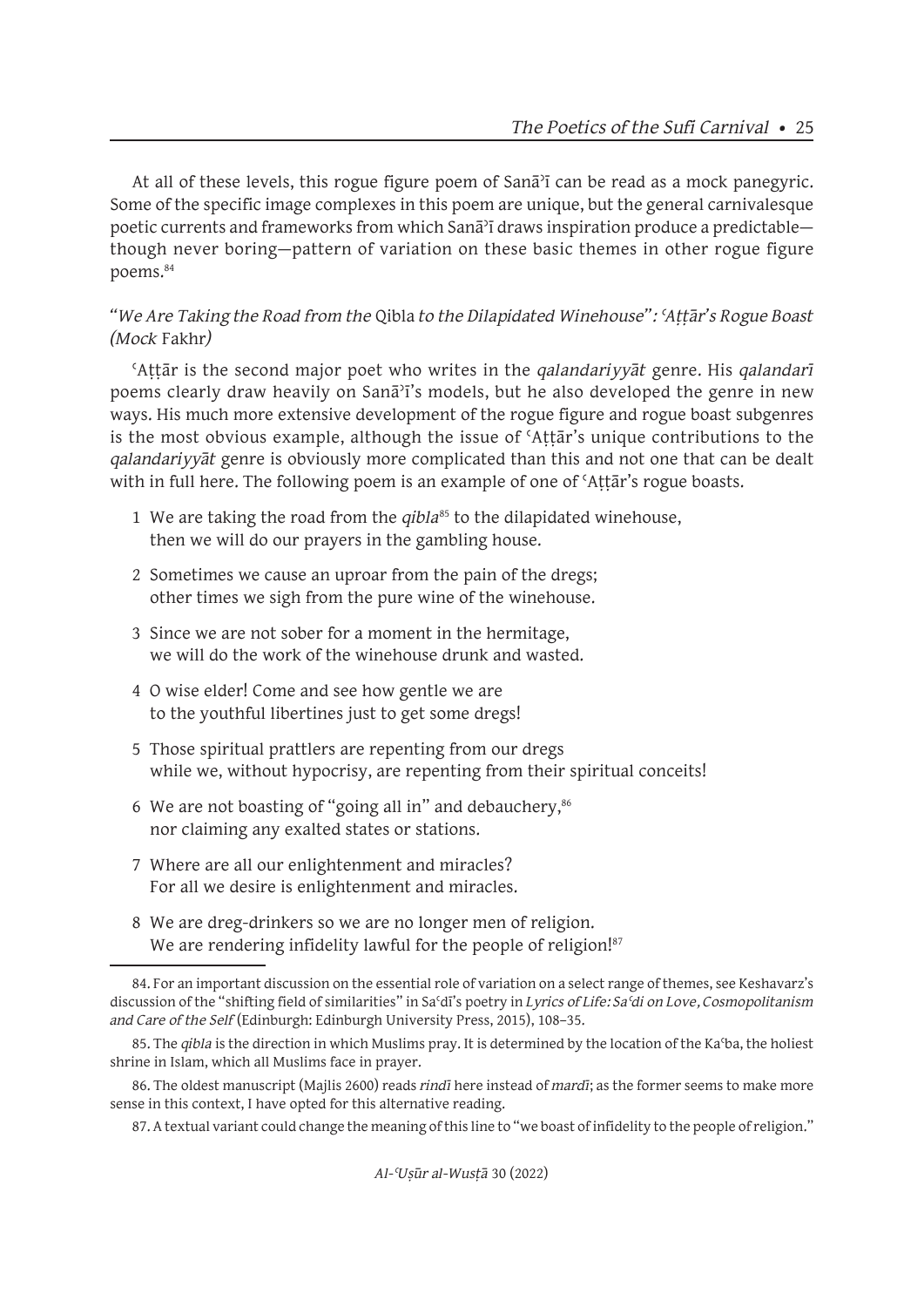At all of these levels, this rogue figure poem of Sana<sup>3</sup> can be read as a mock panegyric. Some of the specific image complexes in this poem are unique, but the general carnivalesque poetic currents and frameworks from which Sanāʾī draws inspiration produce a predictable though never boring—pattern of variation on these basic themes in other rogue figure poems.<sup>84</sup>

# *"We Are Taking the Road from the* Qibla *to the Dilapidated Winehouse": ʿAṭṭār's Rogue Boast (Mock* Fakhr*)*

ʿAṭṭār is the second major poet who writes in the *qalandariyyāt* genre. His *qalandarī* poems clearly draw heavily on Sanāʾī's models, but he also developed the genre in new ways. His much more extensive development of the rogue figure and rogue boast subgenres is the most obvious example, although the issue of ʿAṭṭār's unique contributions to the *qalandariyyāt* genre is obviously more complicated than this and not one that can be dealt with in full here. The following poem is an example of one of ʿAṭṭār's rogue boasts.

- 1 We are taking the road from the *qibla*<sup>85</sup> to the dilapidated winehouse, then we will do our prayers in the gambling house.
- 2 Sometimes we cause an uproar from the pain of the dregs; other times we sigh from the pure wine of the winehouse.
- 3 Since we are not sober for a moment in the hermitage, we will do the work of the winehouse drunk and wasted.
- 4 O wise elder! Come and see how gentle we are to the youthful libertines just to get some dregs!
- 5 Those spiritual prattlers are repenting from our dregs while we, without hypocrisy, are repenting from their spiritual conceits!
- 6 We are not boasting of "going all in" and debauchery, $86$ nor claiming any exalted states or stations.
- 7 Where are all our enlightenment and miracles? For all we desire is enlightenment and miracles.
- 8 We are dreg-drinkers so we are no longer men of religion. We are rendering infidelity lawful for the people of religion!<sup>87</sup>

87. A textual variant could change the meaning of this line to "we boast of infidelity to the people of religion."

<sup>84.</sup> For an important discussion on the essential role of variation on a select range of themes, see Keshavarz's discussion of the "shifting field of similarities" in Saʿdī's poetry in *Lyrics of Life: Saʿdi on Love, Cosmopolitanism and Care of the Self* (Edinburgh: Edinburgh University Press, 2015), 108–35.

<sup>85.</sup> The *qibla* is the direction in which Muslims pray. It is determined by the location of the Kaʿba, the holiest shrine in Islam, which all Muslims face in prayer.

<sup>86.</sup> The oldest manuscript (Majlis 2600) reads *rindī* here instead of *mardī*; as the former seems to make more sense in this context, I have opted for this alternative reading.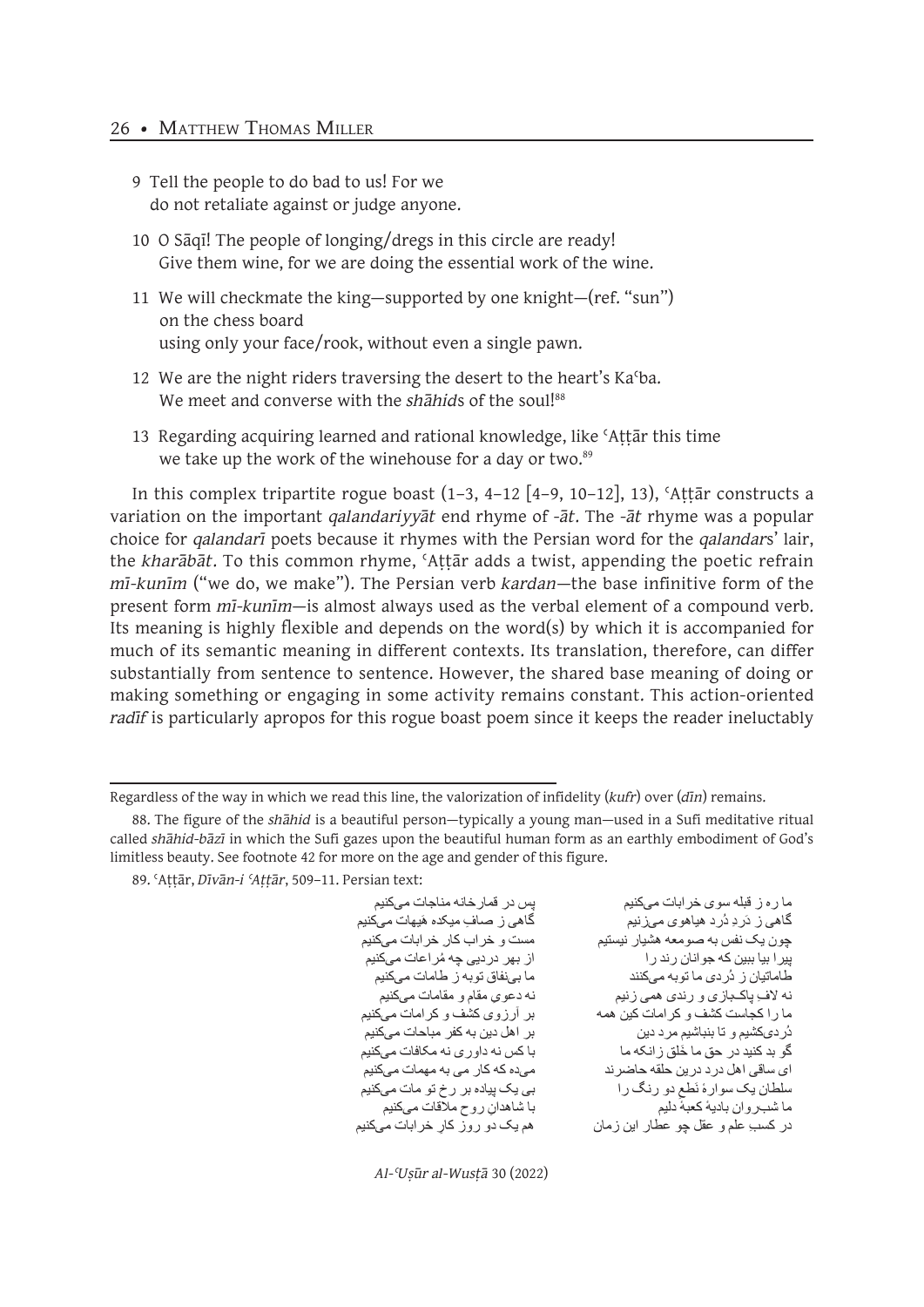#### 26 • MATTHEW THOMAS MILLER

- 9 Tell the people to do bad to us! For we do not retaliate against or judge anyone.
- 10 O Sāqī! The people of longing/dregs in this circle are ready! Give them wine, for we are doing the essential work of the wine.
- 11 We will checkmate the king—supported by one knight—(ref. "sun") on the chess board using only your face/rook, without even a single pawn.
- 12 We are the night riders traversing the desert to the heart's Kaʿba. We meet and converse with the *shahids* of the soul!<sup>88</sup>
- 13 Regarding acquiring learned and rational knowledge, like ʿAṭṭār this time we take up the work of the winehouse for a day or two.<sup>89</sup>

In this complex tripartite rogue boast  $(1-3, 4-12 [4-9, 10-12], 13)$ , 'Attār constructs a variation on the important *qalandariyyāt* end rhyme of *-āt*. The *-āt* rhyme was a popular choice for *qalandarī* poets because it rhymes with the Persian word for the *qalandar*s' lair, the *kharābāt*. To this common rhyme, ʿAṭṭār adds a twist, appending the poetic refrain *mī-kunīm* ("we do, we make"). The Persian verb *kardan*—the base infinitive form of the present form *mī-kunīm*—is almost always used as the verbal element of a compound verb. Its meaning is highly flexible and depends on the word(s) by which it is accompanied for much of its semantic meaning in different contexts. Its translation, therefore, can differ substantially from sentence to sentence. However, the shared base meaning of doing or making something or engaging in some activity remains constant. This action-oriented *radīf* is particularly apropos for this rogue boast poem since it keeps the reader ineluctably

89. ʿAṭṭār, *Dīvān-i ʿAṭṭār*, 509–11. Persian text:

ِ گَاه*ی* ز صافِ میکده هَیهات میکنیم<br>مست و خراب کار خرابات میکنیم میده که کار می به مهمات میکنیم با شاهدا*نِ رو*ح ملاقات میکنیم<br>هم بک دو روز کار خرابات میکنیم

ما ره ز قبله سوی خرابات میکنیم پس در قمارخانه مناجات میکنیم گاهی ز دَردِ دُرد هیاهوی میزنیم چون یک نفس به صومعه هشیار نیستیم پیرا بیا ببین که جوانا*ن ر*ند را<br>طاماتیان ز دُر دی ما نو به مے ٖکنند<br>ماہاتیان ز دُر دی ما نو به مے ٖکنند طاماتیان ز دُردی ما توبه میکنند<br>نه لاف باکـــباز ی و ر ندی همــ ز نیم نه لاف ِ پاکــبـازی و رندی همی زنیم ِ سمع نه دعویِ مقام و مقامات میکنیم<br>ما ر ا کجاست کشف و کر امات کین همه مسمع از آر ز وی کشف و کر امات میکنیم ما را کجاست کشف و کر امات کین همه دُردیکشیم و تا بنباشیم مرد دین<br>گو بد کنید در حق ما خَلق ز انکه ما با کس نه داو ر ی نه مکافات مے کنیم گو بد کنید در حق ما خَلق زانکه ما<br>ای ساقی اهل در د در بن حلقه حاضر ند با با کس نه داوری نه مهمات میکنیم سلطان یک سوارهٔ نَطع دو رنگ را بی یک پیاده بر رخ تو مات میکنیم<br>ما شد؛ و ان بادیهٔ کعبهٔ دلیم سلطان يک سوارهٔ نَطعِ در کسبِ علم و عقل چو عطار این زمان

*Al-ʿUṣūr al-Wusṭā* 30 (2022)

Regardless of the way in which we read this line, the valorization of infidelity (*kufr*) over (*dīn*) remains.

<sup>88.</sup> The figure of the *shāhid* is a beautiful person—typically a young man—used in a Sufi meditative ritual called *shāhid-bāzī* in which the Sufi gazes upon the beautiful human form as an earthly embodiment of God's limitless beauty. See footnote 42 for more on the age and gender of this figure.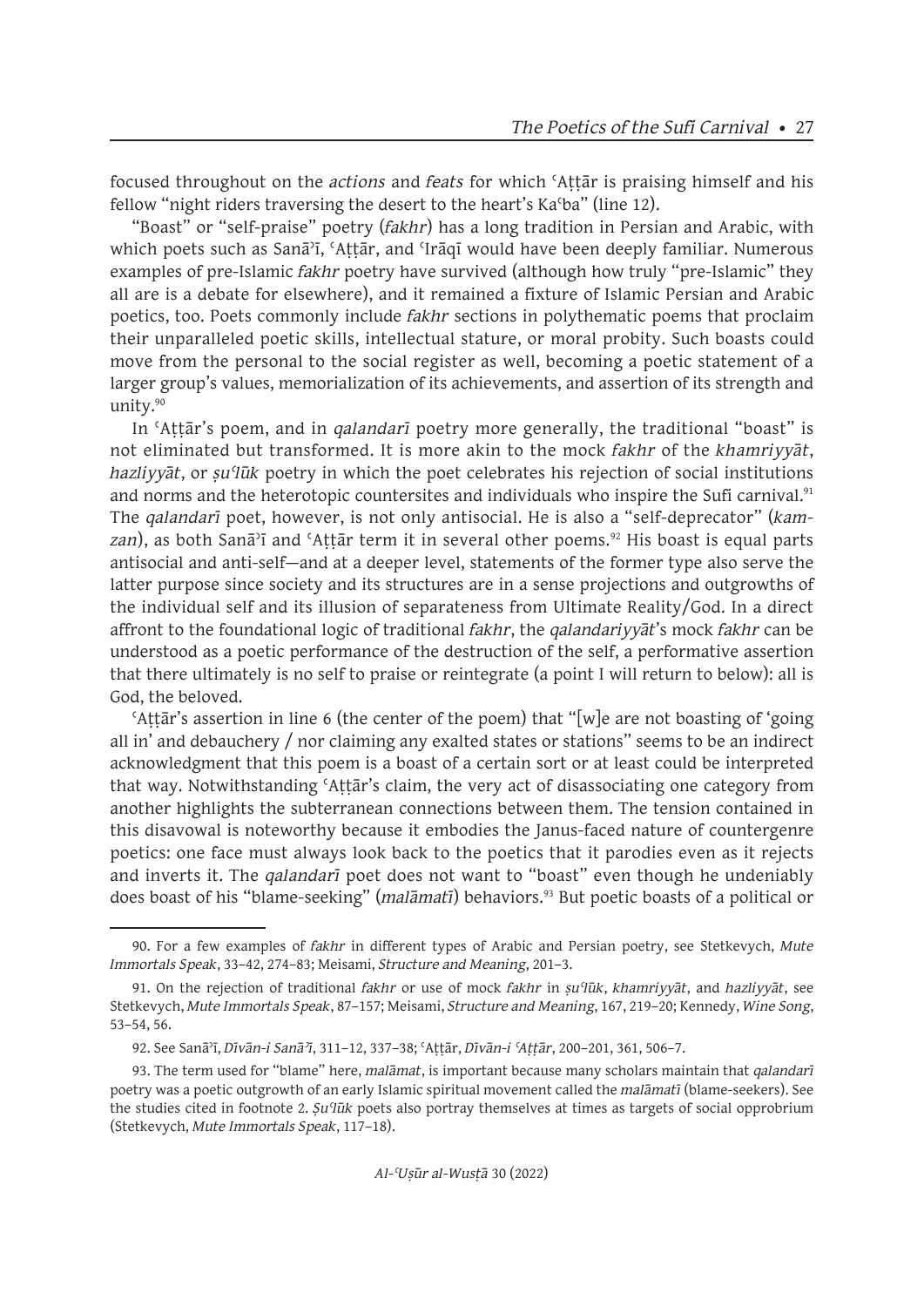focused throughout on the *actions* and *feats* for which ʿAṭṭār is praising himself and his fellow "night riders traversing the desert to the heart's Kaʿba" (line 12).

"Boast" or "self-praise" poetry (*fakhr*) has a long tradition in Persian and Arabic, with which poets such as Sanā<sup>3</sup>ī, 'Attār, and 'Irāqī would have been deeply familiar. Numerous examples of pre-Islamic *fakhr* poetry have survived (although how truly "pre-Islamic" they all are is a debate for elsewhere), and it remained a fixture of Islamic Persian and Arabic poetics, too. Poets commonly include *fakhr* sections in polythematic poems that proclaim their unparalleled poetic skills, intellectual stature, or moral probity. Such boasts could move from the personal to the social register as well, becoming a poetic statement of a larger group's values, memorialization of its achievements, and assertion of its strength and unity.<sup>90</sup>

In ʿAṭṭār's poem, and in *qalandarī* poetry more generally, the traditional "boast" is not eliminated but transformed. It is more akin to the mock *fakhr* of the *khamriyyāt*, *hazliyyāt*, or *ṣuʿlūk* poetry in which the poet celebrates his rejection of social institutions and norms and the heterotopic countersites and individuals who inspire the Sufi carnival.<sup>91</sup> The *qalandarī* poet, however, is not only antisocial. He is also a "self-deprecator" (*kam*zan), as both Sanā<sup>*'*ī</sup> and 'Attār term it in several other poems.<sup>92</sup> His boast is equal parts antisocial and anti-self—and at a deeper level, statements of the former type also serve the latter purpose since society and its structures are in a sense projections and outgrowths of the individual self and its illusion of separateness from Ultimate Reality/God. In a direct affront to the foundational logic of traditional *fakhr*, the *qalandariyyāt*'s mock *fakhr* can be understood as a poetic performance of the destruction of the self, a performative assertion that there ultimately is no self to praise or reintegrate (a point I will return to below): all is God, the beloved.

ʿAṭṭār's assertion in line 6 (the center of the poem) that "[w]e are not boasting of 'going all in' and debauchery / nor claiming any exalted states or stations" seems to be an indirect acknowledgment that this poem is a boast of a certain sort or at least could be interpreted that way. Notwithstanding 'Attār's claim, the very act of disassociating one category from another highlights the subterranean connections between them. The tension contained in this disavowal is noteworthy because it embodies the Janus-faced nature of countergenre poetics: one face must always look back to the poetics that it parodies even as it rejects and inverts it. The *qalandarī* poet does not want to "boast" even though he undeniably does boast of his "blame-seeking" (*malāmatī*) behaviors.<sup>93</sup> But poetic boasts of a political or

<sup>90.</sup> For a few examples of *fakhr* in different types of Arabic and Persian poetry, see Stetkevych, *Mute Immortals Speak*, 33–42, 274–83; Meisami, *Structure and Meaning*, 201–3.

<sup>91.</sup> On the rejection of traditional *fakhr* or use of mock *fakhr* in *ṣuʿlūk*, *khamriyyāt*, and *hazliyyāt*, see Stetkevych, *Mute Immortals Speak*, 87–157; Meisami, *Structure and Meaning*, 167, 219–20; Kennedy, *Wine Song*, 53–54, 56.

<sup>92.</sup> See Sanāʾī, *Dīvān-i Sanāʾī*, 311–12, 337–38; ʿAṭṭār, *Dīvān-i ʿAṭṭār*, 200–201, 361, 506–7.

<sup>93.</sup> The term used for "blame" here, *malāmat*, is important because many scholars maintain that *qalandarī*  poetry was a poetic outgrowth of an early Islamic spiritual movement called the *malāmatī* (blame-seekers). See the studies cited in footnote 2. *Ṣuʿlūk* poets also portray themselves at times as targets of social opprobrium (Stetkevych, *Mute Immortals Speak*, 117–18).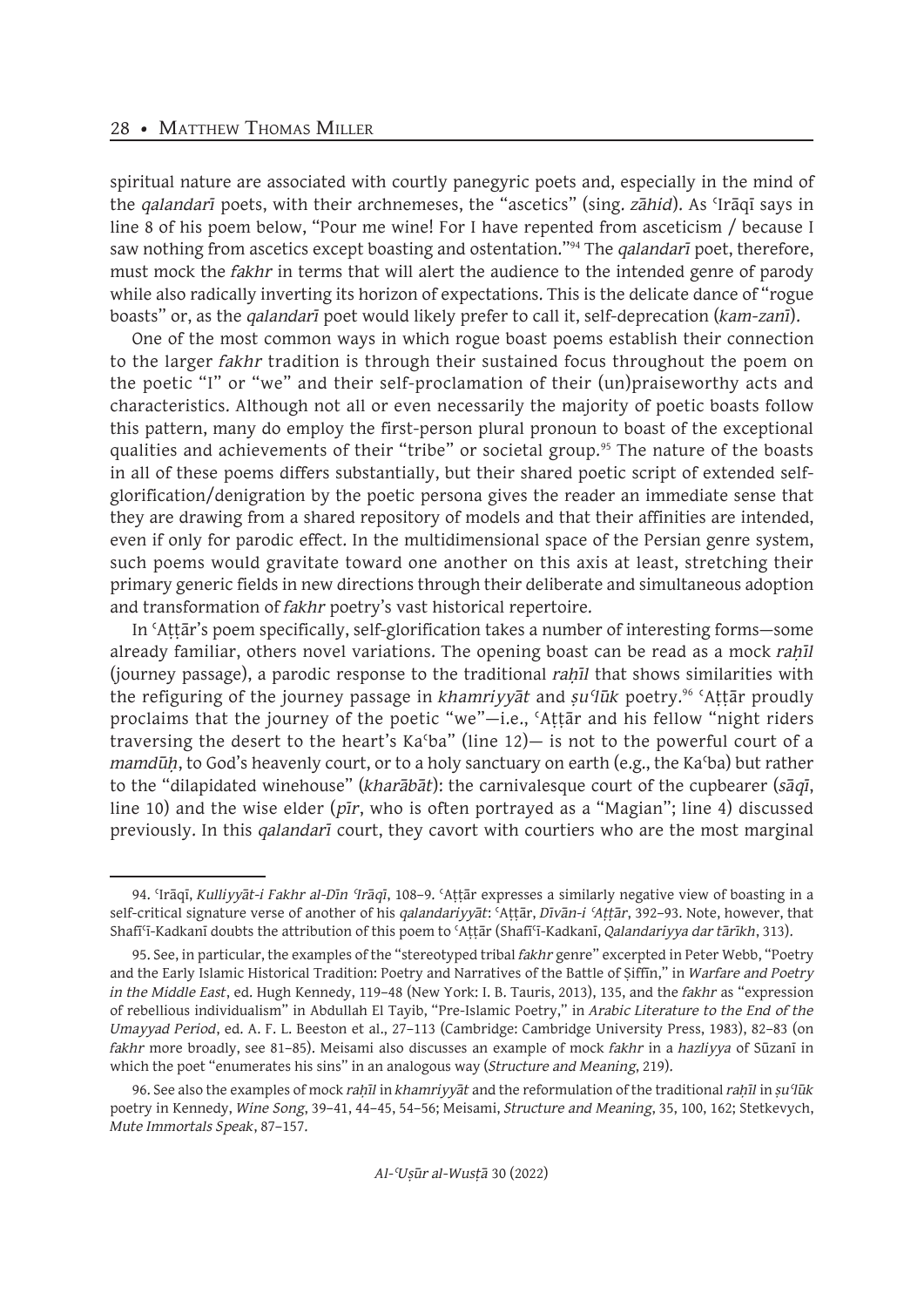spiritual nature are associated with courtly panegyric poets and, especially in the mind of the *qalandarī* poets, with their archnemeses, the "ascetics" (sing. *zāhid*). As ʿIrāqī says in line 8 of his poem below, "Pour me wine! For I have repented from asceticism / because I saw nothing from ascetics except boasting and ostentation."<sup>94</sup> The *qalandarī* poet, therefore, must mock the *fakhr* in terms that will alert the audience to the intended genre of parody while also radically inverting its horizon of expectations. This is the delicate dance of "rogue boasts" or, as the *qalandarī* poet would likely prefer to call it, self-deprecation (*kam-zanī*).

One of the most common ways in which rogue boast poems establish their connection to the larger *fakhr* tradition is through their sustained focus throughout the poem on the poetic "I" or "we" and their self-proclamation of their (un)praiseworthy acts and characteristics. Although not all or even necessarily the majority of poetic boasts follow this pattern, many do employ the first-person plural pronoun to boast of the exceptional qualities and achievements of their "tribe" or societal group.<sup>95</sup> The nature of the boasts in all of these poems differs substantially, but their shared poetic script of extended selfglorification/denigration by the poetic persona gives the reader an immediate sense that they are drawing from a shared repository of models and that their affinities are intended, even if only for parodic effect. In the multidimensional space of the Persian genre system, such poems would gravitate toward one another on this axis at least, stretching their primary generic fields in new directions through their deliberate and simultaneous adoption and transformation of *fakhr* poetry's vast historical repertoire.

In ʿAṭṭār's poem specifically, self-glorification takes a number of interesting forms—some already familiar, others novel variations. The opening boast can be read as a mock *rahil* (journey passage), a parodic response to the traditional *rahil* that shows similarities with the refiguring of the journey passage in *khamriyyāt* and *ṣuʿlūk* poetry.96 ʿAṭṭār proudly proclaims that the journey of the poetic "we"—i.e., ʿAṭṭār and his fellow "night riders traversing the desert to the heart's Kaʿba" (line 12)— is not to the powerful court of a *mamdūh*, to God's heavenly court, or to a holy sanctuary on earth (e.g., the Ka<sup>c</sup>ba) but rather to the "dilapidated winehouse" (*kharābāt*): the carnivalesque court of the cupbearer (*sāqī*, line 10) and the wise elder (*pīr*, who is often portrayed as a "Magian"; line 4) discussed previously. In this *qalandarī* court, they cavort with courtiers who are the most marginal

<sup>94.</sup> ʿIrāqī, *Kulliyyāt-i Fakhr al-Dīn ʿIrāqī*, 108–9. ʿAṭṭār expresses a similarly negative view of boasting in a self-critical signature verse of another of his *qalandariyyāt*: ʿAṭṭār, *Dīvān-i ʿAṭṭār*, 392–93. Note, however, that Shafīʿī-Kadkanī doubts the attribution of this poem to ʿAṭṭār (Shafīʿī-Kadkanī, *Qalandariyya dar tārīkh*, 313).

<sup>95.</sup> See, in particular, the examples of the "stereotyped tribal *fakhr* genre" excerpted in Peter Webb, "Poetry and the Early Islamic Historical Tradition: Poetry and Narratives of the Battle of Ṣiffīn," in *Warfare and Poetry in the Middle East*, ed. Hugh Kennedy, 119–48 (New York: I. B. Tauris, 2013), 135, and the *fakhr* as "expression of rebellious individualism" in Abdullah El Tayib, "Pre-Islamic Poetry," in *Arabic Literature to the End of the Umayyad Period*, ed. A. F. L. Beeston et al., 27–113 (Cambridge: Cambridge University Press, 1983), 82–83 (on *fakhr* more broadly, see 81–85). Meisami also discusses an example of mock *fakhr* in a *hazliyya* of Sūzanī in which the poet "enumerates his sins" in an analogous way (*Structure and Meaning*, 219).

<sup>96.</sup> See also the examples of mock *raḥīl* in *khamriyyāt* and the reformulation of the traditional *raḥīl* in *ṣuʿlūk*  poetry in Kennedy, *Wine Song*, 39–41, 44–45, 54–56; Meisami, *Structure and Meaning*, 35, 100, 162; Stetkevych, *Mute Immortals Speak*, 87–157.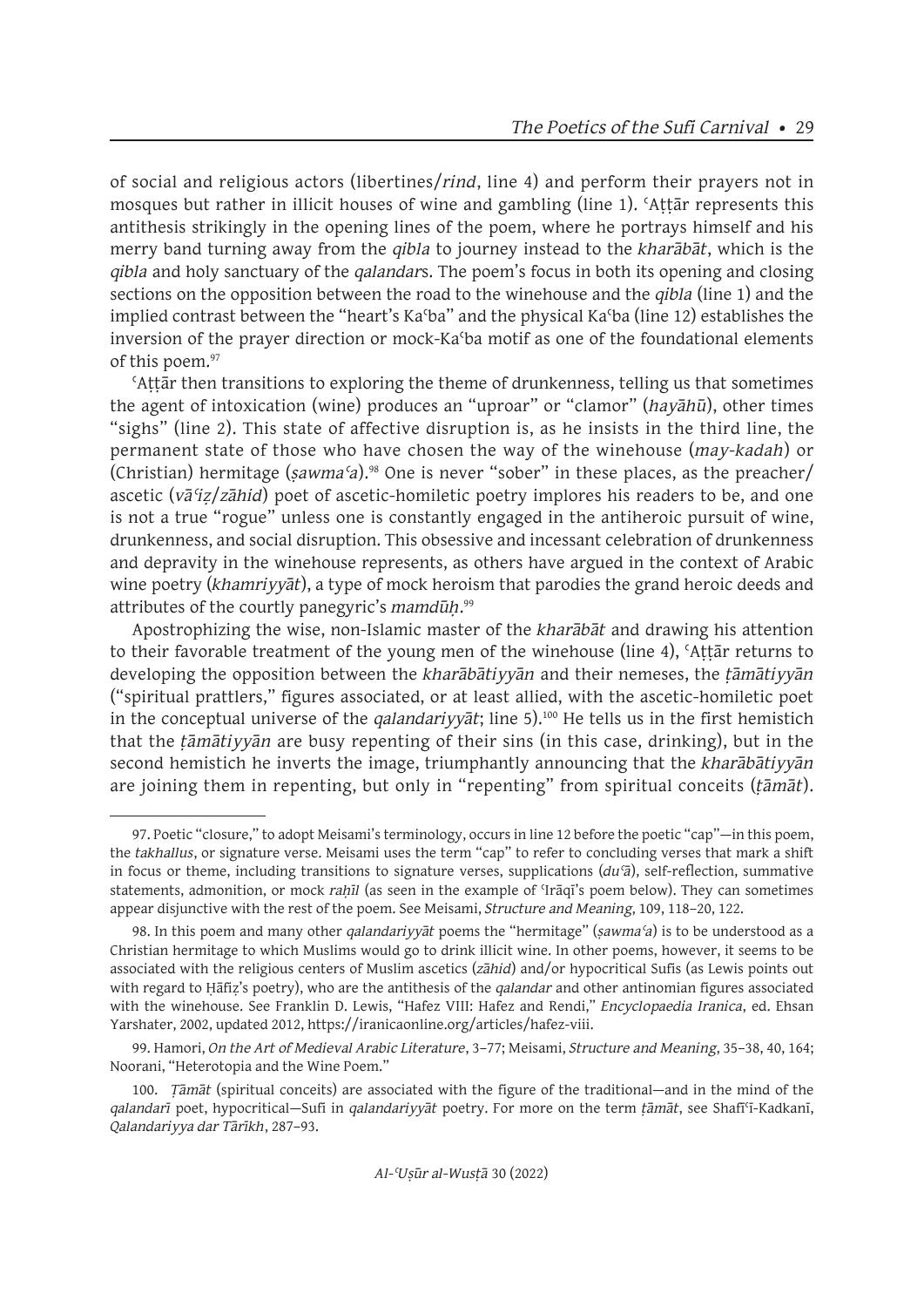of social and religious actors (libertines/*rind*, line 4) and perform their prayers not in mosques but rather in illicit houses of wine and gambling (line 1). ʿAṭṭār represents this antithesis strikingly in the opening lines of the poem, where he portrays himself and his merry band turning away from the *qibla* to journey instead to the *kharābāt*, which is the *qibla* and holy sanctuary of the *qalandar*s. The poem's focus in both its opening and closing sections on the opposition between the road to the winehouse and the *qibla* (line 1) and the implied contrast between the "heart's Kaʿba" and the physical Kaʿba (line 12) establishes the inversion of the prayer direction or mock-Kaʿba motif as one of the foundational elements of this poem.<sup>97</sup>

ʿAṭṭār then transitions to exploring the theme of drunkenness, telling us that sometimes the agent of intoxication (wine) produces an "uproar" or "clamor" (*hayāhū*), other times "sighs" (line 2). This state of affective disruption is, as he insists in the third line, the permanent state of those who have chosen the way of the winehouse (*may-kadah*) or (Christian) hermitage (*ṣawmaʿa*).<sup>98</sup> One is never "sober" in these places, as the preacher/ ascetic (*vāʿiẓ*/*zāhid*) poet of ascetic-homiletic poetry implores his readers to be, and one is not a true "rogue" unless one is constantly engaged in the antiheroic pursuit of wine, drunkenness, and social disruption. This obsessive and incessant celebration of drunkenness and depravity in the winehouse represents, as others have argued in the context of Arabic wine poetry (*khamriyyāt*), a type of mock heroism that parodies the grand heroic deeds and attributes of the courtly panegyric's *mamdūḥ*. 99

Apostrophizing the wise, non-Islamic master of the *kharābāt* and drawing his attention to their favorable treatment of the young men of the winehouse (line 4), ʿAṭṭār returns to developing the opposition between the *kharābātiyyān* and their nemeses, the *ṭāmātiyyān*  ("spiritual prattlers," figures associated, or at least allied, with the ascetic-homiletic poet in the conceptual universe of the *qalandariyyat*; line 5).<sup>100</sup> He tells us in the first hemistich that the *ṭāmātiyyān* are busy repenting of their sins (in this case, drinking), but in the second hemistich he inverts the image, triumphantly announcing that the *kharābātiyyān* are joining them in repenting, but only in "repenting" from spiritual conceits (*ṭāmāt*).

<sup>97.</sup> Poetic "closure," to adopt Meisami's terminology, occurs in line 12 before the poetic "cap"—in this poem, the *takhallus*, or signature verse. Meisami uses the term "cap" to refer to concluding verses that mark a shift in focus or theme, including transitions to signature verses, supplications (*duʿā*), self-reflection, summative statements, admonition, or mock *raḥīl* (as seen in the example of ʿIrāqī's poem below). They can sometimes appear disjunctive with the rest of the poem. See Meisami, *Structure and Meaning*, 109, 118–20, 122.

<sup>98.</sup> In this poem and many other *qalandariyyāt* poems the "hermitage" (*ṣawmaʿa*) is to be understood as a Christian hermitage to which Muslims would go to drink illicit wine. In other poems, however, it seems to be associated with the religious centers of Muslim ascetics (*zāhid*) and/or hypocritical Sufis (as Lewis points out with regard to Ḥāfiẓ's poetry), who are the antithesis of the *qalandar* and other antinomian figures associated with the winehouse. See Franklin D. Lewis, "Hafez VIII: Hafez and Rendi," *Encyclopaedia Iranica*, ed. Ehsan Yarshater, 2002, updated 2012, https://iranicaonline.org/articles/hafez-viii.

<sup>99.</sup> Hamori, *On the Art of Medieval Arabic Literature*, 3–77; Meisami, *Structure and Meaning*, 35–38, 40, 164; Noorani, "Heterotopia and the Wine Poem."

<sup>100.</sup> *Ṭāmāt* (spiritual conceits) are associated with the figure of the traditional—and in the mind of the *qalandarī* poet, hypocritical—Sufi in *qalandariyyāt* poetry. For more on the term *ṭāmāt*, see Shafīʿī-Kadkanī, *Qalandariyya dar Tārīkh*, 287–93.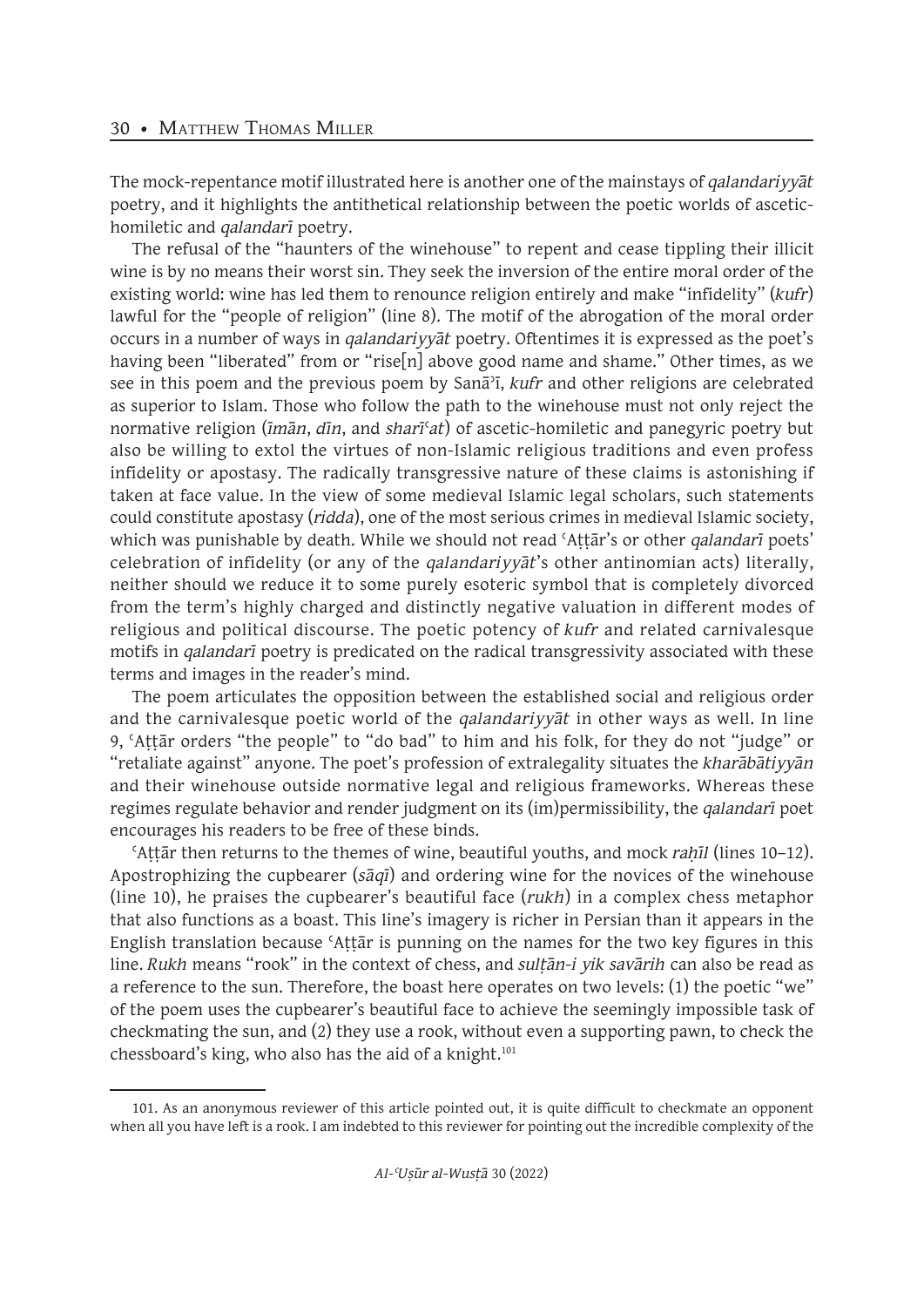The mock-repentance motif illustrated here is another one of the mainstays of *qalandariyyāt*  poetry, and it highlights the antithetical relationship between the poetic worlds of ascetichomiletic and *qalandarī* poetry.

The refusal of the "haunters of the winehouse" to repent and cease tippling their illicit wine is by no means their worst sin. They seek the inversion of the entire moral order of the existing world: wine has led them to renounce religion entirely and make "infidelity" (*kufr*) lawful for the "people of religion" (line 8). The motif of the abrogation of the moral order occurs in a number of ways in *qalandariyyāt* poetry. Oftentimes it is expressed as the poet's having been "liberated" from or "rise[n] above good name and shame." Other times, as we see in this poem and the previous poem by Sanāʾī, *kufr* and other religions are celebrated as superior to Islam. Those who follow the path to the winehouse must not only reject the normative religion (*īmān*, *dīn*, and *sharī*ʿ*at*) of ascetic-homiletic and panegyric poetry but also be willing to extol the virtues of non-Islamic religious traditions and even profess infidelity or apostasy. The radically transgressive nature of these claims is astonishing if taken at face value. In the view of some medieval Islamic legal scholars, such statements could constitute apostasy (*ridda*), one of the most serious crimes in medieval Islamic society, which was punishable by death. While we should not read ʿAṭṭār's or other *qalandarī* poets' celebration of infidelity (or any of the *qalandariyyāt*'s other antinomian acts) literally, neither should we reduce it to some purely esoteric symbol that is completely divorced from the term's highly charged and distinctly negative valuation in different modes of religious and political discourse. The poetic potency of *kufr* and related carnivalesque motifs in *qalandarī* poetry is predicated on the radical transgressivity associated with these terms and images in the reader's mind.

The poem articulates the opposition between the established social and religious order and the carnivalesque poetic world of the *qalandariyyāt* in other ways as well. In line 9, ʿAṭṭār orders "the people" to "do bad" to him and his folk, for they do not "judge" or "retaliate against" anyone. The poet's profession of extralegality situates the *kharābātiyyān* and their winehouse outside normative legal and religious frameworks. Whereas these regimes regulate behavior and render judgment on its (im)permissibility, the *qalandarī* poet encourages his readers to be free of these binds.

ʿAṭṭār then returns to the themes of wine, beautiful youths, and mock *raḥīl* (lines 10–12). Apostrophizing the cupbearer (*sāqī*) and ordering wine for the novices of the winehouse (line 10), he praises the cupbearer's beautiful face (*rukh*) in a complex chess metaphor that also functions as a boast. This line's imagery is richer in Persian than it appears in the English translation because ʿAṭṭār is punning on the names for the two key figures in this line. *Rukh* means "rook" in the context of chess, and *sulṭān-i yik savārih* can also be read as a reference to the sun. Therefore, the boast here operates on two levels: (1) the poetic "we" of the poem uses the cupbearer's beautiful face to achieve the seemingly impossible task of checkmating the sun, and (2) they use a rook, without even a supporting pawn, to check the chessboard's king, who also has the aid of a knight.<sup>101</sup>

<sup>101.</sup> As an anonymous reviewer of this article pointed out, it is quite difficult to checkmate an opponent when all you have left is a rook. I am indebted to this reviewer for pointing out the incredible complexity of the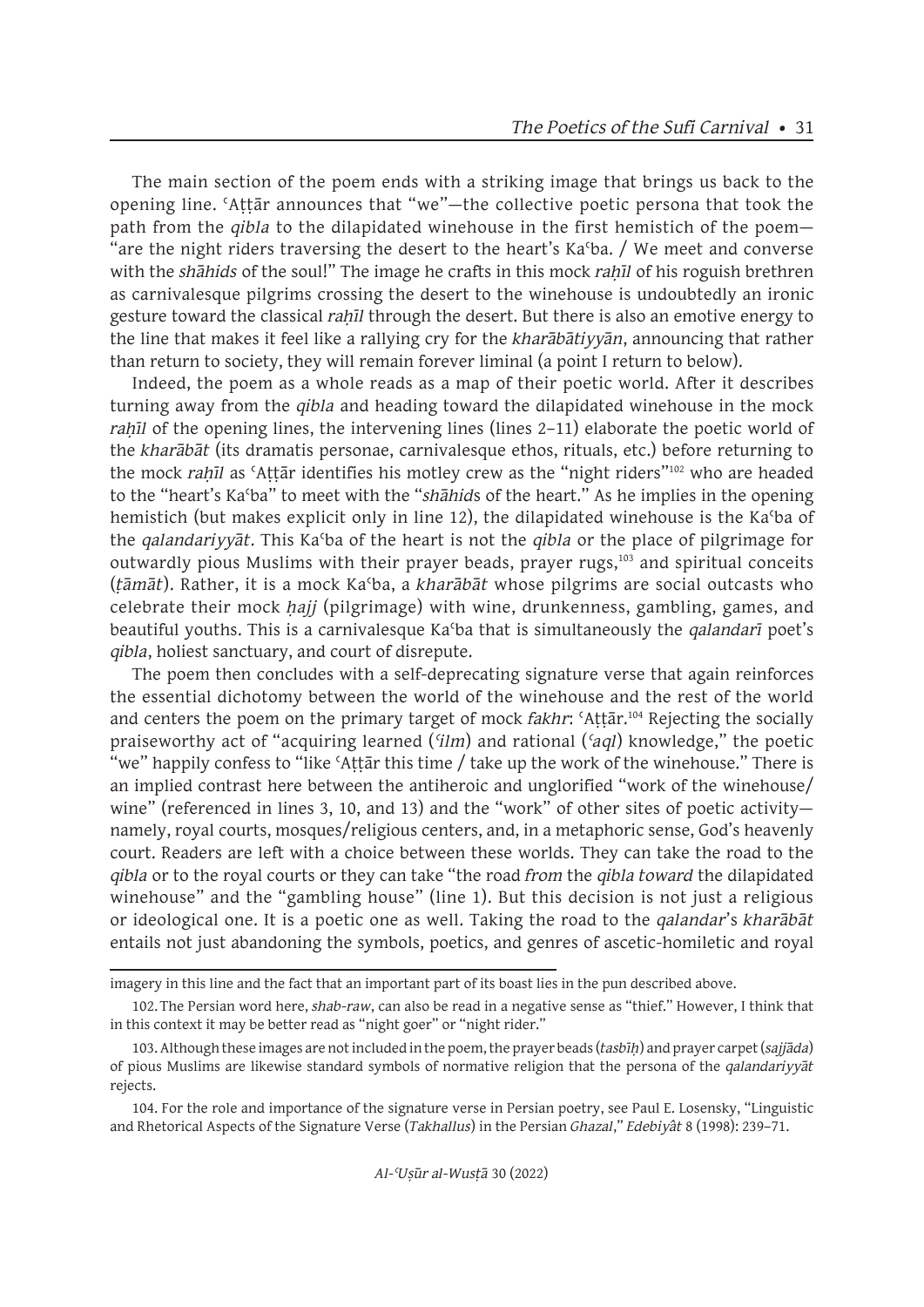The main section of the poem ends with a striking image that brings us back to the opening line. ʿAṭṭār announces that "we"—the collective poetic persona that took the path from the *qibla* to the dilapidated winehouse in the first hemistich of the poem— "are the night riders traversing the desert to the heart's Ka<sup>c</sup>ba. / We meet and converse with the *shāhids* of the soul!" The image he crafts in this mock *rahil* of his roguish brethren as carnivalesque pilgrims crossing the desert to the winehouse is undoubtedly an ironic gesture toward the classical *rah*<sup>I</sup>l through the desert. But there is also an emotive energy to the line that makes it feel like a rallying cry for the *kharābātiyyān*, announcing that rather than return to society, they will remain forever liminal (a point I return to below).

Indeed, the poem as a whole reads as a map of their poetic world. After it describes turning away from the *qibla* and heading toward the dilapidated winehouse in the mock *rah*īl of the opening lines, the intervening lines (lines 2–11) elaborate the poetic world of the *kharābāt* (its dramatis personae, carnivalesque ethos, rituals, etc.) before returning to the mock *rahīl* as 'Attār identifies his motley crew as the "night riders"<sup>102</sup> who are headed to the "heart's Kaʿba" to meet with the "*shāhid*s of the heart." As he implies in the opening hemistich (but makes explicit only in line 12), the dilapidated winehouse is the Kaʿba of the *qalandariyyāt*. This Kaʿba of the heart is not the *qibla* or the place of pilgrimage for outwardly pious Muslims with their prayer beads, prayer rugs,<sup>103</sup> and spiritual conceits (*ṭāmāt*). Rather, it is a mock Kaʿba, a *kharābāt* whose pilgrims are social outcasts who celebrate their mock *ḥajj* (pilgrimage) with wine, drunkenness, gambling, games, and beautiful youths. This is a carnivalesque Kaʿba that is simultaneously the *qalandarī* poet's *qibla*, holiest sanctuary, and court of disrepute.

The poem then concludes with a self-deprecating signature verse that again reinforces the essential dichotomy between the world of the winehouse and the rest of the world and centers the poem on the primary target of mock *fakhr*: ʿAṭṭār.<sup>104</sup> Rejecting the socially praiseworthy act of "acquiring learned (*ʿilm*) and rational (*ʿaql*) knowledge," the poetic "we" happily confess to "like 'Attar this time / take up the work of the winehouse." There is an implied contrast here between the antiheroic and unglorified "work of the winehouse/ wine" (referenced in lines 3, 10, and 13) and the "work" of other sites of poetic activitynamely, royal courts, mosques/religious centers, and, in a metaphoric sense, God's heavenly court. Readers are left with a choice between these worlds. They can take the road to the *qibla* or to the royal courts or they can take "the road *from* the *qibla toward* the dilapidated winehouse" and the "gambling house" (line 1). But this decision is not just a religious or ideological one. It is a poetic one as well. Taking the road to the *qalandar*'s *kharābāt* entails not just abandoning the symbols, poetics, and genres of ascetic-homiletic and royal

imagery in this line and the fact that an important part of its boast lies in the pun described above.

<sup>102.</sup>The Persian word here, *shab-raw*, can also be read in a negative sense as "thief." However, I think that in this context it may be better read as "night goer" or "night rider."

<sup>103.</sup> Although these images are not included in the poem, the prayer beads (*tasbīḥ*) and prayer carpet (*sajjāda*) of pious Muslims are likewise standard symbols of normative religion that the persona of the *qalandariyyāt* rejects.

<sup>104.</sup> For the role and importance of the signature verse in Persian poetry, see Paul E. Losensky, "Linguistic and Rhetorical Aspects of the Signature Verse (*Takhallus*) in the Persian *Ghazal*," *Edebiyât* 8 (1998): 239–71.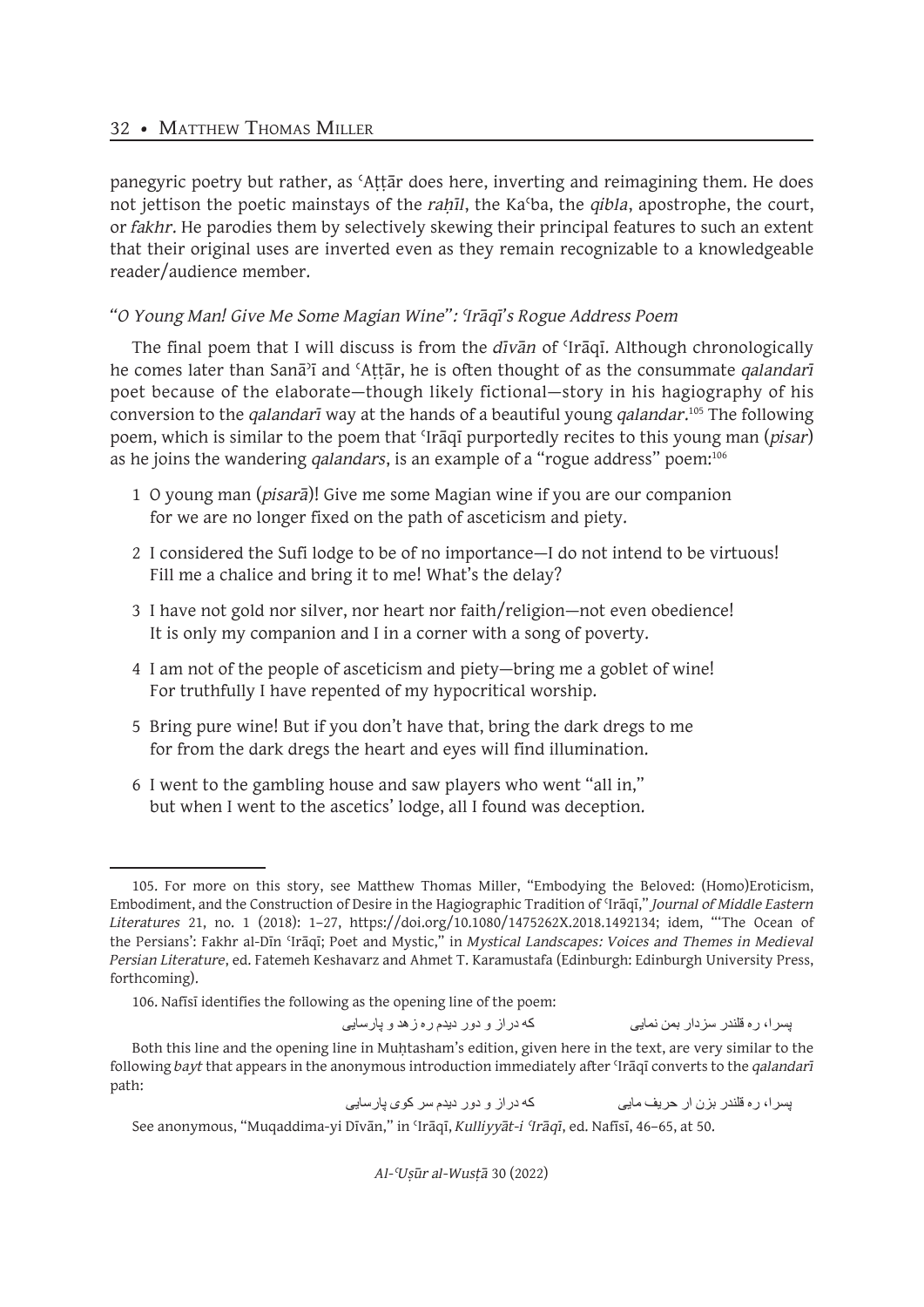panegyric poetry but rather, as ʿAṭṭār does here, inverting and reimagining them. He does not jettison the poetic mainstays of the *rahīl*, the Ka<sup>c</sup>ba, the *qibla*, apostrophe, the court, or *fakhr*. He parodies them by selectively skewing their principal features to such an extent that their original uses are inverted even as they remain recognizable to a knowledgeable reader/audience member.

## *"O Young Man! Give Me Some Magian Wine": ʿIrāqī's Rogue Address Poem*

The final poem that I will discuss is from the *dīvān* of ʿIrāqī. Although chronologically he comes later than Sanāʾī and ʿAṭṭār, he is often thought of as the consummate *qalandarī* poet because of the elaborate—though likely fictional—story in his hagiography of his conversion to the *qalandarī* way at the hands of a beautiful young *qalandar*. <sup>105</sup> The following poem, which is similar to the poem that ʿIrāqī purportedly recites to this young man (*pisar*) as he joins the wandering *qalandars*, is an example of a "rogue address" poem:106

- 1 O young man (*pisarā*)! Give me some Magian wine if you are our companion for we are no longer fixed on the path of asceticism and piety.
- 2 I considered the Sufi lodge to be of no importance—I do not intend to be virtuous! Fill me a chalice and bring it to me! What's the delay?
- 3 I have not gold nor silver, nor heart nor faith/religion—not even obedience! It is only my companion and I in a corner with a song of poverty.
- 4 I am not of the people of asceticism and piety—bring me a goblet of wine! For truthfully I have repented of my hypocritical worship.
- 5 Bring pure wine! But if you don't have that, bring the dark dregs to me for from the dark dregs the heart and eyes will find illumination.
- 6 I went to the gambling house and saw players who went "all in," but when I went to the ascetics' lodge, all I found was deception.

پسرا، ره قلندر سزدار بمن نمایی که دراز و دور دیدم ره زهد و پارسایی

Both this line and the opening line in Muḥtasham's edition, given here in the text, are very similar to the following *bayt* that appears in the anonymous introduction immediately after ʿIrāqī converts to the *qalandarī* path:

پسرا، ره قلندر بزن ار حریف مایی که دراز و دور دیدم سر کوی پارسایی

<sup>105.</sup> For more on this story, see Matthew Thomas Miller, "Embodying the Beloved: (Homo)Eroticism, Embodiment, and the Construction of Desire in the Hagiographic Tradition of ʿIrāqī," *Journal of Middle Eastern Literatures* 21, no. 1 (2018): 1–27, https://doi.org/10.1080/1475262X.2018.1492134; idem, "'The Ocean of the Persians': Fakhr al-Dīn ʿIrāqī; Poet and Mystic," in *Mystical Landscapes: Voices and Themes in Medieval Persian Literature*, ed. Fatemeh Keshavarz and Ahmet T. Karamustafa (Edinburgh: Edinburgh University Press, forthcoming).

<sup>106.</sup> Nafīsī identifies the following as the opening line of the poem:

See anonymous, "Muqaddima-yi Dīvān," in ʿIrāqī, *Kulliyyāt-i ʿIrāqī*, ed. Nafīsī, 46–65, at 50.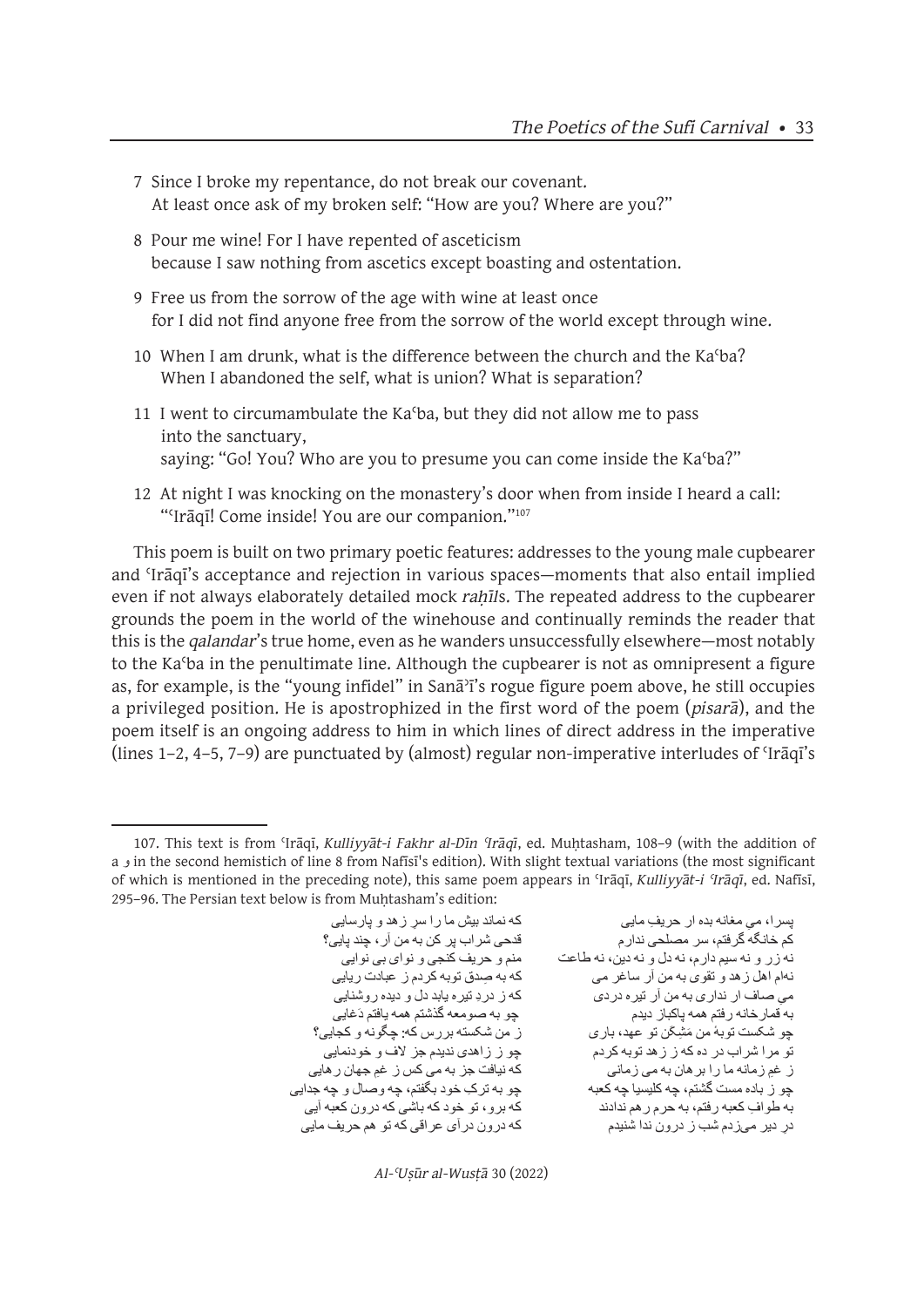- 7 Since I broke my repentance, do not break our covenant. At least once ask of my broken self: "How are you? Where are you?"
- 8 Pour me wine! For I have repented of asceticism because I saw nothing from ascetics except boasting and ostentation.
- 9 Free us from the sorrow of the age with wine at least once for I did not find anyone free from the sorrow of the world except through wine.
- 10 When I am drunk, what is the difference between the church and the Kaʿba? When I abandoned the self, what is union? What is separation?
- 11 I went to circumambulate the Kaʿba, but they did not allow me to pass into the sanctuary, saying: "Go! You? Who are you to presume you can come inside the Kaʿba?"
- 12 At night I was knocking on the monastery's door when from inside I heard a call: "'Irāqī! Come inside! You are our companion."<sup>107</sup>

This poem is built on two primary poetic features: addresses to the young male cupbearer and ʿIrāqī's acceptance and rejection in various spaces—moments that also entail implied even if not always elaborately detailed mock *rahīls*. The repeated address to the cupbearer grounds the poem in the world of the winehouse and continually reminds the reader that this is the *qalandar*'s true home, even as he wanders unsuccessfully elsewhere—most notably to the Kaʿba in the penultimate line. Although the cupbearer is not as omnipresent a figure as, for example, is the "young infidel" in Sanāʾī's rogue figure poem above, he still occupies a privileged position. He is apostrophized in the first word of the poem (*pisarā*), and the poem itself is an ongoing address to him in which lines of direct address in the imperative (lines 1–2, 4–5, 7–9) are punctuated by (almost) regular non-imperative interludes of ʿIrāqī's

قدحی شر اب پر کن به من آر ، چند پایی؟ چو ز باده مست گشتم، چه کلیسیا چه کعبه مسمت چو به ترک خود بگفتم، چه وصـال و چه جدایی<br>به طوافِ کعبه رفتم، به حرم ر هم ندادند که برو، تو خود که باشی که درون کعبه آیی

پسرا، میِ مغانه بده ار ِ حریفِ مایی<br>کم خانگه گرفتم، سر مصلحی ندارِ مصمل که که نماند بیش ما را بسر زهد و پارسایی نه زر و نه سیم دارم، نه دل و نه دین، نه طاعت منم و حریف کنجی و نوای بی نوایی نهام اهل زهد و تقوی به من آر ساغر می که به صدق توبه کردم ز عبادت ریایی<br>می صاف ار ندار ی به من آر تبر ه در دی میِ صـاف ار نداری به من آر تیره دردی<br>به قمارخانه رفتم همه پاکباز دیدم چو شکست ٔ توبه من َم ِش َکن تو عهد، باری ز من شکسته بررس که: چگونه و کجایی؟ تو مرا شراب در ده که ز زهد توبه کردم<br>ز غم زمانه ما را بر هان به می زمانی ز غمِ زمانه ما را بر هان به می زمانی<br>جو ز باده مست گشتم، جه کلیسیا جه کعبه که که نیافت جز یک خود بگفتم، جه و صـال و جه جد ِدر دیر میزدم شب ز درون ندا شنیدم که درون درآی عراقی که تو هم حریف مایی

*Al-ʿUṣūr al-Wusṭā* 30 (2022)

<sup>107.</sup> This text is from ʿIrāqī, *Kulliyyāt-i Fakhr al-Dīn ʿIrāqī*, ed. Muḥtasham, 108–9 (with the addition of a و in the second hemistich of line 8 from Nafīsī's edition). With slight textual variations (the most significant of which is mentioned in the preceding note), this same poem appears in ʿIrāqī, *Kulliyyāt-i ʿIrāqī*, ed. Nafīsī, 295-96. The Persian text below is from Muhtasham's edition: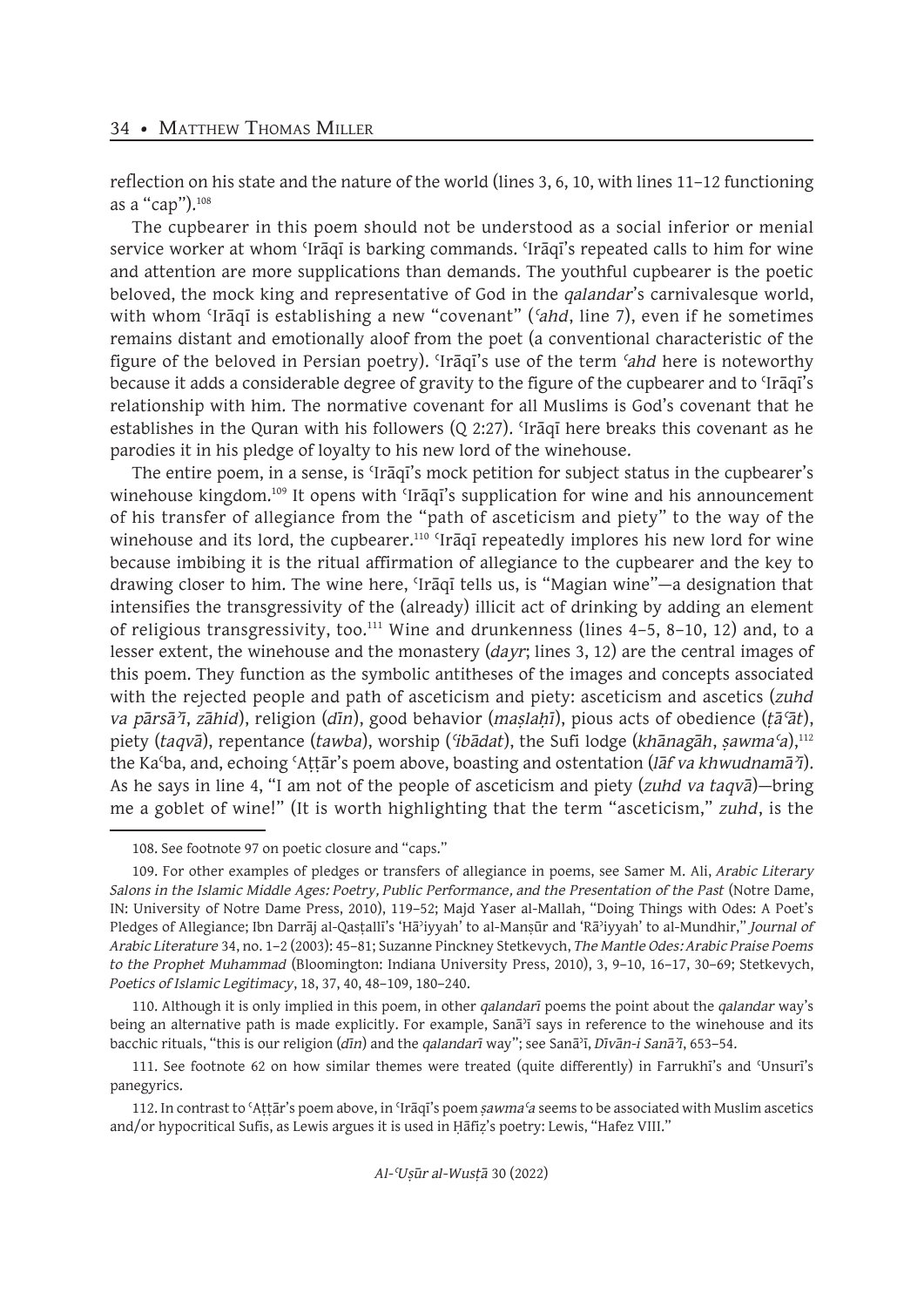reflection on his state and the nature of the world (lines 3, 6, 10, with lines 11–12 functioning as a "cap").<sup>108</sup>

The cupbearer in this poem should not be understood as a social inferior or menial service worker at whom 'Iraqī is barking commands. 'Iraqī's repeated calls to him for wine and attention are more supplications than demands. The youthful cupbearer is the poetic beloved, the mock king and representative of God in the *qalandar*'s carnivalesque world, with whom ʿIrāqī is establishing a new "covenant" (*ʿahd*, line 7), even if he sometimes remains distant and emotionally aloof from the poet (a conventional characteristic of the figure of the beloved in Persian poetry). ʿIrāqī's use of the term *ʿahd* here is noteworthy because it adds a considerable degree of gravity to the figure of the cupbearer and to ʿIrāqī's relationship with him. The normative covenant for all Muslims is God's covenant that he establishes in the Quran with his followers (Q 2:27). ʿIrāqī here breaks this covenant as he parodies it in his pledge of loyalty to his new lord of the winehouse.

The entire poem, in a sense, is ʿIrāqī's mock petition for subject status in the cupbearer's winehouse kingdom.<sup>109</sup> It opens with 'Iraqi's supplication for wine and his announcement of his transfer of allegiance from the "path of asceticism and piety" to the way of the winehouse and its lord, the cupbearer.<sup>110</sup> 'Iraqi repeatedly implores his new lord for wine because imbibing it is the ritual affirmation of allegiance to the cupbearer and the key to drawing closer to him. The wine here, ʿIrāqī tells us, is "Magian wine"—a designation that intensifies the transgressivity of the (already) illicit act of drinking by adding an element of religious transgressivity, too.<sup>111</sup> Wine and drunkenness (lines  $4-5$ ,  $8-10$ ,  $12$ ) and, to a lesser extent, the winehouse and the monastery (*dayr*; lines 3, 12) are the central images of this poem. They function as the symbolic antitheses of the images and concepts associated with the rejected people and path of asceticism and piety: asceticism and ascetics (*zuhd va pārsāʾī*, *zāhid*), religion (*dīn*), good behavior (*maṣlaḥī*), pious acts of obedience (*ṭāʿāt*), piety (*taqvā*), repentance (*tawba*), worship (*ʿibādat*), the Sufi lodge (*khānagāh*, *ṣawmaʿa*),112 the Kaʿba, and, echoing ʿAṭṭār's poem above, boasting and ostentation (*lāf va khwudnamāʾī*). As he says in line 4, "I am not of the people of asceticism and piety (*zuhd va taqvā*)—bring me a goblet of wine!" (It is worth highlighting that the term "asceticism," *zuhd*, is the

<sup>108.</sup> See footnote 97 on poetic closure and "caps."

<sup>109.</sup> For other examples of pledges or transfers of allegiance in poems, see Samer M. Ali, *Arabic Literary Salons in the Islamic Middle Ages: Poetry, Public Performance, and the Presentation of the Past* (Notre Dame, IN: University of Notre Dame Press, 2010), 119–52; Majd Yaser al-Mallah, "Doing Things with Odes: A Poet's Pledges of Allegiance; Ibn Darrāj al-Qasṭallī's 'Hāʾiyyah' to al-Manṣūr and 'Rāʾiyyah' to al-Mundhir," *Journal of Arabic Literature* 34, no. 1–2 (2003): 45–81; Suzanne Pinckney Stetkevych, *The Mantle Odes: Arabic Praise Poems to the Prophet Muhammad* (Bloomington: Indiana University Press, 2010), 3, 9–10, 16–17, 30–69; Stetkevych, *Poetics of Islamic Legitimacy*, 18, 37, 40, 48–109, 180–240.

<sup>110.</sup> Although it is only implied in this poem, in other *qalandarī* poems the point about the *qalandar* way's being an alternative path is made explicitly. For example, Sana<sup>3</sup>i says in reference to the winehouse and its bacchic rituals, "this is our religion (*dīn*) and the *qalandarī* way"; see Sanāʾī, *Dīvān-i Sanāʾī*, 653–54.

<sup>111.</sup> See footnote 62 on how similar themes were treated (quite differently) in Farrukhī's and ʿUnsurī's panegyrics.

<sup>112.</sup> In contrast to ʿAṭṭār's poem above, in ʿIrāqī's poem *ṣawmaʿa* seems to be associated with Muslim ascetics and/or hypocritical Sufis, as Lewis argues it is used in Ḥāfiẓ's poetry: Lewis, "Hafez VIII."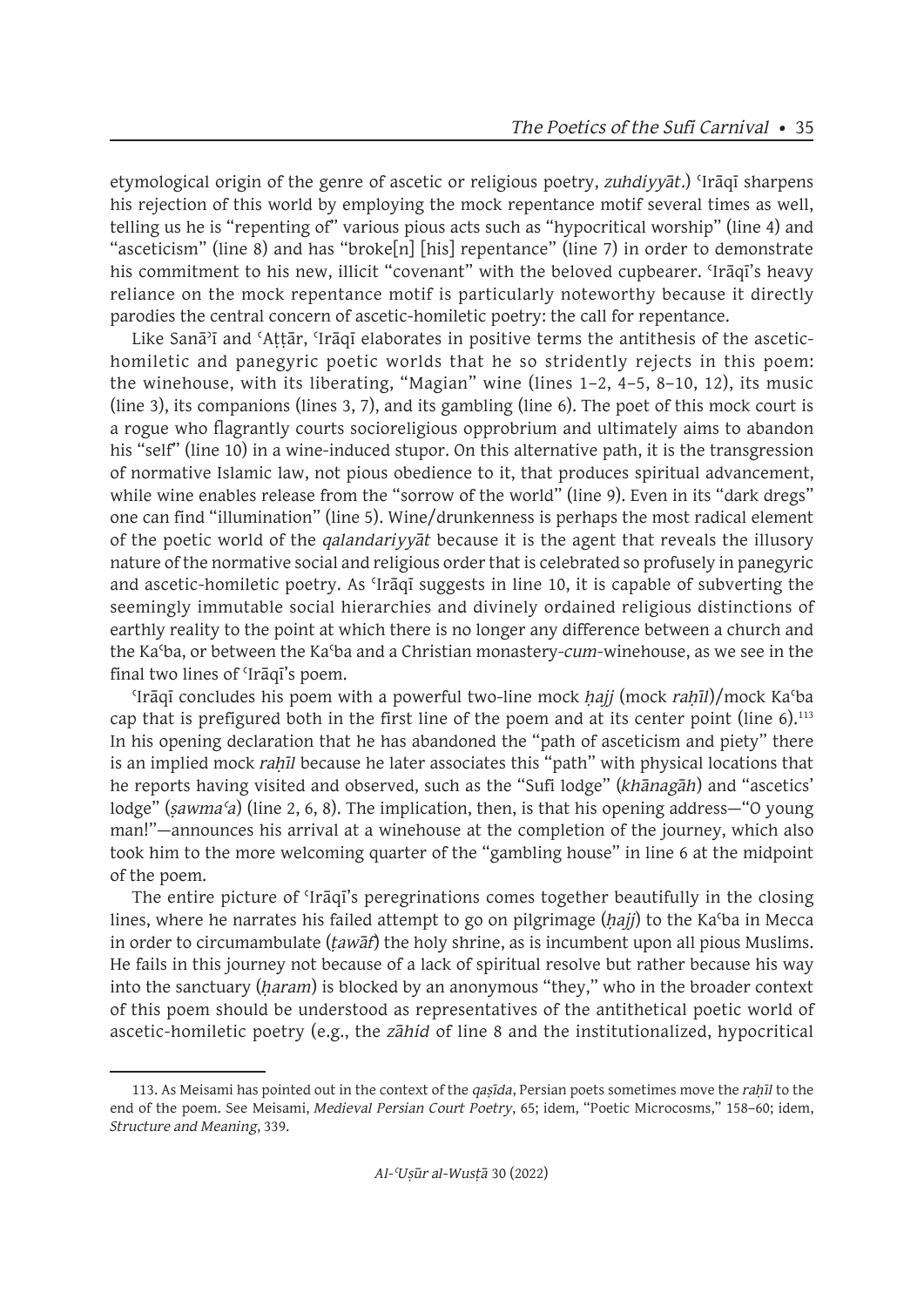etymological origin of the genre of ascetic or religious poetry, *zuhdiyyāt*.) ʿIrāqī sharpens his rejection of this world by employing the mock repentance motif several times as well, telling us he is "repenting of" various pious acts such as "hypocritical worship" (line 4) and "asceticism" (line 8) and has "broke[n] [his] repentance" (line 7) in order to demonstrate his commitment to his new, illicit "covenant" with the beloved cupbearer. ʿIrāqī's heavy reliance on the mock repentance motif is particularly noteworthy because it directly parodies the central concern of ascetic-homiletic poetry: the call for repentance.

Like Sanā<sup> $3$ </sup>ī and 'Attār, 'Irāqī elaborates in positive terms the antithesis of the ascetichomiletic and panegyric poetic worlds that he so stridently rejects in this poem: the winehouse, with its liberating, "Magian" wine (lines 1–2, 4–5, 8–10, 12), its music (line 3), its companions (lines 3, 7), and its gambling (line 6). The poet of this mock court is a rogue who flagrantly courts socioreligious opprobrium and ultimately aims to abandon his "self" (line 10) in a wine-induced stupor. On this alternative path, it is the transgression of normative Islamic law, not pious obedience to it, that produces spiritual advancement, while wine enables release from the "sorrow of the world" (line 9). Even in its "dark dregs" one can find "illumination" (line 5). Wine/drunkenness is perhaps the most radical element of the poetic world of the *qalandariyyāt* because it is the agent that reveals the illusory nature of the normative social and religious order that is celebrated so profusely in panegyric and ascetic-homiletic poetry. As ʿIrāqī suggests in line 10, it is capable of subverting the seemingly immutable social hierarchies and divinely ordained religious distinctions of earthly reality to the point at which there is no longer any difference between a church and the Kaʿba, or between the Kaʿba and a Christian monastery-*cum*-winehouse, as we see in the final two lines of ʿIrāqī's poem.

ʿIrāqī concludes his poem with a powerful two-line mock *ḥajj* (mock *raḥīl*)/mock Kaʿba cap that is prefigured both in the first line of the poem and at its center point (line  $6$ ).<sup>113</sup> In his opening declaration that he has abandoned the "path of asceticism and piety" there is an implied mock *rahil* because he later associates this "path" with physical locations that he reports having visited and observed, such as the "Sufi lodge" (*khānagāh*) and "ascetics' lodge" (*ṣawmaʿa*) (line 2, 6, 8). The implication, then, is that his opening address—"O young man!"—announces his arrival at a winehouse at the completion of the journey, which also took him to the more welcoming quarter of the "gambling house" in line 6 at the midpoint of the poem.

The entire picture of ʿIrāqī's peregrinations comes together beautifully in the closing lines, where he narrates his failed attempt to go on pilgrimage (*ḥajj*) to the Kaʿba in Mecca in order to circumambulate (*ṭawāf*) the holy shrine, as is incumbent upon all pious Muslims. He fails in this journey not because of a lack of spiritual resolve but rather because his way into the sanctuary (*ḥaram*) is blocked by an anonymous "they," who in the broader context of this poem should be understood as representatives of the antithetical poetic world of ascetic-homiletic poetry (e.g., the *zāhid* of line 8 and the institutionalized, hypocritical

<sup>113.</sup> As Meisami has pointed out in the context of the *qaṣīda*, Persian poets sometimes move the *raḥīl* to the end of the poem. See Meisami, *Medieval Persian Court Poetry*, 65; idem, "Poetic Microcosms," 158–60; idem, *Structure and Meaning*, 339.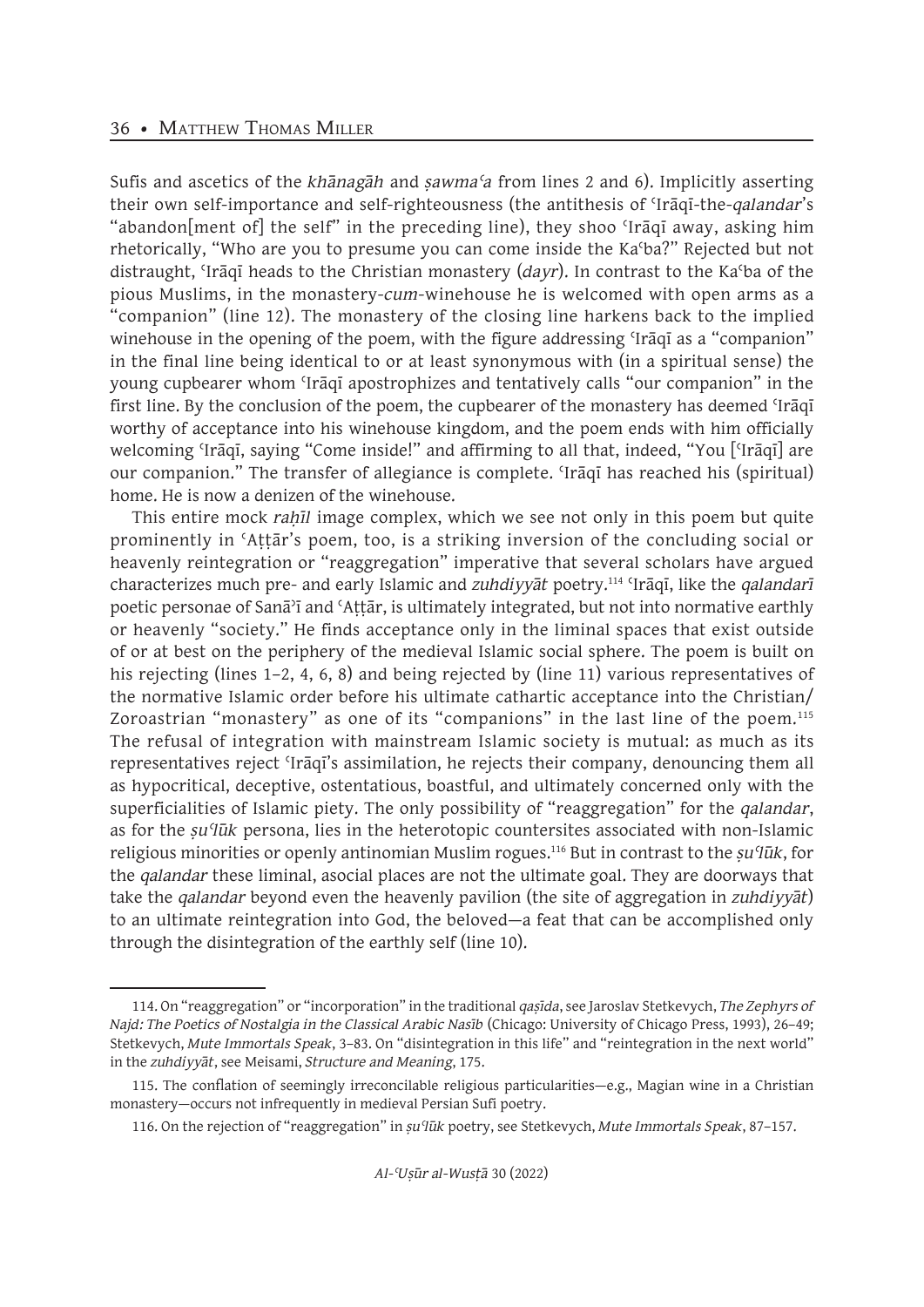Sufis and ascetics of the *khānagāh* and *ṣawmaʿa* from lines 2 and 6). Implicitly asserting their own self-importance and self-righteousness (the antithesis of ʿIrāqī-the-*qalandar*'s "abandon[ment of] the self" in the preceding line), they shoo ʿIrāqī away, asking him rhetorically, "Who are you to presume you can come inside the Kaʿba?" Rejected but not distraught, ʿIrāqī heads to the Christian monastery (*dayr*). In contrast to the Kaʿba of the pious Muslims, in the monastery-*cum*-winehouse he is welcomed with open arms as a "companion" (line 12). The monastery of the closing line harkens back to the implied winehouse in the opening of the poem, with the figure addressing 'Iraqi as a "companion" in the final line being identical to or at least synonymous with (in a spiritual sense) the young cupbearer whom ʿIrāqī apostrophizes and tentatively calls "our companion" in the first line. By the conclusion of the poem, the cupbearer of the monastery has deemed 'Iraqi worthy of acceptance into his winehouse kingdom, and the poem ends with him officially welcoming 'Irāqī, saying "Come inside!" and affirming to all that, indeed, "You ['Irāqī] are our companion." The transfer of allegiance is complete. ʿIrāqī has reached his (spiritual) home. He is now a denizen of the winehouse.

This entire mock *rahil* image complex, which we see not only in this poem but quite prominently in ʿAṭṭār's poem, too, is a striking inversion of the concluding social or heavenly reintegration or "reaggregation" imperative that several scholars have argued characterizes much pre- and early Islamic and *zuhdiyyāt* poetry.114 ʿIrāqī, like the *qalandarī* poetic personae of Sanāʾī and ʿAṭṭār, is ultimately integrated, but not into normative earthly or heavenly "society." He finds acceptance only in the liminal spaces that exist outside of or at best on the periphery of the medieval Islamic social sphere. The poem is built on his rejecting (lines 1–2, 4, 6, 8) and being rejected by (line 11) various representatives of the normative Islamic order before his ultimate cathartic acceptance into the Christian/ Zoroastrian "monastery" as one of its "companions" in the last line of the poem.<sup>115</sup> The refusal of integration with mainstream Islamic society is mutual: as much as its representatives reject ʿIrāqī's assimilation, he rejects their company, denouncing them all as hypocritical, deceptive, ostentatious, boastful, and ultimately concerned only with the superficialities of Islamic piety. The only possibility of "reaggregation" for the *qalandar*, as for the *ṣuʿlūk* persona, lies in the heterotopic countersites associated with non-Islamic religious minorities or openly antinomian Muslim rogues.116 But in contrast to the *ṣuʿlūk*, for the *qalandar* these liminal, asocial places are not the ultimate goal. They are doorways that take the *qalandar* beyond even the heavenly pavilion (the site of aggregation in *zuhdiyyāt*) to an ultimate reintegration into God, the beloved—a feat that can be accomplished only through the disintegration of the earthly self (line 10).

<sup>114.</sup> On "reaggregation" or "incorporation" in the traditional *qaṣīda*, see Jaroslav Stetkevych, *The Zephyrs of Najd: The Poetics of Nostalgia in the Classical Arabic Nasīb* (Chicago: University of Chicago Press, 1993), 26–49; Stetkevych, *Mute Immortals Speak*, 3–83. On "disintegration in this life" and "reintegration in the next world" in the *zuhdiyyāt*, see Meisami, *Structure and Meaning*, 175.

<sup>115.</sup> The conflation of seemingly irreconcilable religious particularities—e.g., Magian wine in a Christian monastery—occurs not infrequently in medieval Persian Sufi poetry.

<sup>116.</sup> On the rejection of "reaggregation" in *ṣuʿlūk* poetry, see Stetkevych, *Mute Immortals Speak*, 87–157.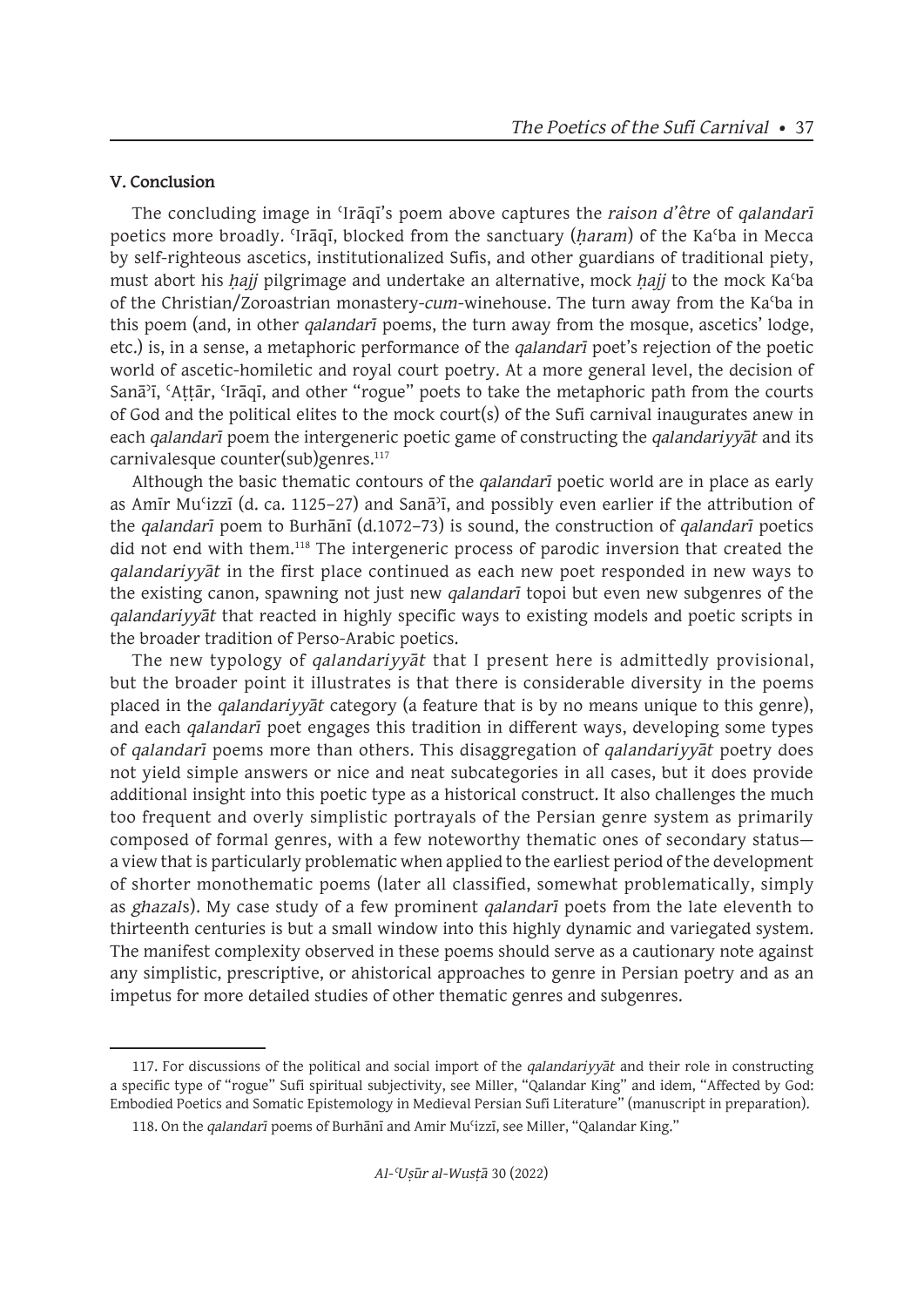#### **V. Conclusion**

The concluding image in ʿIrāqī's poem above captures the *raison d'être* of *qalandarī*  poetics more broadly. ʿIrāqī, blocked from the sanctuary (*ḥaram*) of the Kaʿba in Mecca by self-righteous ascetics, institutionalized Sufis, and other guardians of traditional piety, must abort his *hajj* pilgrimage and undertake an alternative, mock *hajj* to the mock Ka'ba of the Christian/Zoroastrian monastery-*cum*-winehouse. The turn away from the Kaʿba in this poem (and, in other *qalandarī* poems, the turn away from the mosque, ascetics' lodge, etc.) is, in a sense, a metaphoric performance of the *qalandarī* poet's rejection of the poetic world of ascetic-homiletic and royal court poetry. At a more general level, the decision of Sanāʾī, ʿAṭṭār, ʿIrāqī, and other "rogue" poets to take the metaphoric path from the courts of God and the political elites to the mock court(s) of the Sufi carnival inaugurates anew in each *qalandarī* poem the intergeneric poetic game of constructing the *qalandariyyāt* and its carnivalesque counter(sub)genres.<sup>117</sup>

Although the basic thematic contours of the *qalandarī* poetic world are in place as early as Amīr Muʿizzī (d. ca. 1125–27) and Sanāʾī, and possibly even earlier if the attribution of the *qalandarī* poem to Burhānī (d.1072–73) is sound, the construction of *qalandarī* poetics did not end with them.<sup>118</sup> The intergeneric process of parodic inversion that created the *qalandariyyāt* in the first place continued as each new poet responded in new ways to the existing canon, spawning not just new *qalandarī* topoi but even new subgenres of the *qalandariyyāt* that reacted in highly specific ways to existing models and poetic scripts in the broader tradition of Perso-Arabic poetics.

The new typology of *qalandariyyāt* that I present here is admittedly provisional, but the broader point it illustrates is that there is considerable diversity in the poems placed in the *qalandariyyāt* category (a feature that is by no means unique to this genre), and each *qalandarī* poet engages this tradition in different ways, developing some types of *qalandarī* poems more than others. This disaggregation of *qalandariyyāt* poetry does not yield simple answers or nice and neat subcategories in all cases, but it does provide additional insight into this poetic type as a historical construct. It also challenges the much too frequent and overly simplistic portrayals of the Persian genre system as primarily composed of formal genres, with a few noteworthy thematic ones of secondary status a view that is particularly problematic when applied to the earliest period of the development of shorter monothematic poems (later all classified, somewhat problematically, simply as *ghazal*s). My case study of a few prominent *qalandarī* poets from the late eleventh to thirteenth centuries is but a small window into this highly dynamic and variegated system. The manifest complexity observed in these poems should serve as a cautionary note against any simplistic, prescriptive, or ahistorical approaches to genre in Persian poetry and as an impetus for more detailed studies of other thematic genres and subgenres.

<sup>117.</sup> For discussions of the political and social import of the *qalandariyyāt* and their role in constructing a specific type of "rogue" Sufi spiritual subjectivity, see Miller, "Qalandar King" and idem, "Affected by God: Embodied Poetics and Somatic Epistemology in Medieval Persian Sufi Literature" (manuscript in preparation).

<sup>118.</sup> On the *qalandarī* poems of Burhānī and Amir Muʿizzī, see Miller, "Qalandar King."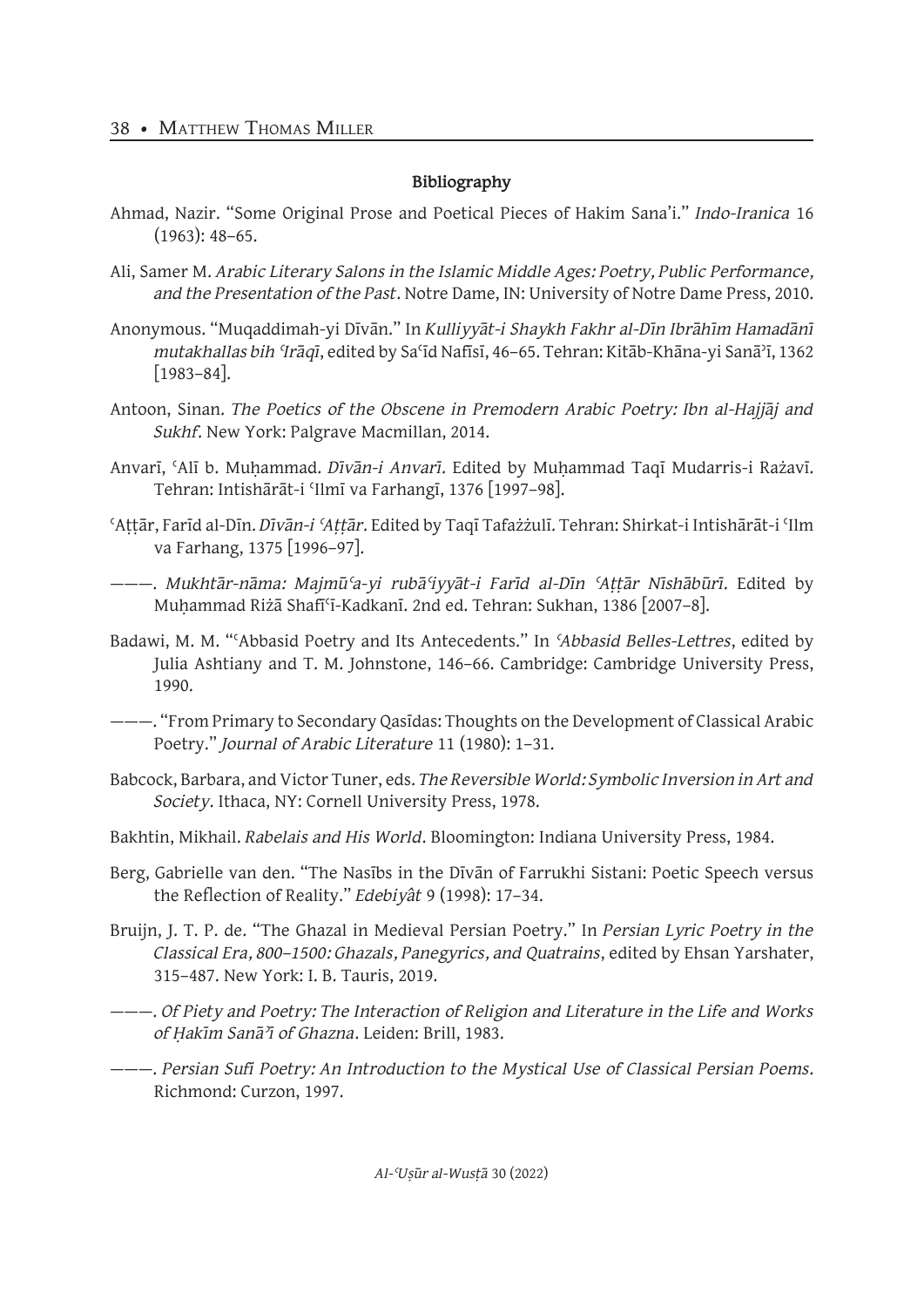## **Bibliography**

- Ahmad, Nazir. "Some Original Prose and Poetical Pieces of Hakim Sana'i." *Indo-Iranica* 16 (1963): 48–65.
- Ali, Samer M. *Arabic Literary Salons in the Islamic Middle Ages: Poetry, Public Performance, and the Presentation of the Past*. Notre Dame, IN: University of Notre Dame Press, 2010.
- Anonymous. "Muqaddimah-yi Dīvān." In *Kulliyyāt-i Shaykh Fakhr al-Dīn Ibrāhīm Hamadānī mutakhallas bih ʿIrāqī*, edited by Saʿīd Nafīsī, 46–65. Tehran: Kitāb-Khāna-yi Sanāʾī, 1362 [1983–84].
- Antoon, Sinan. *The Poetics of the Obscene in Premodern Arabic Poetry: Ibn al-Hajjāj and Sukhf*. New York: Palgrave Macmillan, 2014.
- Anvarī, ʿAlī b. Muḥammad. *Dīvān-i Anvarī*. Edited by Muḥammad Taqī Mudarris-i Rażavī. Tehran: Intishārāt-i ʿIlmī va Farhangī, 1376 [1997–98].
- ʿAṭṭār, Farīd al-Dīn. *Dīvān-i ʿAṭṭār*. Edited by Taqī Tafażżulī. Tehran: Shirkat-i Intishārāt-i ʿIlm va Farhang, 1375 [1996–97].
- ———. *Mukhtār-nāma: Majmūʿa-yi rubāʿiyyāt-i Farīd al-Dīn ʿAṭṭār Nīshābūrī*. Edited by Muḥammad Riżā Shafīʿī-Kadkanī. 2nd ed. Tehran: Sukhan, 1386 [2007–8].
- Badawi, M. M. "ʿAbbasid Poetry and Its Antecedents." In *ʿAbbasid Belles-Lettres*, edited by Julia Ashtiany and T. M. Johnstone, 146–66. Cambridge: Cambridge University Press, 1990.
- ———. "From Primary to Secondary Qasīdas: Thoughts on the Development of Classical Arabic Poetry." *Journal of Arabic Literature* 11 (1980): 1–31.
- Babcock, Barbara, and Victor Tuner, eds. *The Reversible World: Symbolic Inversion in Art and Society*. Ithaca, NY: Cornell University Press, 1978.
- Bakhtin, Mikhail. *Rabelais and His World*. Bloomington: Indiana University Press, 1984.
- Berg, Gabrielle van den. "The Nasībs in the Dīvān of Farrukhi Sistani: Poetic Speech versus the Reflection of Reality." *Edebiyât* 9 (1998): 17–34.
- Bruijn, J. T. P. de. "The Ghazal in Medieval Persian Poetry." In *Persian Lyric Poetry in the Classical Era, 800–1500: Ghazals, Panegyrics, and Quatrains*, edited by Ehsan Yarshater, 315–487. New York: I. B. Tauris, 2019.
- ———. *Of Piety and Poetry: The Interaction of Religion and Literature in the Life and Works of Ḥakīm Sanāʾī of Ghazna*. Leiden: Brill, 1983.
- ———. *Persian Sufi Poetry: An Introduction to the Mystical Use of Classical Persian Poems*. Richmond: Curzon, 1997.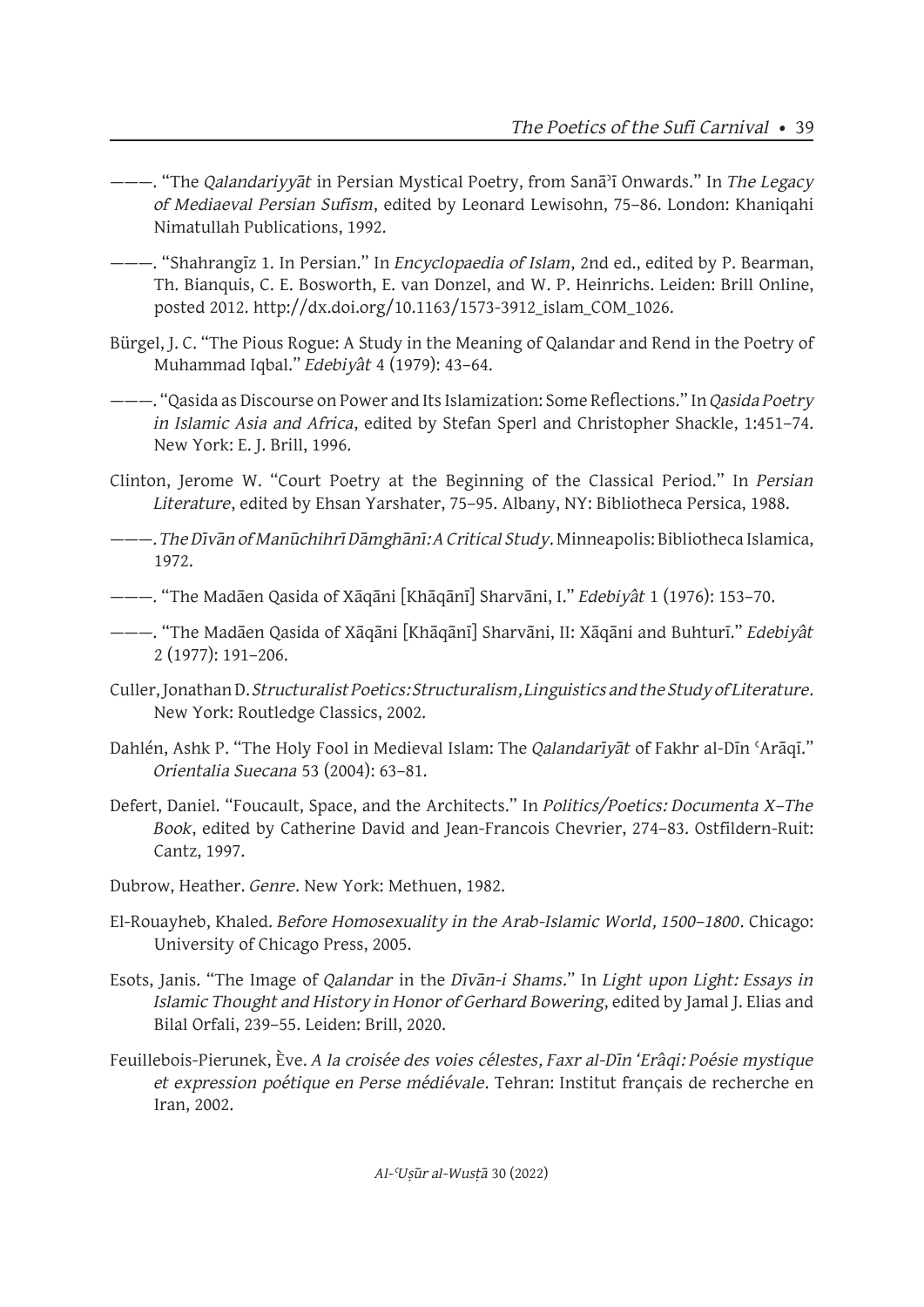- ———. "The *Qalandariyyāt* in Persian Mystical Poetry, from Sanāʾī Onwards." In *The Legacy of Mediaeval Persian Sufism*, edited by Leonard Lewisohn, 75–86. London: Khaniqahi Nimatullah Publications, 1992.
- ———. "Shahrangīz 1. In Persian." In *Encyclopaedia of Islam*, 2nd ed., edited by P. Bearman, Th. Bianquis, C. E. Bosworth, E. van Donzel, and W. P. Heinrichs. Leiden: Brill Online, posted 2012. http://dx.doi.org/10.1163/1573-3912\_islam\_COM\_1026.
- Bürgel, J. C. "The Pious Rogue: A Study in the Meaning of Qalandar and Rend in the Poetry of Muhammad Iqbal." *Edebiyât* 4 (1979): 43–64.
- ———. "Qasida as Discourse on Power and Its Islamization: Some Reflections." In *Qasida Poetry in Islamic Asia and Africa*, edited by Stefan Sperl and Christopher Shackle, 1:451–74. New York: E. J. Brill, 1996.
- Clinton, Jerome W. "Court Poetry at the Beginning of the Classical Period." In *Persian Literature*, edited by Ehsan Yarshater, 75–95. Albany, NY: Bibliotheca Persica, 1988.
- ———. *The Dīvān of Manūchihrī Dāmghānī: A Critical Study*. Minneapolis: Bibliotheca Islamica, 1972.
- ———. "The Madāen Qasida of Xāqāni [Khāqānī] Sharvāni, I." *Edebiyât* 1 (1976): 153–70.
- ———. "The Madāen Qasida of Xāqāni [Khāqānī] Sharvāni, II: Xāqāni and Buhturī." *Edebiyât* 2 (1977): 191–206.
- Culler, Jonathan D. *Structuralist Poetics: Structuralism, Linguistics and the Study of Literature*. New York: Routledge Classics, 2002.
- Dahlén, Ashk P. "The Holy Fool in Medieval Islam: The *Qalandarīyāt* of Fakhr al-Dīn ʿArāqī." *Orientalia Suecana* 53 (2004): 63–81.
- Defert, Daniel. "Foucault, Space, and the Architects." In *Politics/Poetics: Documenta X–The Book*, edited by Catherine David and Jean-Francois Chevrier, 274–83. Ostfildern-Ruit: Cantz, 1997.
- Dubrow, Heather. *Genre*. New York: Methuen, 1982.
- El-Rouayheb, Khaled. *Before Homosexuality in the Arab-Islamic World, 1500–1800*. Chicago: University of Chicago Press, 2005.
- Esots, Janis. "The Image of *Qalandar* in the *Dīvān-i Shams*." In *Light upon Light: Essays in Islamic Thought and History in Honor of Gerhard Bowering*, edited by Jamal J. Elias and Bilal Orfali, 239–55. Leiden: Brill, 2020.
- Feuillebois-Pierunek, Ève. *A la croisée des voies célestes, Faxr al-Dīn 'Erâqi: Poésie mystique et expression poétique en Perse médiévale*. Tehran: Institut français de recherche en Iran, 2002.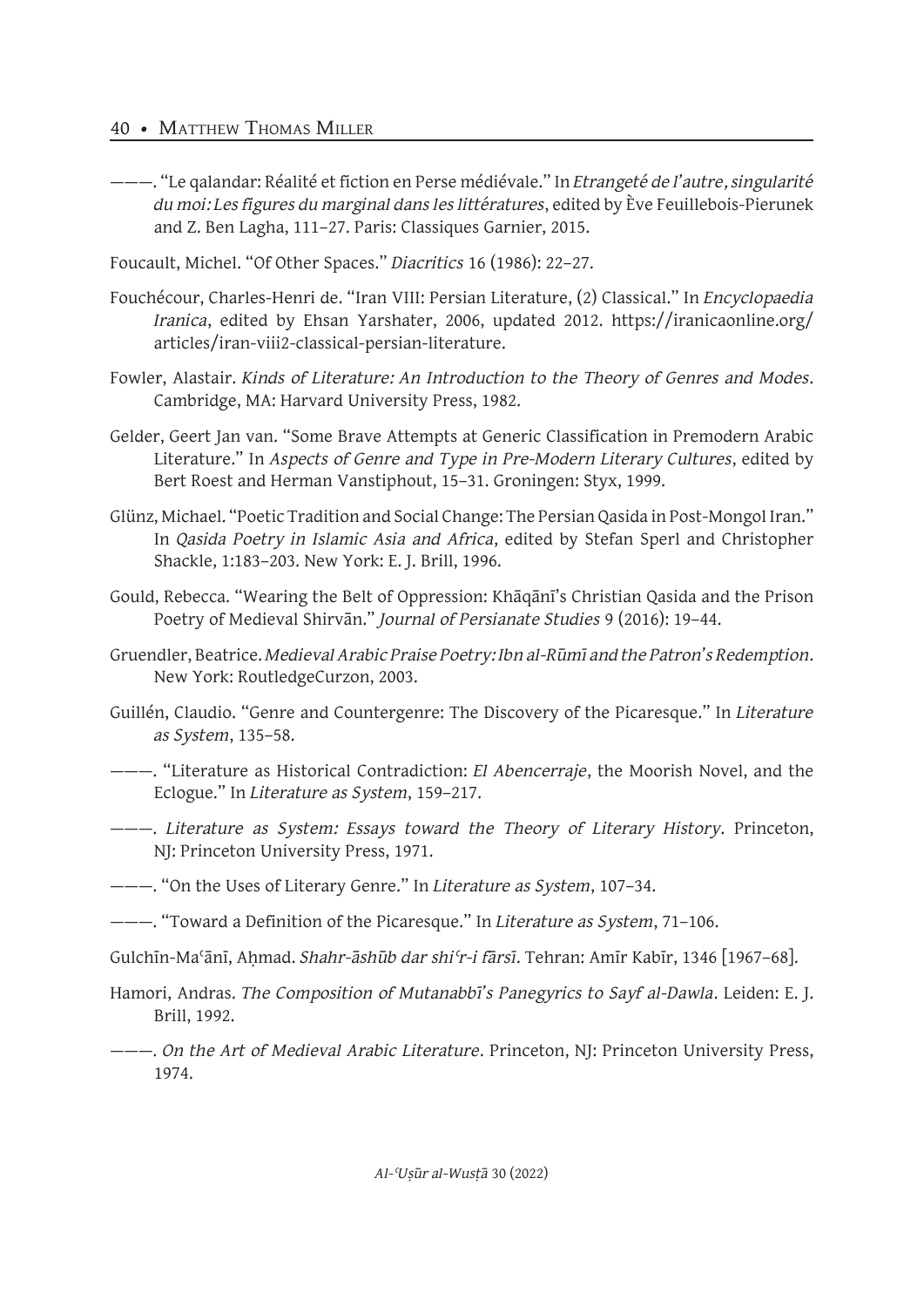- ———. "Le qalandar: Réalité et fiction en Perse médiévale." In *Etrangeté de l'autre, singularité du moi: Les figures du marginal dans les littératures*, edited by Ève Feuillebois-Pierunek and Z. Ben Lagha, 111–27. Paris: Classiques Garnier, 2015.
- Foucault, Michel. "Of Other Spaces." *Diacritics* 16 (1986): 22–27.
- Fouchécour, Charles-Henri de. "Iran VIII: Persian Literature, (2) Classical." In *Encyclopaedia Iranica*, edited by Ehsan Yarshater, 2006, updated 2012. https://iranicaonline.org/ articles/iran-viii2-classical-persian-literature.
- Fowler, Alastair. *Kinds of Literature: An Introduction to the Theory of Genres and Modes*. Cambridge, MA: Harvard University Press, 1982.
- Gelder, Geert Jan van. "Some Brave Attempts at Generic Classification in Premodern Arabic Literature." In *Aspects of Genre and Type in Pre-Modern Literary Cultures*, edited by Bert Roest and Herman Vanstiphout, 15–31. Groningen: Styx, 1999.
- Glünz, Michael. "Poetic Tradition and Social Change: The Persian Qasida in Post-Mongol Iran." In *Qasida Poetry in Islamic Asia and Africa*, edited by Stefan Sperl and Christopher Shackle, 1:183–203. New York: E. J. Brill, 1996.
- Gould, Rebecca. "Wearing the Belt of Oppression: Khāqānī's Christian Qasida and the Prison Poetry of Medieval Shirvān." *Journal of Persianate Studies* 9 (2016): 19–44.
- Gruendler, Beatrice. *Medieval Arabic Praise Poetry: Ibn al-Rūmī and the Patron's Redemption*. New York: RoutledgeCurzon, 2003.
- Guillén, Claudio. "Genre and Countergenre: The Discovery of the Picaresque." In *Literature as System*, 135–58.
- ———. "Literature as Historical Contradiction: *El Abencerraje*, the Moorish Novel, and the Eclogue." In *Literature as System*, 159–217.
- ———. *Literature as System: Essays toward the Theory of Literary History*. Princeton, NJ: Princeton University Press, 1971.
- ———. "On the Uses of Literary Genre." In *Literature as System*, 107–34.
- ———. "Toward a Definition of the Picaresque." In *Literature as System*, 71–106.
- Gulchīn-Maʿānī, Aḥmad. *Shahr-āshūb dar shiʿr-i fārsī*. Tehran: Amīr Kabīr, 1346 [1967–68].
- Hamori, Andras. *The Composition of Mutanabbī's Panegyrics to Sayf al-Dawla*. Leiden: E. J. Brill, 1992.
- ———. *On the Art of Medieval Arabic Literature*. Princeton, NJ: Princeton University Press, 1974.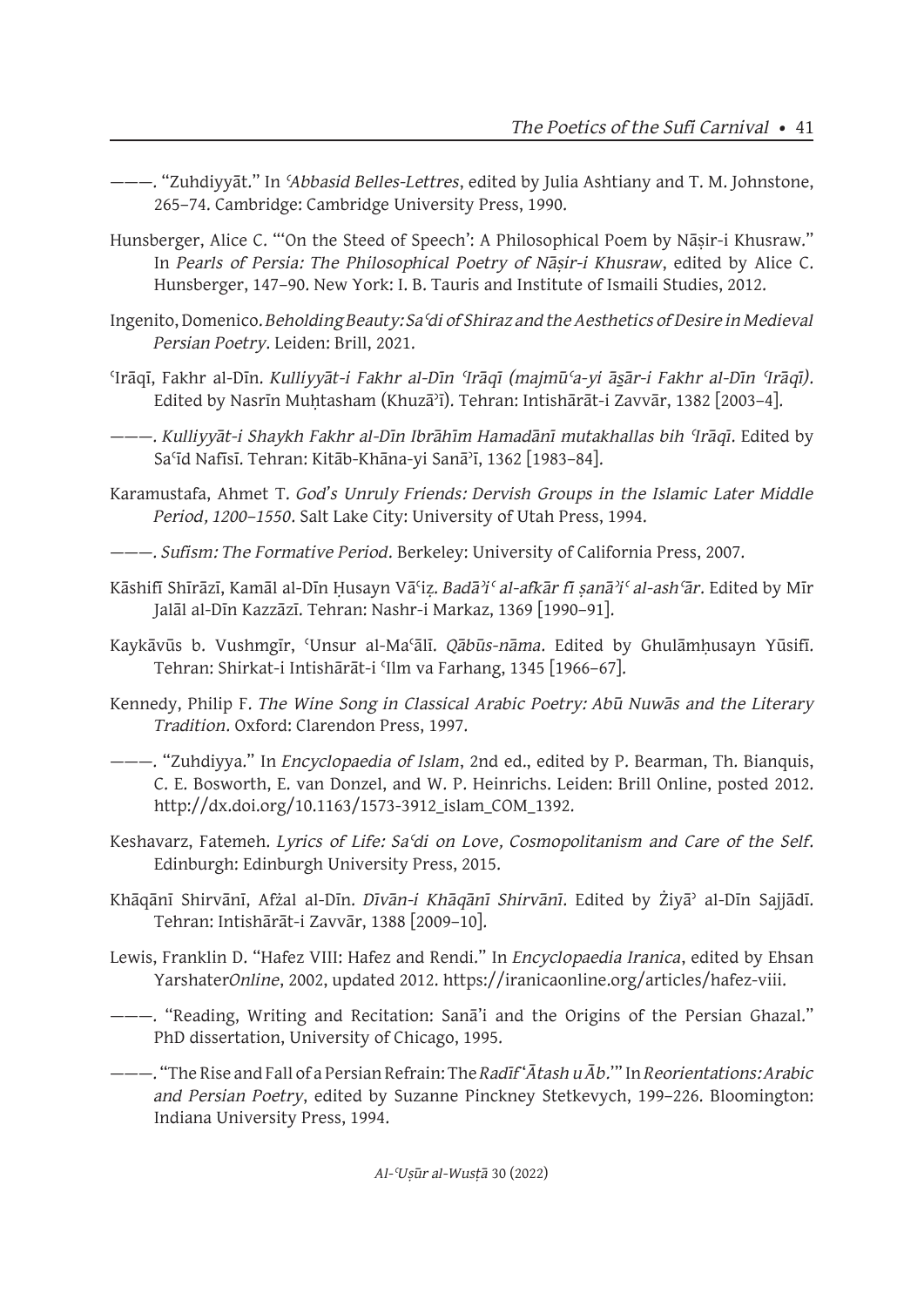- ———. "Zuhdiyyāt." In *ʿAbbasid Belles-Lettres*, edited by Julia Ashtiany and T. M. Johnstone, 265–74. Cambridge: Cambridge University Press, 1990.
- Hunsberger, Alice C. "'On the Steed of Speech': A Philosophical Poem by Nāsir-i Khusraw." In *Pearls of Persia: The Philosophical Poetry of Nāṣir-i Khusraw*, edited by Alice C. Hunsberger, 147–90. New York: I. B. Tauris and Institute of Ismaili Studies, 2012.
- Ingenito, Domenico. *Beholding Beauty: Saʿdi of Shiraz and the Aesthetics of Desire in Medieval Persian Poetry*. Leiden: Brill, 2021.
- ʿIrāqī, Fakhr al-Dīn. *Kulliyyāt-i Fakhr al-Dīn ʿIrāqī (majmūʿa-yi ās̱ār-i Fakhr al-Dīn ʿIrāqī)*. Edited by Nasrīn Muḥtasham (Khuzāʾī). Tehran: Intishārāt-i Zavvār, 1382 [2003–4].
- ———. *Kulliyyāt-i Shaykh Fakhr al-Dīn Ibrāhīm Hamadānī mutakhallas bih ʿIrāqī*. Edited by Saʿīd Nafīsī. Tehran: Kitāb-Khāna-yi Sanāʾī, 1362 [1983–84].
- Karamustafa, Ahmet T. *God's Unruly Friends: Dervish Groups in the Islamic Later Middle Period, 1200–1550*. Salt Lake City: University of Utah Press, 1994.
- ———. *Sufism: The Formative Period*. Berkeley: University of California Press, 2007.
- Kāshifī Shīrāzī, Kamāl al-Dīn Ḥusayn Vāʿiẓ. *Badāʾiʿ al-afkār fī ṣanāʾiʿ al-ashʿār*. Edited by Mīr Jalāl al-Dīn Kazzāzī. Tehran: Nashr-i Markaz, 1369 [1990–91].
- Kaykāvūs b. Vushmgīr, ʿUnsur al-Maʿālī. *Qābūs-nāma*. Edited by Ghulāmḥusayn Yūsifī. Tehran: Shirkat-i Intishārāt-i ʿIlm va Farhang, 1345 [1966–67].
- Kennedy, Philip F. *The Wine Song in Classical Arabic Poetry: Abū Nuwās and the Literary Tradition*. Oxford: Clarendon Press, 1997.
- ———. "Zuhdiyya." In *Encyclopaedia of Islam*, 2nd ed., edited by P. Bearman, Th. Bianquis, C. E. Bosworth, E. van Donzel, and W. P. Heinrichs. Leiden: Brill Online, posted 2012. http://dx.doi.org/10.1163/1573-3912\_islam\_COM\_1392.
- Keshavarz, Fatemeh. *Lyrics of Life: Saʿdi on Love, Cosmopolitanism and Care of the Self*. Edinburgh: Edinburgh University Press, 2015.
- Khāqānī Shirvānī, Afżal al-Dīn. *Dīvān-i Khāqānī Shirvānī*. Edited by Żiyāʾ al-Dīn Sajjādī. Tehran: Intishārāt-i Zavvār, 1388 [2009–10].
- Lewis, Franklin D. "Hafez VIII: Hafez and Rendi." In *Encyclopaedia Iranica*, edited by Ehsan Yarshater*Online*, 2002, updated 2012. https://iranicaonline.org/articles/hafez-viii.
- ———. "Reading, Writing and Recitation: Sanā'i and the Origins of the Persian Ghazal." PhD dissertation, University of Chicago, 1995.
- ———. "The Rise and Fall of a Persian Refrain: The *Radīf* '*Ātash u Āb.*'" In *Reorientations: Arabic and Persian Poetry*, edited by Suzanne Pinckney Stetkevych, 199–226. Bloomington: Indiana University Press, 1994.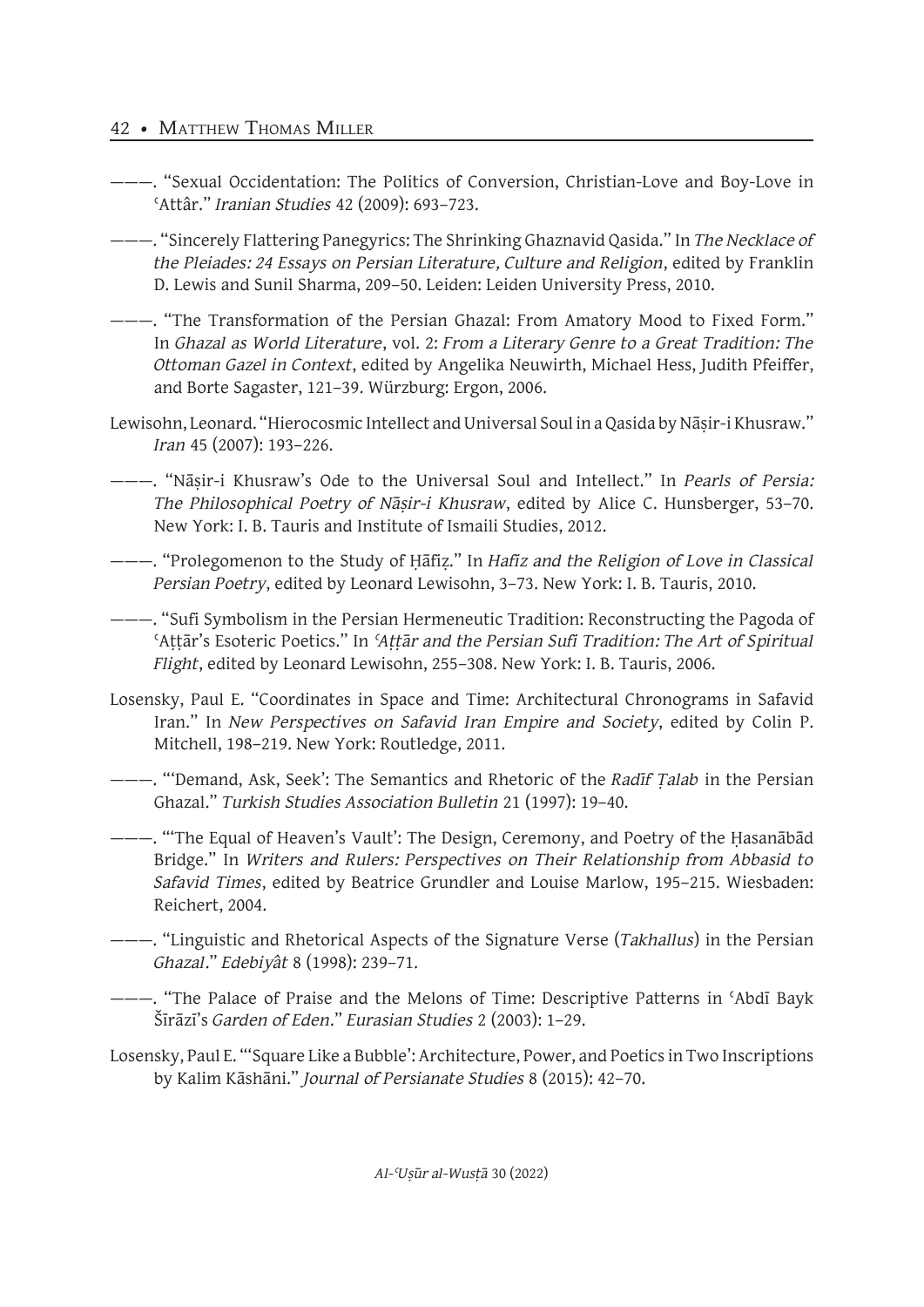## 42 • MATTHEW THOMAS MILLER

- ———. "Sexual Occidentation: The Politics of Conversion, Christian-Love and Boy-Love in ʿAttâr." *Iranian Studies* 42 (2009): 693–723.
- ———. "Sincerely Flattering Panegyrics: The Shrinking Ghaznavid Qasida." In *The Necklace of the Pleiades: 24 Essays on Persian Literature, Culture and Religion*, edited by Franklin D. Lewis and Sunil Sharma, 209–50. Leiden: Leiden University Press, 2010.
- ———. "The Transformation of the Persian Ghazal: From Amatory Mood to Fixed Form." In *Ghazal as World Literature*, vol. 2: *From a Literary Genre to a Great Tradition: The Ottoman Gazel in Context*, edited by Angelika Neuwirth, Michael Hess, Judith Pfeiffer, and Borte Sagaster, 121–39. Würzburg: Ergon, 2006.
- Lewisohn, Leonard. "Hierocosmic Intellect and Universal Soul in a Qasida by Nāṣir-i Khusraw." *Iran* 45 (2007): 193–226.
- ———. "Nāṣir-i Khusraw's Ode to the Universal Soul and Intellect." In *Pearls of Persia: The Philosophical Poetry of Nāṣir-i Khusraw*, edited by Alice C. Hunsberger, 53–70. New York: I. B. Tauris and Institute of Ismaili Studies, 2012.
- ———. "Prolegomenon to the Study of Ḥāfiẓ." In *Hafiz and the Religion of Love in Classical Persian Poetry*, edited by Leonard Lewisohn, 3–73. New York: I. B. Tauris, 2010.
- ———. "Sufi Symbolism in the Persian Hermeneutic Tradition: Reconstructing the Pagoda of ʿAṭṭār's Esoteric Poetics." In *ʿAṭṭār and the Persian Sufi Tradition: The Art of Spiritual Flight*, edited by Leonard Lewisohn, 255–308. New York: I. B. Tauris, 2006.
- Losensky, Paul E. "Coordinates in Space and Time: Architectural Chronograms in Safavid Iran." In *New Perspectives on Safavid Iran Empire and Society*, edited by Colin P. Mitchell, 198–219. New York: Routledge, 2011.
- ———. "'Demand, Ask, Seek': The Semantics and Rhetoric of the *Radīf Ṭalab* in the Persian Ghazal." *Turkish Studies Association Bulletin* 21 (1997): 19–40.
- ———. "'The Equal of Heaven's Vault': The Design, Ceremony, and Poetry of the Ḥasanābād Bridge." In *Writers and Rulers: Perspectives on Their Relationship from Abbasid to Safavid Times*, edited by Beatrice Grundler and Louise Marlow, 195–215. Wiesbaden: Reichert, 2004.
- ———. "Linguistic and Rhetorical Aspects of the Signature Verse (*Takhallus*) in the Persian *Ghazal*." *Edebiyât* 8 (1998): 239–71.
- ———. "The Palace of Praise and the Melons of Time: Descriptive Patterns in ʿAbdī Bayk Šīrāzī's *Garden of Eden*." *Eurasian Studies* 2 (2003): 1–29.
- Losensky, Paul E. "'Square Like a Bubble': Architecture, Power, and Poetics in Two Inscriptions by Kalim Kāshāni." *Journal of Persianate Studies* 8 (2015): 42–70.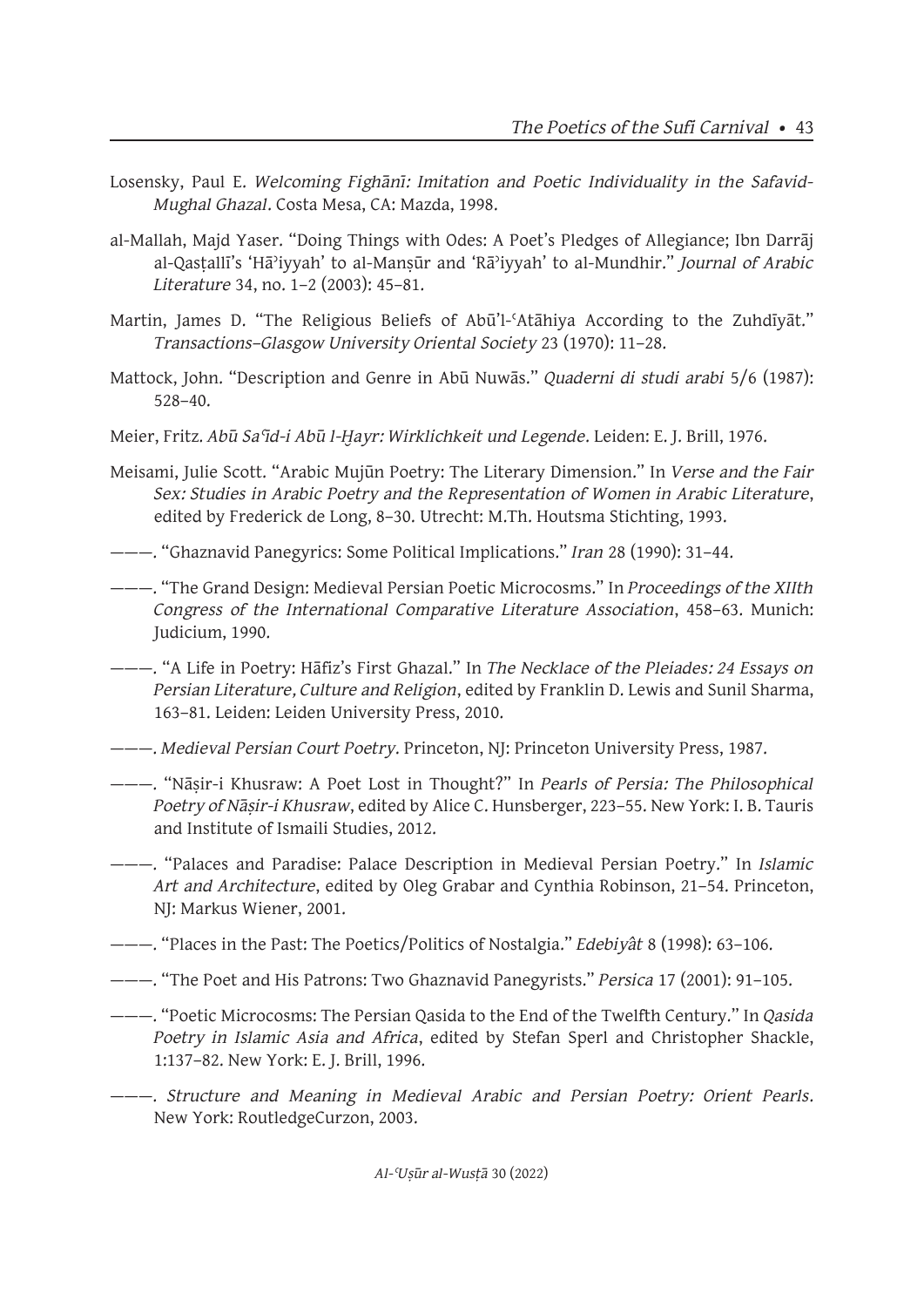- Losensky, Paul E. *Welcoming Fighānī: Imitation and Poetic Individuality in the Safavid-Mughal Ghazal*. Costa Mesa, CA: Mazda, 1998.
- al-Mallah, Majd Yaser. "Doing Things with Odes: A Poet's Pledges of Allegiance; Ibn Darrāj al-Qasṭallī's 'Hāʾiyyah' to al-Manṣūr and 'Rāʾiyyah' to al-Mundhir." *Journal of Arabic Literature* 34, no. 1–2 (2003): 45–81.
- Martin, James D. "The Religious Beliefs of Abū'l-ʿAtāhiya According to the Zuhdīyāt." *Transactions–Glasgow University Oriental Society* 23 (1970): 11–28.
- Mattock, John. "Description and Genre in Abū Nuwās." *Quaderni di studi arabi* 5/6 (1987): 528–40.
- Meier, Fritz. *Abū Saʿīd-i Abū l-Ḫayr: Wirklichkeit und Legende*. Leiden: E. J. Brill, 1976.
- Meisami, Julie Scott. "Arabic Mujūn Poetry: The Literary Dimension." In *Verse and the Fair Sex: Studies in Arabic Poetry and the Representation of Women in Arabic Literature*, edited by Frederick de Long, 8–30. Utrecht: M.Th. Houtsma Stichting, 1993.
- ———. "Ghaznavid Panegyrics: Some Political Implications." *Iran* 28 (1990): 31–44.
- ———. "The Grand Design: Medieval Persian Poetic Microcosms." In *Proceedings of the XIIth Congress of the International Comparative Literature Association*, 458–63. Munich: Judicium, 1990.
- ———. "A Life in Poetry: Hāfiz's First Ghazal." In *The Necklace of the Pleiades: 24 Essays on Persian Literature, Culture and Religion*, edited by Franklin D. Lewis and Sunil Sharma, 163–81. Leiden: Leiden University Press, 2010.
- ———. *Medieval Persian Court Poetry*. Princeton, NJ: Princeton University Press, 1987.
- ———. "Nāṣir-i Khusraw: A Poet Lost in Thought?" In *Pearls of Persia: The Philosophical Poetry of Nāṣir-i Khusraw*, edited by Alice C. Hunsberger, 223–55. New York: I. B. Tauris and Institute of Ismaili Studies, 2012.
- ———. "Palaces and Paradise: Palace Description in Medieval Persian Poetry." In *Islamic Art and Architecture*, edited by Oleg Grabar and Cynthia Robinson, 21–54. Princeton, NJ: Markus Wiener, 2001.
- ———. "Places in the Past: The Poetics/Politics of Nostalgia." *Edebiyât* 8 (1998): 63–106.
- ———. "The Poet and His Patrons: Two Ghaznavid Panegyrists." *Persica* 17 (2001): 91–105.
- ———. "Poetic Microcosms: The Persian Qasida to the End of the Twelfth Century." In *Qasida Poetry in Islamic Asia and Africa*, edited by Stefan Sperl and Christopher Shackle, 1:137–82. New York: E. J. Brill, 1996.
- ———. *Structure and Meaning in Medieval Arabic and Persian Poetry: Orient Pearls*. New York: RoutledgeCurzon, 2003.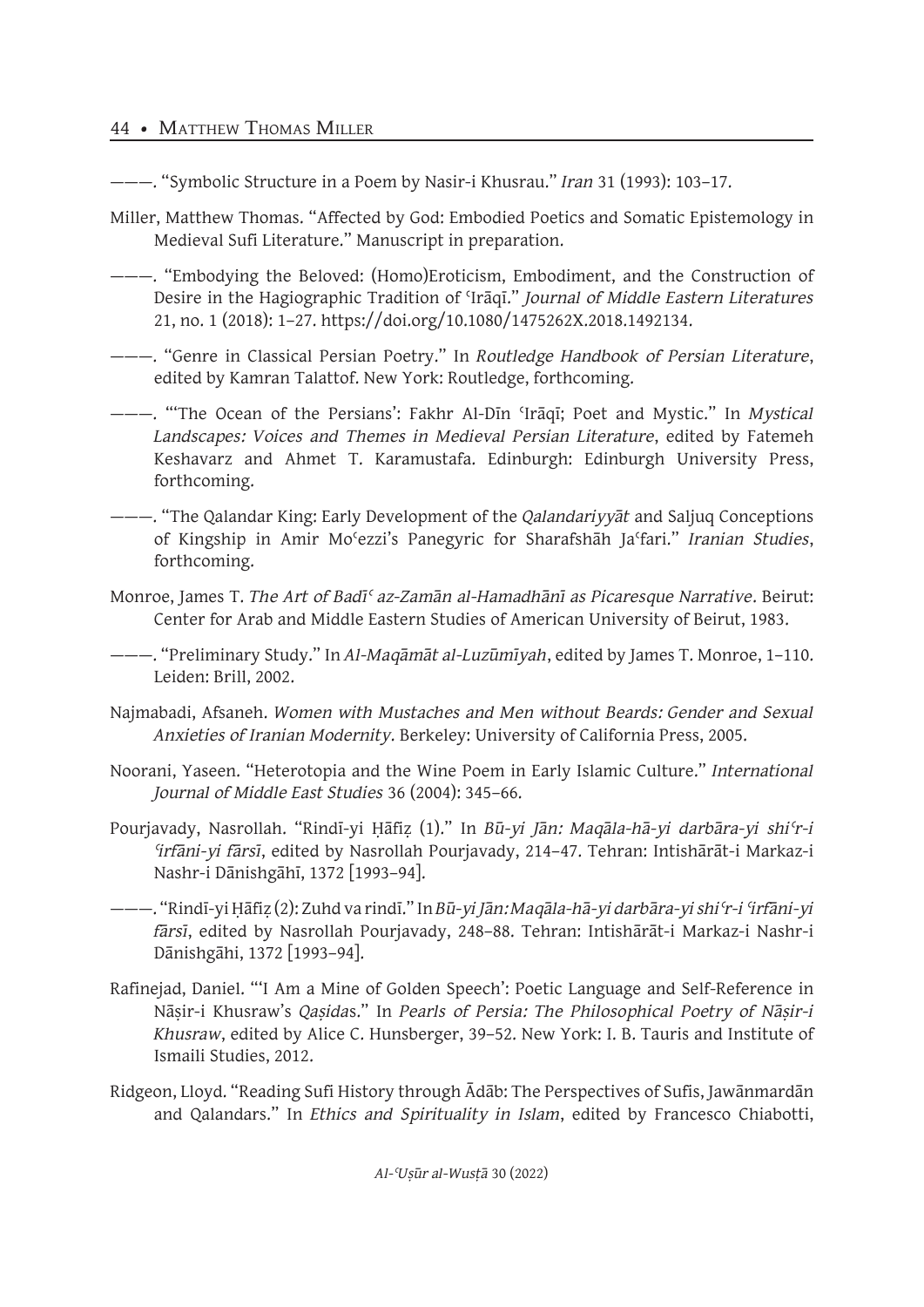## 44 • MATTHEW THOMAS MILLER

———. "Symbolic Structure in a Poem by Nasir-i Khusrau." *Iran* 31 (1993): 103–17.

- Miller, Matthew Thomas. "Affected by God: Embodied Poetics and Somatic Epistemology in Medieval Sufi Literature." Manuscript in preparation.
- ———. "Embodying the Beloved: (Homo)Eroticism, Embodiment, and the Construction of Desire in the Hagiographic Tradition of ʿIrāqī." *Journal of Middle Eastern Literatures* 21, no. 1 (2018): 1–27. https://doi.org/10.1080/1475262X.2018.1492134.
- ———. "Genre in Classical Persian Poetry." In *Routledge Handbook of Persian Literature*, edited by Kamran Talattof. New York: Routledge, forthcoming.
- ———. "'The Ocean of the Persians': Fakhr Al-Dīn ʿIrāqī; Poet and Mystic." In *Mystical Landscapes: Voices and Themes in Medieval Persian Literature*, edited by Fatemeh Keshavarz and Ahmet T. Karamustafa. Edinburgh: Edinburgh University Press, forthcoming.
- ———. "The Qalandar King: Early Development of the *Qalandariyyāt* and Saljuq Conceptions of Kingship in Amir Moʿezzi's Panegyric for Sharafshāh Jaʿfari." *Iranian Studies*, forthcoming.
- Monroe, James T. *The Art of Badīʿ az-Zamān al-Hamadhānī as Picaresque Narrative*. Beirut: Center for Arab and Middle Eastern Studies of American University of Beirut, 1983.
- ———. "Preliminary Study." In *Al-Maqāmāt al-Luzūmīyah*, edited by James T. Monroe, 1–110. Leiden: Brill, 2002.
- Najmabadi, Afsaneh. *Women with Mustaches and Men without Beards: Gender and Sexual Anxieties of Iranian Modernity*. Berkeley: University of California Press, 2005.
- Noorani, Yaseen. "Heterotopia and the Wine Poem in Early Islamic Culture." *International Journal of Middle East Studies* 36 (2004): 345–66.
- Pourjavady, Nasrollah. "Rindī-yi Ḥāfiẓ (1)." In *Bū-yi Jān: Maqāla-hā-yi darbāra-yi shiʿr-i ʿirfāni-yi fārsī*, edited by Nasrollah Pourjavady, 214–47. Tehran: Intishārāt-i Markaz-i Nashr-i Dānishgāhī, 1372 [1993–94].
- ———. "Rindī-yi Ḥāfiẓ (2): Zuhd va rindī." In *Bū-yi Jān: Maqāla-hā-yi darbāra-yi shiʿr-i ʿirfāni-yi fārsī*, edited by Nasrollah Pourjavady, 248–88. Tehran: Intishārāt-i Markaz-i Nashr-i Dānishgāhi, 1372 [1993–94].
- Rafinejad, Daniel. "'I Am a Mine of Golden Speech': Poetic Language and Self-Reference in Nāṣir-i Khusraw's *Qaṣida*s." In *Pearls of Persia: The Philosophical Poetry of Nāṣir-i Khusraw*, edited by Alice C. Hunsberger, 39–52. New York: I. B. Tauris and Institute of Ismaili Studies, 2012.
- Ridgeon, Lloyd. "Reading Sufi History through Ādāb: The Perspectives of Sufis, Jawānmardān and Qalandars." In *Ethics and Spirituality in Islam*, edited by Francesco Chiabotti,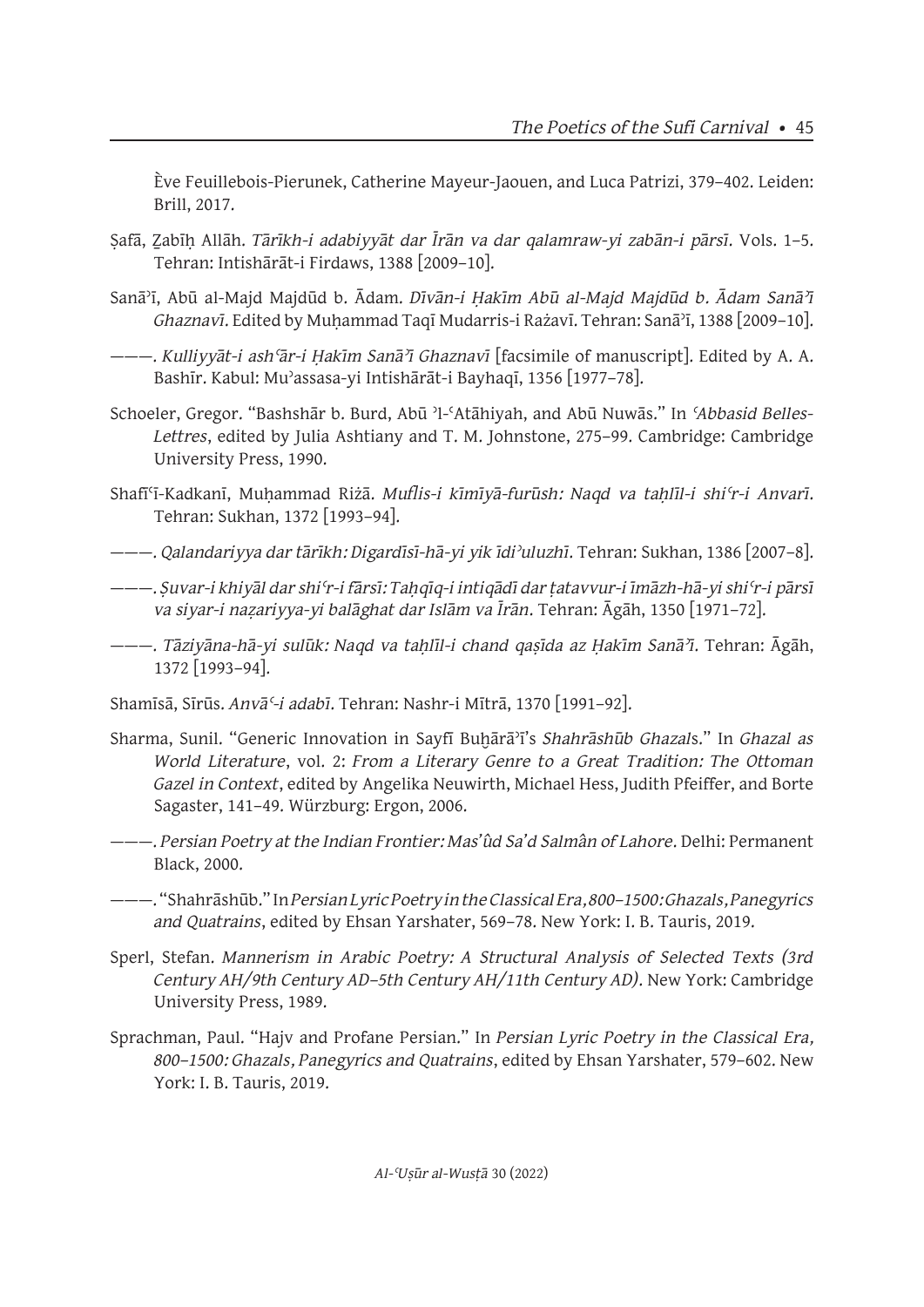Ève Feuillebois-Pierunek, Catherine Mayeur-Jaouen, and Luca Patrizi, 379–402. Leiden: Brill, 2017.

- Ṣafā, Ẕabīḥ Allāh. *Tārīkh-i adabiyyāt dar Īrān va dar qalamraw-yi zabān-i pārsī*. Vols. 1–5. Tehran: Intishārāt-i Firdaws, 1388 [2009–10].
- Sanāʾī, Abū al-Majd Majdūd b. Ādam. *Dīvān-i Ḥakīm Abū al-Majd Majdūd b. Ādam Sanāʾī Ghaznavī*. Edited by Muḥammad Taqī Mudarris-i Rażavī. Tehran: Sanāʾī, 1388 [2009–10].
- ———. *Kulliyyāt-i ashʿār-i Ḥakīm Sanāʾī Ghaznavī* [facsimile of manuscript]. Edited by A. A. Bashīr. Kabul: Muʾassasa-yi Intishārāt-i Bayhaqī, 1356 [1977–78].
- Schoeler, Gregor. "Bashshār b. Burd, Abū ʾl-ʿAtāhiyah, and Abū Nuwās." In *ʿAbbasid Belles-Lettres*, edited by Julia Ashtiany and T. M. Johnstone, 275–99. Cambridge: Cambridge University Press, 1990.
- Shafīʿī-Kadkanī, Muḥammad Riżā. *Muflis-i kīmīyā-furūsh: Naqd va taḥlīl-i shiʿr-i Anvarī*. Tehran: Sukhan, 1372 [1993–94].
- ———. *Qalandariyya dar tārīkh: Digardīsī-hā-yi yik īdiʾuluzhī*. Tehran: Sukhan, 1386 [2007–8].
- ———. *Ṣuvar-i khiyāl dar shiʿr-i fārsī: Taḥqīq-i intiqādī dar ṭatavvur-i īmāzh-hā-yi shiʿr-i pārsī va siyar-i naẓariyya-yi balāghat dar Islām va Īrān*. Tehran: Āgāh, 1350 [1971–72].
- ———. *Tāziyāna-hā-yi sulūk: Naqd va taḥlīl-i chand qaṣīda az Ḥakīm Sanāʾī*. Tehran: Āgāh, 1372 [1993–94].
- Shamīsā, Sīrūs. *Anvāʿ-i adabī*. Tehran: Nashr-i Mītrā, 1370 [1991–92].
- Sharma, Sunil. "Generic Innovation in Sayfī Buḫārāʾī's *Shahrāshūb Ghazal*s." In *Ghazal as World Literature*, vol. 2: *From a Literary Genre to a Great Tradition: The Ottoman Gazel in Context*, edited by Angelika Neuwirth, Michael Hess, Judith Pfeiffer, and Borte Sagaster, 141–49. Würzburg: Ergon, 2006.
- ———. *Persian Poetry at the Indian Frontier: Mas'ûd Sa'd Salmân of Lahore*. Delhi: Permanent Black, 2000.
- ———. "Shahrāshūb." In *Persian Lyric Poetry in the Classical Era, 800–1500: Ghazals, Panegyrics and Quatrains*, edited by Ehsan Yarshater, 569–78. New York: I. B. Tauris, 2019.
- Sperl, Stefan. *Mannerism in Arabic Poetry: A Structural Analysis of Selected Texts (3rd Century AH/9th Century AD–5th Century AH/11th Century AD)*. New York: Cambridge University Press, 1989.
- Sprachman, Paul. "Hajv and Profane Persian." In *Persian Lyric Poetry in the Classical Era, 800–1500: Ghazals, Panegyrics and Quatrains*, edited by Ehsan Yarshater, 579–602. New York: I. B. Tauris, 2019.